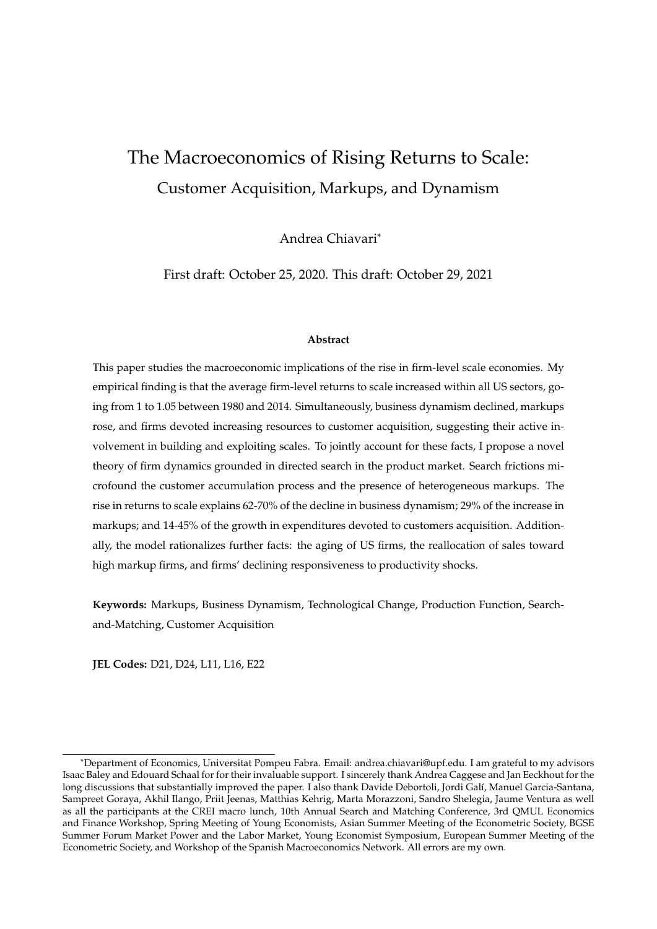# The Macroeconomics of Rising Returns to Scale: Customer Acquisition, Markups, and Dynamism

Andrea Chiavari\*

First draft: October 25, 2020. This draft: October 29, 2021

#### **Abstract**

This paper studies the macroeconomic implications of the rise in firm-level scale economies. My empirical finding is that the average firm-level returns to scale increased within all US sectors, going from 1 to 1.05 between 1980 and 2014. Simultaneously, business dynamism declined, markups rose, and firms devoted increasing resources to customer acquisition, suggesting their active involvement in building and exploiting scales. To jointly account for these facts, I propose a novel theory of firm dynamics grounded in directed search in the product market. Search frictions microfound the customer accumulation process and the presence of heterogeneous markups. The rise in returns to scale explains 62-70% of the decline in business dynamism; 29% of the increase in markups; and 14-45% of the growth in expenditures devoted to customers acquisition. Additionally, the model rationalizes further facts: the aging of US firms, the reallocation of sales toward high markup firms, and firms' declining responsiveness to productivity shocks.

**Keywords:** Markups, Business Dynamism, Technological Change, Production Function, Searchand-Matching, Customer Acquisition

**JEL Codes:** D21, D24, L11, L16, E22

<sup>\*</sup>Department of Economics, Universitat Pompeu Fabra. Email: andrea.chiavari@upf.edu. I am grateful to my advisors Isaac Baley and Edouard Schaal for for their invaluable support. I sincerely thank Andrea Caggese and Jan Eeckhout for the long discussions that substantially improved the paper. I also thank Davide Debortoli, Jordi Galí, Manuel Garcia-Santana, Sampreet Goraya, Akhil Ilango, Priit Jeenas, Matthias Kehrig, Marta Morazzoni, Sandro Shelegia, Jaume Ventura as well as all the participants at the CREI macro lunch, 10th Annual Search and Matching Conference, 3rd QMUL Economics and Finance Workshop, Spring Meeting of Young Economists, Asian Summer Meeting of the Econometric Society, BGSE Summer Forum Market Power and the Labor Market, Young Economist Symposium, European Summer Meeting of the Econometric Society, and Workshop of the Spanish Macroeconomics Network. All errors are my own.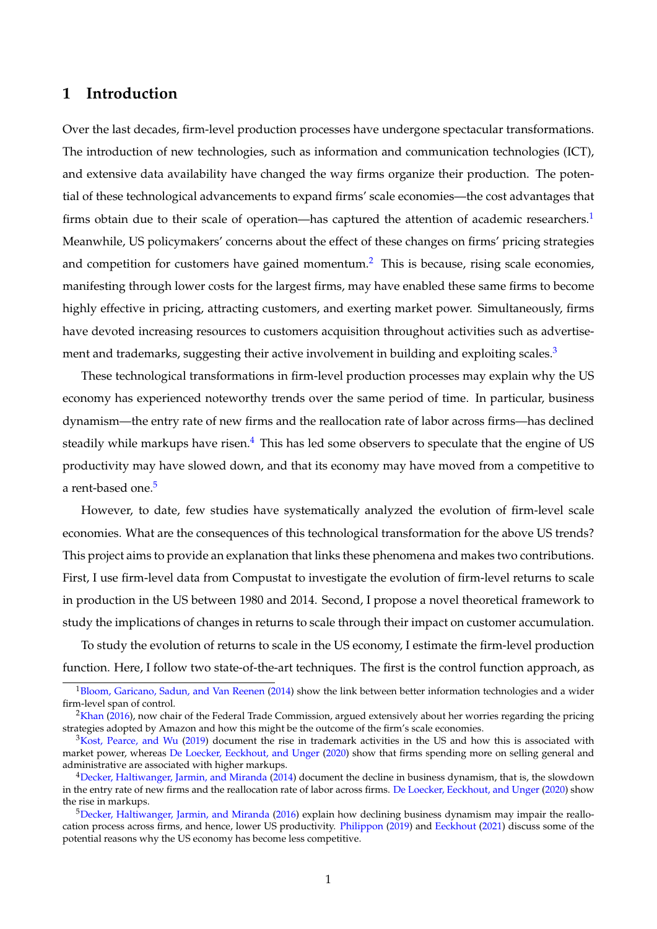# **1 Introduction**

Over the last decades, firm-level production processes have undergone spectacular transformations. The introduction of new technologies, such as information and communication technologies (ICT), and extensive data availability have changed the way firms organize their production. The potential of these technological advancements to expand firms' scale economies—the cost advantages that firms obtain due to their scale of operation—has captured the attention of academic researchers. $1$ Meanwhile, US policymakers' concerns about the effect of these changes on firms' pricing strategies and competition for customers have gained momentum.<sup>[2](#page-1-1)</sup> This is because, rising scale economies, manifesting through lower costs for the largest firms, may have enabled these same firms to become highly effective in pricing, attracting customers, and exerting market power. Simultaneously, firms have devoted increasing resources to customers acquisition throughout activities such as advertise-ment and trademarks, suggesting their active involvement in building and exploiting scales.<sup>[3](#page-1-2)</sup>

These technological transformations in firm-level production processes may explain why the US economy has experienced noteworthy trends over the same period of time. In particular, business dynamism—the entry rate of new firms and the reallocation rate of labor across firms—has declined steadily while markups have risen.<sup>[4](#page-1-3)</sup> This has led some observers to speculate that the engine of US productivity may have slowed down, and that its economy may have moved from a competitive to a rent-based one.<sup>[5](#page-1-4)</sup>

However, to date, few studies have systematically analyzed the evolution of firm-level scale economies. What are the consequences of this technological transformation for the above US trends? This project aims to provide an explanation that links these phenomena and makes two contributions. First, I use firm-level data from Compustat to investigate the evolution of firm-level returns to scale in production in the US between 1980 and 2014. Second, I propose a novel theoretical framework to study the implications of changes in returns to scale through their impact on customer accumulation.

To study the evolution of returns to scale in the US economy, I estimate the firm-level production function. Here, I follow two state-of-the-art techniques. The first is the control function approach, as

<span id="page-1-0"></span> $1B$ loom, Garicano, Sadun, and Van Reenen [\(2014\)](#page-65-0) show the link between better information technologies and a wider firm-level span of control.

<span id="page-1-1"></span> $2$ [Khan](#page-67-0) [\(2016\)](#page-67-0), now chair of the Federal Trade Commission, argued extensively about her worries regarding the pricing strategies adopted by Amazon and how this might be the outcome of the firm's scale economies.

<span id="page-1-2"></span> $3Kost$ , Pearce, and Wu [\(2019\)](#page-67-1) document the rise in trademark activities in the US and how this is associated with market power, whereas [De Loecker, Eeckhout, and Unger](#page-65-1) [\(2020\)](#page-65-1) show that firms spending more on selling general and administrative are associated with higher markups.

<span id="page-1-3"></span> $4$ [Decker, Haltiwanger, Jarmin, and Miranda](#page-65-2) [\(2014\)](#page-65-2) document the decline in business dynamism, that is, the slowdown in the entry rate of new firms and the reallocation rate of labor across firms. [De Loecker, Eeckhout, and Unger](#page-65-1) [\(2020\)](#page-65-1) show the rise in markups.

<span id="page-1-4"></span> $5$ [Decker, Haltiwanger, Jarmin, and Miranda](#page-66-0) [\(2016\)](#page-66-0) explain how declining business dynamism may impair the reallocation process across firms, and hence, lower US productivity. [Philippon](#page-67-2) [\(2019\)](#page-67-2) and [Eeckhout](#page-66-1) [\(2021\)](#page-66-1) discuss some of the potential reasons why the US economy has become less competitive.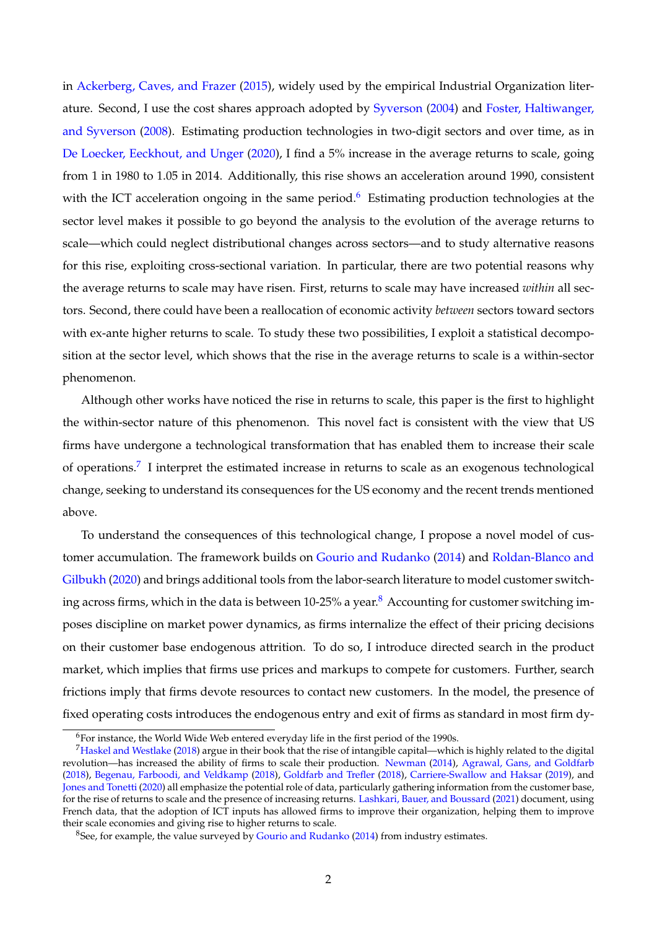in [Ackerberg, Caves, and Frazer](#page-65-3) [\(2015\)](#page-65-3), widely used by the empirical Industrial Organization literature. Second, I use the cost shares approach adopted by [Syverson](#page-67-3) [\(2004\)](#page-67-3) and [Foster, Haltiwanger,](#page-66-2) [and Syverson](#page-66-2) [\(2008\)](#page-66-2). Estimating production technologies in two-digit sectors and over time, as in [De Loecker, Eeckhout, and Unger](#page-65-1) [\(2020\)](#page-65-1), I find a 5% increase in the average returns to scale, going from 1 in 1980 to 1.05 in 2014. Additionally, this rise shows an acceleration around 1990, consistent with the ICT acceleration ongoing in the same period.<sup>[6](#page-2-0)</sup> Estimating production technologies at the sector level makes it possible to go beyond the analysis to the evolution of the average returns to scale—which could neglect distributional changes across sectors—and to study alternative reasons for this rise, exploiting cross-sectional variation. In particular, there are two potential reasons why the average returns to scale may have risen. First, returns to scale may have increased *within* all sectors. Second, there could have been a reallocation of economic activity *between* sectors toward sectors with ex-ante higher returns to scale. To study these two possibilities, I exploit a statistical decomposition at the sector level, which shows that the rise in the average returns to scale is a within-sector phenomenon.

Although other works have noticed the rise in returns to scale, this paper is the first to highlight the within-sector nature of this phenomenon. This novel fact is consistent with the view that US firms have undergone a technological transformation that has enabled them to increase their scale of operations.<sup>[7](#page-2-1)</sup> I interpret the estimated increase in returns to scale as an exogenous technological change, seeking to understand its consequences for the US economy and the recent trends mentioned above.

To understand the consequences of this technological change, I propose a novel model of customer accumulation. The framework builds on [Gourio and Rudanko](#page-66-3) [\(2014\)](#page-66-3) and [Roldan-Blanco and](#page-67-4) [Gilbukh](#page-67-4) [\(2020\)](#page-67-4) and brings additional tools from the labor-search literature to model customer switching across firms, which in the data is between  $10-25%$  a year.<sup>[8](#page-2-2)</sup> Accounting for customer switching imposes discipline on market power dynamics, as firms internalize the effect of their pricing decisions on their customer base endogenous attrition. To do so, I introduce directed search in the product market, which implies that firms use prices and markups to compete for customers. Further, search frictions imply that firms devote resources to contact new customers. In the model, the presence of fixed operating costs introduces the endogenous entry and exit of firms as standard in most firm dy-

<span id="page-2-1"></span><span id="page-2-0"></span><sup>6</sup>For instance, the World Wide Web entered everyday life in the first period of the 1990s.

<sup>7</sup>[Haskel and Westlake](#page-66-4) [\(2018\)](#page-66-4) argue in their book that the rise of intangible capital—which is highly related to the digital revolution—has increased the ability of firms to scale their production. [Newman](#page-67-5) [\(2014\)](#page-67-5), [Agrawal, Gans, and Goldfarb](#page-65-4) [\(2018\)](#page-65-4), [Begenau, Farboodi, and Veldkamp](#page-65-5) [\(2018\)](#page-65-5), [Goldfarb and Trefler](#page-66-5) [\(2018\)](#page-66-5), [Carriere-Swallow and Haksar](#page-65-6) [\(2019\)](#page-65-6), and [Jones and Tonetti](#page-66-6) [\(2020\)](#page-66-6) all emphasize the potential role of data, particularly gathering information from the customer base, for the rise of returns to scale and the presence of increasing returns. [Lashkari, Bauer, and Boussard](#page-67-6) [\(2021\)](#page-67-6) document, using French data, that the adoption of ICT inputs has allowed firms to improve their organization, helping them to improve their scale economies and giving rise to higher returns to scale.

<span id="page-2-2"></span><sup>8</sup>See, for example, the value surveyed by [Gourio and Rudanko](#page-66-3) [\(2014\)](#page-66-3) from industry estimates.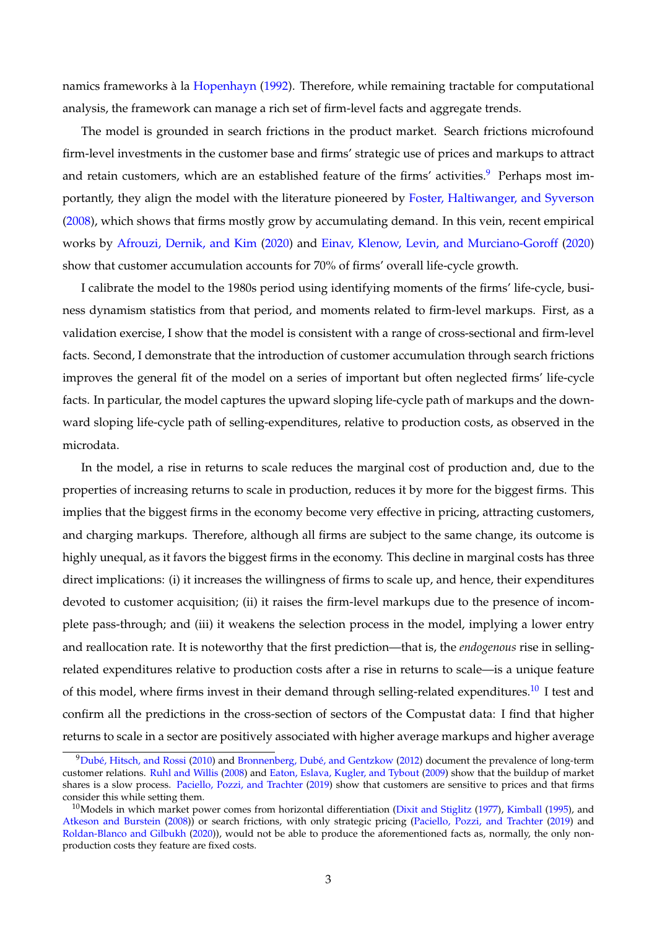namics frameworks à la [Hopenhayn](#page-66-7) [\(1992\)](#page-66-7). Therefore, while remaining tractable for computational analysis, the framework can manage a rich set of firm-level facts and aggregate trends.

The model is grounded in search frictions in the product market. Search frictions microfound firm-level investments in the customer base and firms' strategic use of prices and markups to attract and retain customers, which are an established feature of the firms' activities.<sup>[9](#page-3-0)</sup> Perhaps most importantly, they align the model with the literature pioneered by [Foster, Haltiwanger, and Syverson](#page-66-2) [\(2008\)](#page-66-2), which shows that firms mostly grow by accumulating demand. In this vein, recent empirical works by [Afrouzi, Dernik, and Kim](#page-65-7) [\(2020\)](#page-65-7) and [Einav, Klenow, Levin, and Murciano-Goroff](#page-66-8) [\(2020\)](#page-66-8) show that customer accumulation accounts for 70% of firms' overall life-cycle growth.

I calibrate the model to the 1980s period using identifying moments of the firms' life-cycle, business dynamism statistics from that period, and moments related to firm-level markups. First, as a validation exercise, I show that the model is consistent with a range of cross-sectional and firm-level facts. Second, I demonstrate that the introduction of customer accumulation through search frictions improves the general fit of the model on a series of important but often neglected firms' life-cycle facts. In particular, the model captures the upward sloping life-cycle path of markups and the downward sloping life-cycle path of selling-expenditures, relative to production costs, as observed in the microdata.

In the model, a rise in returns to scale reduces the marginal cost of production and, due to the properties of increasing returns to scale in production, reduces it by more for the biggest firms. This implies that the biggest firms in the economy become very effective in pricing, attracting customers, and charging markups. Therefore, although all firms are subject to the same change, its outcome is highly unequal, as it favors the biggest firms in the economy. This decline in marginal costs has three direct implications: (i) it increases the willingness of firms to scale up, and hence, their expenditures devoted to customer acquisition; (ii) it raises the firm-level markups due to the presence of incomplete pass-through; and (iii) it weakens the selection process in the model, implying a lower entry and reallocation rate. It is noteworthy that the first prediction—that is, the *endogenous* rise in sellingrelated expenditures relative to production costs after a rise in returns to scale—is a unique feature of this model, where firms invest in their demand through selling-related expenditures.<sup>[10](#page-3-1)</sup> I test and confirm all the predictions in the cross-section of sectors of the Compustat data: I find that higher returns to scale in a sector are positively associated with higher average markups and higher average

<span id="page-3-0"></span><sup>9</sup>[Dubé, Hitsch, and Rossi](#page-66-9) [\(2010\)](#page-66-9) and [Bronnenberg, Dubé, and Gentzkow](#page-65-8) [\(2012\)](#page-65-8) document the prevalence of long-term customer relations. [Ruhl and Willis](#page-67-7) [\(2008\)](#page-67-7) and [Eaton, Eslava, Kugler, and Tybout](#page-66-10) [\(2009\)](#page-66-10) show that the buildup of market shares is a slow process. [Paciello, Pozzi, and Trachter](#page-67-8) [\(2019\)](#page-67-8) show that customers are sensitive to prices and that firms consider this while setting them.

<span id="page-3-1"></span> $10$ Models in which market power comes from horizontal differentiation [\(Dixit and Stiglitz](#page-66-11) [\(1977\)](#page-66-11), [Kimball](#page-67-9) [\(1995\)](#page-67-9), and [Atkeson and Burstein](#page-65-9) [\(2008\)](#page-65-9)) or search frictions, with only strategic pricing [\(Paciello, Pozzi, and Trachter](#page-67-8) [\(2019\)](#page-67-8) and [Roldan-Blanco and Gilbukh](#page-67-4) [\(2020\)](#page-67-4)), would not be able to produce the aforementioned facts as, normally, the only nonproduction costs they feature are fixed costs.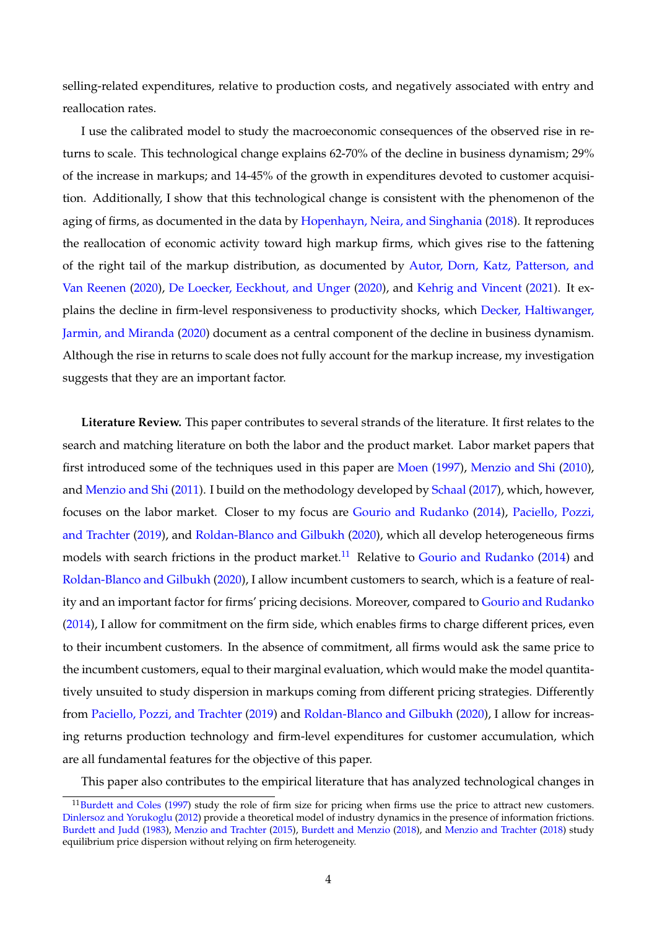selling-related expenditures, relative to production costs, and negatively associated with entry and reallocation rates.

I use the calibrated model to study the macroeconomic consequences of the observed rise in returns to scale. This technological change explains 62-70% of the decline in business dynamism; 29% of the increase in markups; and 14-45% of the growth in expenditures devoted to customer acquisition. Additionally, I show that this technological change is consistent with the phenomenon of the aging of firms, as documented in the data by [Hopenhayn, Neira, and Singhania](#page-66-12) [\(2018\)](#page-66-12). It reproduces the reallocation of economic activity toward high markup firms, which gives rise to the fattening of the right tail of the markup distribution, as documented by [Autor, Dorn, Katz, Patterson, and](#page-65-10) [Van Reenen](#page-65-10) [\(2020\)](#page-65-10), [De Loecker, Eeckhout, and Unger](#page-65-1) [\(2020\)](#page-65-1), and [Kehrig and Vincent](#page-67-10) [\(2021\)](#page-67-10). It explains the decline in firm-level responsiveness to productivity shocks, which [Decker, Haltiwanger,](#page-66-13) [Jarmin, and Miranda](#page-66-13) [\(2020\)](#page-66-13) document as a central component of the decline in business dynamism. Although the rise in returns to scale does not fully account for the markup increase, my investigation suggests that they are an important factor.

**Literature Review.** This paper contributes to several strands of the literature. It first relates to the search and matching literature on both the labor and the product market. Labor market papers that first introduced some of the techniques used in this paper are [Moen](#page-67-11) [\(1997\)](#page-67-11), [Menzio and Shi](#page-67-12) [\(2010\)](#page-67-12), and [Menzio and Shi](#page-67-13) [\(2011\)](#page-67-13). I build on the methodology developed by [Schaal](#page-67-14) [\(2017\)](#page-67-14), which, however, focuses on the labor market. Closer to my focus are [Gourio and Rudanko](#page-66-3) [\(2014\)](#page-66-3), [Paciello, Pozzi,](#page-67-8) [and Trachter](#page-67-8) [\(2019\)](#page-67-8), and [Roldan-Blanco and Gilbukh](#page-67-4) [\(2020\)](#page-67-4), which all develop heterogeneous firms models with search frictions in the product market.<sup>[11](#page-4-0)</sup> Relative to [Gourio and Rudanko](#page-66-3) [\(2014\)](#page-66-3) and [Roldan-Blanco and Gilbukh](#page-67-4) [\(2020\)](#page-67-4), I allow incumbent customers to search, which is a feature of reality and an important factor for firms' pricing decisions. Moreover, compared to [Gourio and Rudanko](#page-66-3) [\(2014\)](#page-66-3), I allow for commitment on the firm side, which enables firms to charge different prices, even to their incumbent customers. In the absence of commitment, all firms would ask the same price to the incumbent customers, equal to their marginal evaluation, which would make the model quantitatively unsuited to study dispersion in markups coming from different pricing strategies. Differently from [Paciello, Pozzi, and Trachter](#page-67-8) [\(2019\)](#page-67-8) and [Roldan-Blanco and Gilbukh](#page-67-4) [\(2020\)](#page-67-4), I allow for increasing returns production technology and firm-level expenditures for customer accumulation, which are all fundamental features for the objective of this paper.

This paper also contributes to the empirical literature that has analyzed technological changes in

<span id="page-4-0"></span><sup>&</sup>lt;sup>11</sup>[Burdett and Coles](#page-65-11) [\(1997\)](#page-65-11) study the role of firm size for pricing when firms use the price to attract new customers. [Dinlersoz and Yorukoglu](#page-66-14) [\(2012\)](#page-66-14) provide a theoretical model of industry dynamics in the presence of information frictions. [Burdett and Judd](#page-65-12) [\(1983\)](#page-65-12), [Menzio and Trachter](#page-67-15) [\(2015\)](#page-67-15), [Burdett and Menzio](#page-65-13) [\(2018\)](#page-65-13), and [Menzio and Trachter](#page-67-16) [\(2018\)](#page-67-16) study equilibrium price dispersion without relying on firm heterogeneity.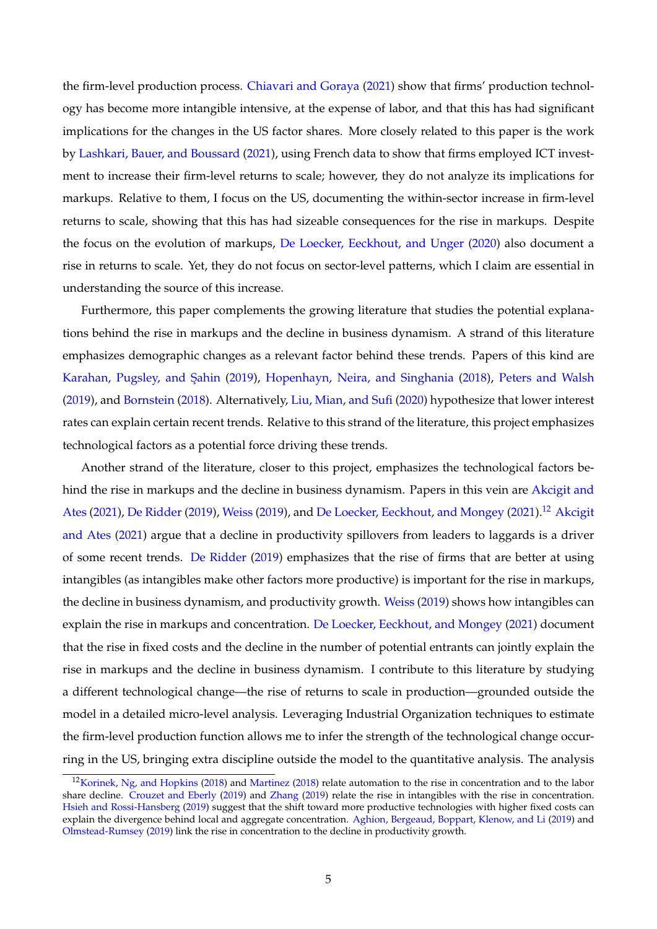the firm-level production process. [Chiavari and Goraya](#page-65-14) [\(2021\)](#page-65-14) show that firms' production technology has become more intangible intensive, at the expense of labor, and that this has had significant implications for the changes in the US factor shares. More closely related to this paper is the work by [Lashkari, Bauer, and Boussard](#page-67-6) [\(2021\)](#page-67-6), using French data to show that firms employed ICT investment to increase their firm-level returns to scale; however, they do not analyze its implications for markups. Relative to them, I focus on the US, documenting the within-sector increase in firm-level returns to scale, showing that this has had sizeable consequences for the rise in markups. Despite the focus on the evolution of markups, [De Loecker, Eeckhout, and Unger](#page-65-1) [\(2020\)](#page-65-1) also document a rise in returns to scale. Yet, they do not focus on sector-level patterns, which I claim are essential in understanding the source of this increase.

Furthermore, this paper complements the growing literature that studies the potential explanations behind the rise in markups and the decline in business dynamism. A strand of this literature emphasizes demographic changes as a relevant factor behind these trends. Papers of this kind are Karahan, Pugsley, and Şahin [\(2019\)](#page-66-15), [Hopenhayn, Neira, and Singhania](#page-66-12) [\(2018\)](#page-66-12), [Peters and Walsh](#page-67-17) [\(2019\)](#page-67-17), and [Bornstein](#page-65-15) [\(2018\)](#page-65-15). Alternatively, [Liu, Mian, and Sufi](#page-67-18) [\(2020\)](#page-67-18) hypothesize that lower interest rates can explain certain recent trends. Relative to this strand of the literature, this project emphasizes technological factors as a potential force driving these trends.

Another strand of the literature, closer to this project, emphasizes the technological factors behind the rise in markups and the decline in business dynamism. Papers in this vein are [Akcigit and](#page-65-16) [Ates](#page-65-16) [\(2021\)](#page-65-18), [De Ridder](#page-65-17) [\(2019\)](#page-67-19), [Weiss](#page-67-19) (2019), and [De Loecker, Eeckhout, and Mongey](#page-65-18) (2021).<sup>[12](#page-5-0)</sup> [Akcigit](#page-65-16) [and Ates](#page-65-16) [\(2021\)](#page-65-16) argue that a decline in productivity spillovers from leaders to laggards is a driver of some recent trends. [De Ridder](#page-65-17) [\(2019\)](#page-65-17) emphasizes that the rise of firms that are better at using intangibles (as intangibles make other factors more productive) is important for the rise in markups, the decline in business dynamism, and productivity growth. [Weiss](#page-67-19) [\(2019\)](#page-67-19) shows how intangibles can explain the rise in markups and concentration. [De Loecker, Eeckhout, and Mongey](#page-65-18) [\(2021\)](#page-65-18) document that the rise in fixed costs and the decline in the number of potential entrants can jointly explain the rise in markups and the decline in business dynamism. I contribute to this literature by studying a different technological change—the rise of returns to scale in production—grounded outside the model in a detailed micro-level analysis. Leveraging Industrial Organization techniques to estimate the firm-level production function allows me to infer the strength of the technological change occurring in the US, bringing extra discipline outside the model to the quantitative analysis. The analysis

<span id="page-5-0"></span><sup>&</sup>lt;sup>12</sup>[Korinek, Ng, and Hopkins](#page-67-20) [\(2018\)](#page-67-21) and [Martinez](#page-67-21) (2018) relate automation to the rise in concentration and to the labor share decline. [Crouzet and Eberly](#page-65-19) [\(2019\)](#page-65-19) and [Zhang](#page-67-22) [\(2019\)](#page-67-22) relate the rise in intangibles with the rise in concentration. [Hsieh and Rossi-Hansberg](#page-66-16) [\(2019\)](#page-66-16) suggest that the shift toward more productive technologies with higher fixed costs can explain the divergence behind local and aggregate concentration. [Aghion, Bergeaud, Boppart, Klenow, and Li](#page-65-20) [\(2019\)](#page-65-20) and [Olmstead-Rumsey](#page-67-23) [\(2019\)](#page-67-23) link the rise in concentration to the decline in productivity growth.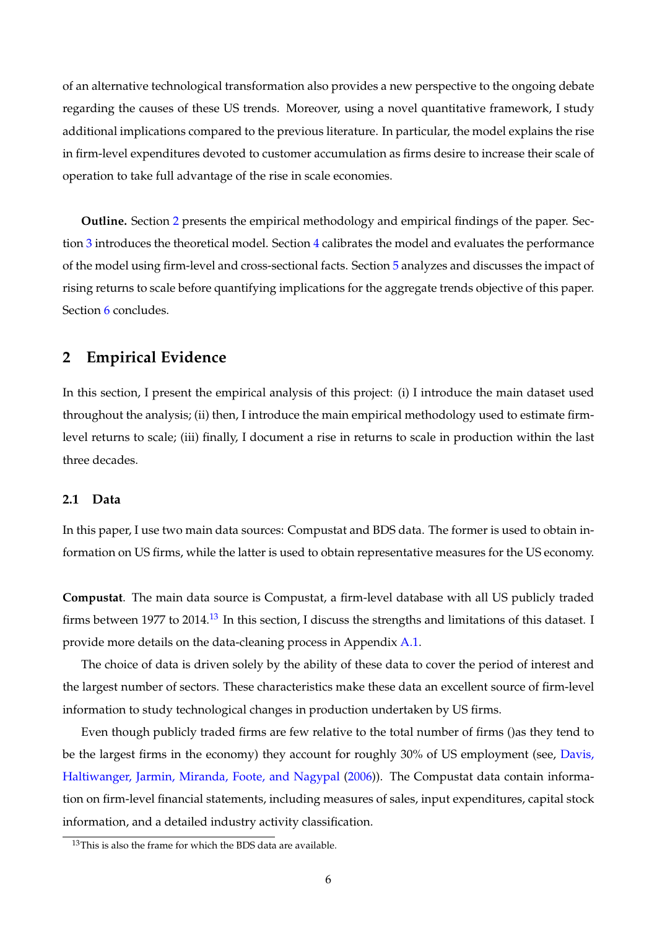of an alternative technological transformation also provides a new perspective to the ongoing debate regarding the causes of these US trends. Moreover, using a novel quantitative framework, I study additional implications compared to the previous literature. In particular, the model explains the rise in firm-level expenditures devoted to customer accumulation as firms desire to increase their scale of operation to take full advantage of the rise in scale economies.

**Outline.** Section [2](#page-6-0) presents the empirical methodology and empirical findings of the paper. Section [3](#page-15-0) introduces the theoretical model. Section [4](#page-24-0) calibrates the model and evaluates the performance of the model using firm-level and cross-sectional facts. Section [5](#page-31-0) analyzes and discusses the impact of rising returns to scale before quantifying implications for the aggregate trends objective of this paper. Section [6](#page-42-0) concludes.

# <span id="page-6-0"></span>**2 Empirical Evidence**

In this section, I present the empirical analysis of this project: (i) I introduce the main dataset used throughout the analysis; (ii) then, I introduce the main empirical methodology used to estimate firmlevel returns to scale; (iii) finally, I document a rise in returns to scale in production within the last three decades.

# **2.1 Data**

In this paper, I use two main data sources: Compustat and BDS data. The former is used to obtain information on US firms, while the latter is used to obtain representative measures for the US economy.

**Compustat**. The main data source is Compustat, a firm-level database with all US publicly traded firms between 1977 to 2014.<sup>[13](#page-6-1)</sup> In this section, I discuss the strengths and limitations of this dataset. I provide more details on the data-cleaning process in Appendix [A.1.](#page-43-0)

The choice of data is driven solely by the ability of these data to cover the period of interest and the largest number of sectors. These characteristics make these data an excellent source of firm-level information to study technological changes in production undertaken by US firms.

Even though publicly traded firms are few relative to the total number of firms ()as they tend to be the largest firms in the economy) they account for roughly 30% of US employment (see, [Davis,](#page-65-21) [Haltiwanger, Jarmin, Miranda, Foote, and Nagypal](#page-65-21) [\(2006\)](#page-65-21)). The Compustat data contain information on firm-level financial statements, including measures of sales, input expenditures, capital stock information, and a detailed industry activity classification.

<span id="page-6-1"></span><sup>&</sup>lt;sup>13</sup>This is also the frame for which the BDS data are available.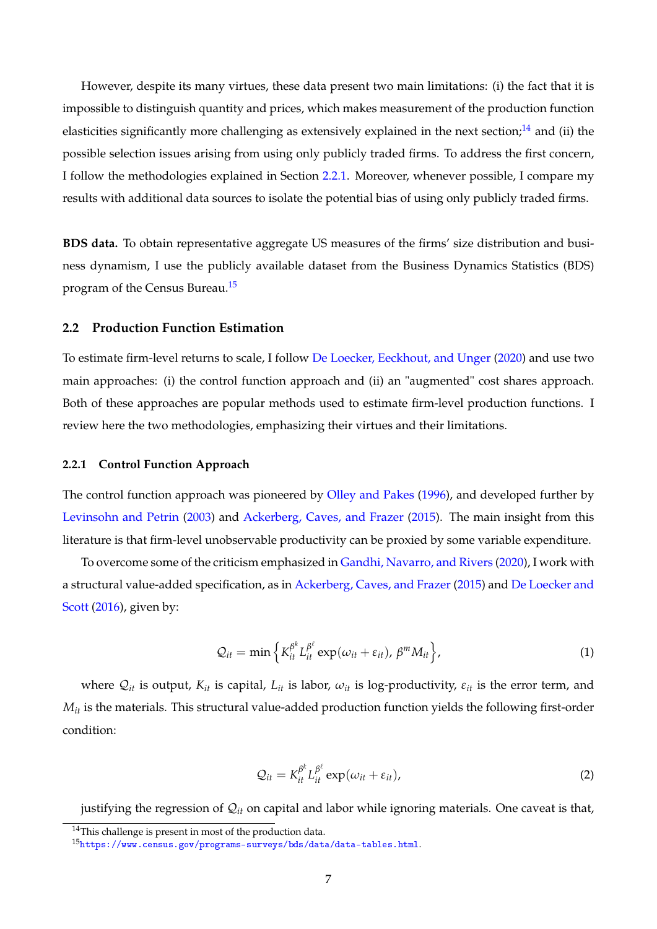However, despite its many virtues, these data present two main limitations: (i) the fact that it is impossible to distinguish quantity and prices, which makes measurement of the production function elasticities significantly more challenging as extensively explained in the next section; $^{14}$  $^{14}$  $^{14}$  and (ii) the possible selection issues arising from using only publicly traded firms. To address the first concern, I follow the methodologies explained in Section [2.2.1.](#page-7-1) Moreover, whenever possible, I compare my results with additional data sources to isolate the potential bias of using only publicly traded firms.

**BDS data.** To obtain representative aggregate US measures of the firms' size distribution and business dynamism, I use the publicly available dataset from the Business Dynamics Statistics (BDS) program of the Census Bureau.[15](#page-7-2)

# **2.2 Production Function Estimation**

To estimate firm-level returns to scale, I follow [De Loecker, Eeckhout, and Unger](#page-65-1) [\(2020\)](#page-65-1) and use two main approaches: (i) the control function approach and (ii) an "augmented" cost shares approach. Both of these approaches are popular methods used to estimate firm-level production functions. I review here the two methodologies, emphasizing their virtues and their limitations.

# <span id="page-7-1"></span>**2.2.1 Control Function Approach**

The control function approach was pioneered by [Olley and Pakes](#page-67-24) [\(1996\)](#page-67-24), and developed further by [Levinsohn and Petrin](#page-67-25) [\(2003\)](#page-67-25) and [Ackerberg, Caves, and Frazer](#page-65-3) [\(2015\)](#page-65-3). The main insight from this literature is that firm-level unobservable productivity can be proxied by some variable expenditure.

To overcome some of the criticism emphasized in [Gandhi, Navarro, and Rivers](#page-66-17) [\(2020\)](#page-66-17), I work with a structural value-added specification, as in [Ackerberg, Caves, and Frazer](#page-65-3) [\(2015\)](#page-65-3) and [De Loecker and](#page-65-22) [Scott](#page-65-22) [\(2016\)](#page-65-22), given by:

<span id="page-7-4"></span>
$$
Q_{it} = \min \left\{ K_{it}^{\beta^k} L_{it}^{\beta^{\ell}} \exp(\omega_{it} + \varepsilon_{it}), \beta^m M_{it} \right\},\tag{1}
$$

where  $Q_{it}$  is output,  $K_{it}$  is capital,  $L_{it}$  is labor,  $\omega_{it}$  is log-productivity,  $\varepsilon_{it}$  is the error term, and *M*<sup>*it*</sup> is the materials. This structural value-added production function yields the following first-order condition:

<span id="page-7-3"></span>
$$
Q_{it} = K_{it}^{\beta^k} L_{it}^{\beta^{\ell}} \exp(\omega_{it} + \varepsilon_{it}), \qquad (2)
$$

justifying the regression of Q*it* on capital and labor while ignoring materials. One caveat is that,

<span id="page-7-0"></span><sup>&</sup>lt;sup>14</sup>This challenge is present in most of the production data.

<span id="page-7-2"></span><sup>15</sup><https://www.census.gov/programs-surveys/bds/data/data-tables.html>.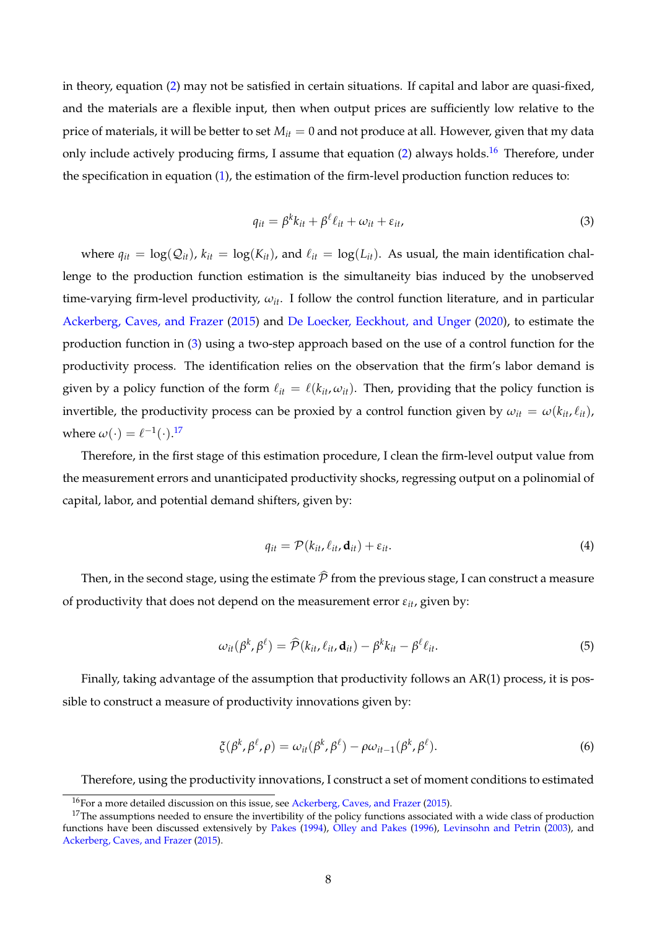in theory, equation [\(2\)](#page-7-3) may not be satisfied in certain situations. If capital and labor are quasi-fixed, and the materials are a flexible input, then when output prices are sufficiently low relative to the price of materials, it will be better to set  $M_{it} = 0$  and not produce at all. However, given that my data only include actively producing firms, I assume that equation [\(2\)](#page-7-3) always holds.<sup>[16](#page-8-0)</sup> Therefore, under the specification in equation [\(1\)](#page-7-4), the estimation of the firm-level production function reduces to:

<span id="page-8-1"></span>
$$
q_{it} = \beta^k k_{it} + \beta^\ell \ell_{it} + \omega_{it} + \varepsilon_{it}, \tag{3}
$$

where  $q_{it} = \log(Q_{it})$ ,  $k_{it} = \log(K_{it})$ , and  $\ell_{it} = \log(L_{it})$ . As usual, the main identification challenge to the production function estimation is the simultaneity bias induced by the unobserved time-varying firm-level productivity, *ωit*. I follow the control function literature, and in particular [Ackerberg, Caves, and Frazer](#page-65-3) [\(2015\)](#page-65-3) and [De Loecker, Eeckhout, and Unger](#page-65-1) [\(2020\)](#page-65-1), to estimate the production function in [\(3\)](#page-8-1) using a two-step approach based on the use of a control function for the productivity process. The identification relies on the observation that the firm's labor demand is given by a policy function of the form  $\ell_{it} = \ell(k_{it}, \omega_{it})$ . Then, providing that the policy function is invertible, the productivity process can be proxied by a control function given by  $\omega_{it} = \omega(k_{it}, \ell_{it})$ , where  $\omega(\cdot) = \ell^{-1}(\cdot).^{17}$  $\omega(\cdot) = \ell^{-1}(\cdot).^{17}$  $\omega(\cdot) = \ell^{-1}(\cdot).^{17}$ 

Therefore, in the first stage of this estimation procedure, I clean the firm-level output value from the measurement errors and unanticipated productivity shocks, regressing output on a polinomial of capital, labor, and potential demand shifters, given by:

<span id="page-8-3"></span>
$$
q_{it} = \mathcal{P}(k_{it}, \ell_{it}, \mathbf{d}_{it}) + \varepsilon_{it}.
$$
 (4)

Then, in the second stage, using the estimate  $\hat{\mathcal{P}}$  from the previous stage, I can construct a measure of productivity that does not depend on the measurement error  $\varepsilon_{it}$ , given by:

$$
\omega_{it}(\beta^k, \beta^\ell) = \widehat{\mathcal{P}}(k_{it}, \ell_{it}, \mathbf{d}_{it}) - \beta^k k_{it} - \beta^\ell \ell_{it}.
$$
\n
$$
\tag{5}
$$

Finally, taking advantage of the assumption that productivity follows an AR(1) process, it is possible to construct a measure of productivity innovations given by:

$$
\xi(\beta^k, \beta^\ell, \rho) = \omega_{it}(\beta^k, \beta^\ell) - \rho \omega_{it-1}(\beta^k, \beta^\ell). \tag{6}
$$

Therefore, using the productivity innovations, I construct a set of moment conditions to estimated

<span id="page-8-2"></span><span id="page-8-0"></span><sup>16</sup>For a more detailed discussion on this issue, see [Ackerberg, Caves, and Frazer](#page-65-3) [\(2015\)](#page-65-3).

 $17$ The assumptions needed to ensure the invertibility of the policy functions associated with a wide class of production functions have been discussed extensively by [Pakes](#page-67-26) [\(1994\)](#page-67-26), [Olley and Pakes](#page-67-24) [\(1996\)](#page-67-24), [Levinsohn and Petrin](#page-67-25) [\(2003\)](#page-67-25), and [Ackerberg, Caves, and Frazer](#page-65-3) [\(2015\)](#page-65-3).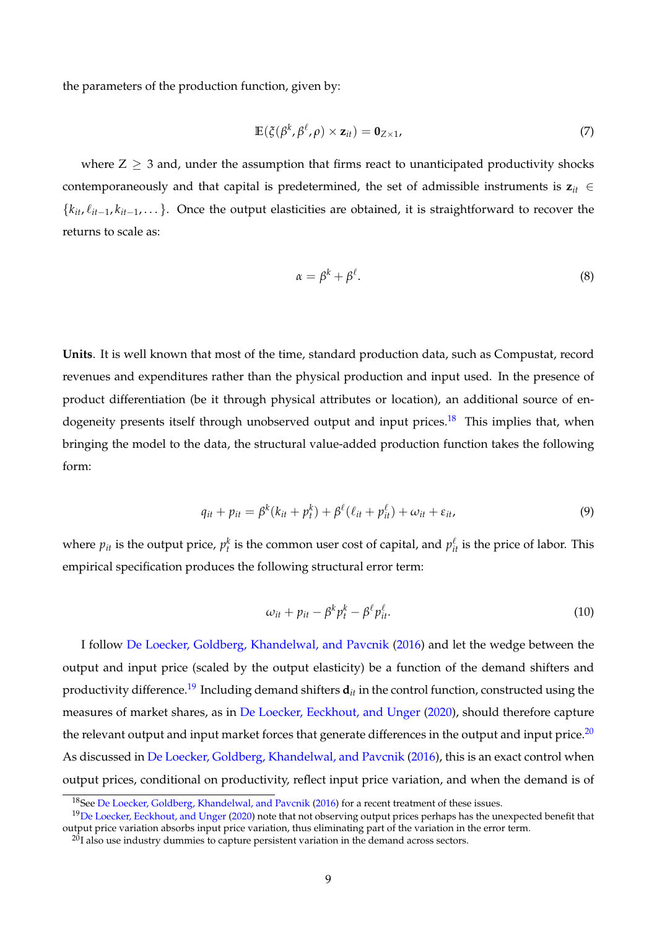the parameters of the production function, given by:

$$
\mathbb{E}(\xi(\beta^k,\beta^\ell,\rho)\times\mathbf{z}_{it})=\mathbf{0}_{Z\times 1},\qquad(7)
$$

where  $Z > 3$  and, under the assumption that firms react to unanticipated productivity shocks contemporaneously and that capital is predetermined, the set of admissible instruments is  $z_{it} \in$  ${k<sub>it</sub>, k<sub>it-1</sub>, k<sub>it-1</sub>, ...}$ . Once the output elasticities are obtained, it is straightforward to recover the returns to scale as:

$$
\alpha = \beta^k + \beta^\ell. \tag{8}
$$

**Units**. It is well known that most of the time, standard production data, such as Compustat, record revenues and expenditures rather than the physical production and input used. In the presence of product differentiation (be it through physical attributes or location), an additional source of en-dogeneity presents itself through unobserved output and input prices.<sup>[18](#page-9-0)</sup> This implies that, when bringing the model to the data, the structural value-added production function takes the following form:

$$
q_{it} + p_{it} = \beta^k (k_{it} + p_t^k) + \beta^\ell (\ell_{it} + p_{it}^\ell) + \omega_{it} + \varepsilon_{it}, \qquad (9)
$$

where  $p_{it}$  is the output price,  $p_t^k$  is the common user cost of capital, and  $p_{it}^{\ell}$  is the price of labor. This empirical specification produces the following structural error term:

$$
\omega_{it} + p_{it} - \beta^k p_t^k - \beta^\ell p_{it}^\ell. \tag{10}
$$

I follow [De Loecker, Goldberg, Khandelwal, and Pavcnik](#page-65-23) [\(2016\)](#page-65-23) and let the wedge between the output and input price (scaled by the output elasticity) be a function of the demand shifters and productivity difference.<sup>[19](#page-9-1)</sup> Including demand shifters  $\mathbf{d}_{it}$  in the control function, constructed using the measures of market shares, as in [De Loecker, Eeckhout, and Unger](#page-65-1) [\(2020\)](#page-65-1), should therefore capture the relevant output and input market forces that generate differences in the output and input price. $^{20}$  $^{20}$  $^{20}$ As discussed in [De Loecker, Goldberg, Khandelwal, and Pavcnik](#page-65-23) [\(2016\)](#page-65-23), this is an exact control when output prices, conditional on productivity, reflect input price variation, and when the demand is of

<span id="page-9-1"></span><span id="page-9-0"></span><sup>&</sup>lt;sup>18</sup>See [De Loecker, Goldberg, Khandelwal, and Pavcnik](#page-65-23) [\(2016\)](#page-65-23) for a recent treatment of these issues.

<sup>&</sup>lt;sup>19</sup>[De Loecker, Eeckhout, and Unger](#page-65-1) [\(2020\)](#page-65-1) note that not observing output prices perhaps has the unexpected benefit that output price variation absorbs input price variation, thus eliminating part of the variation in the error term.

<span id="page-9-2"></span> $^{20}I$  also use industry dummies to capture persistent variation in the demand across sectors.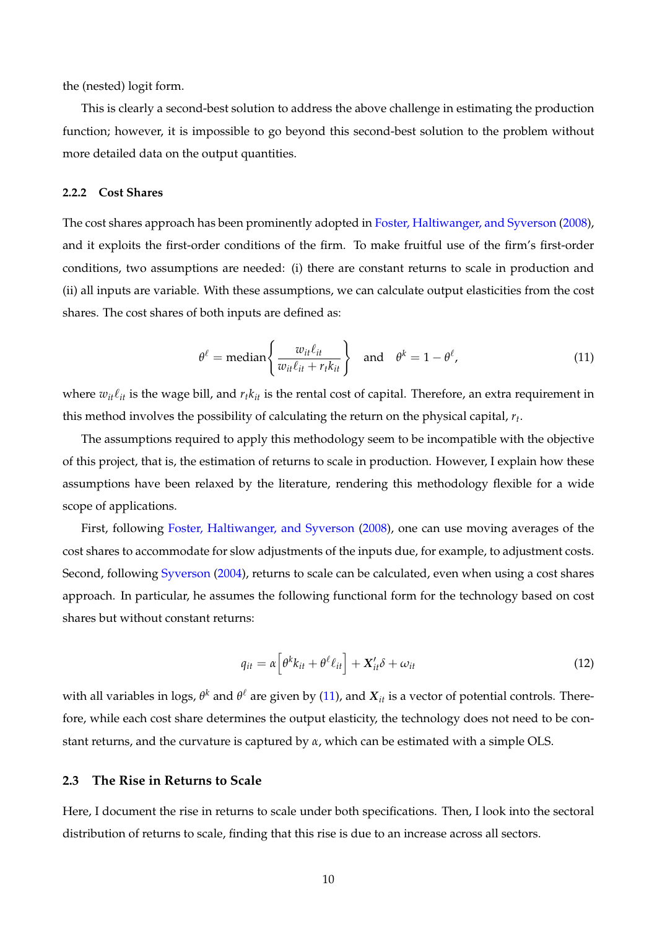the (nested) logit form.

This is clearly a second-best solution to address the above challenge in estimating the production function; however, it is impossible to go beyond this second-best solution to the problem without more detailed data on the output quantities.

# **2.2.2 Cost Shares**

The cost shares approach has been prominently adopted in [Foster, Haltiwanger, and Syverson](#page-66-2) [\(2008\)](#page-66-2), and it exploits the first-order conditions of the firm. To make fruitful use of the firm's first-order conditions, two assumptions are needed: (i) there are constant returns to scale in production and (ii) all inputs are variable. With these assumptions, we can calculate output elasticities from the cost shares. The cost shares of both inputs are defined as:

<span id="page-10-0"></span>
$$
\theta^{\ell} = \text{median}\left\{\frac{w_{it}\ell_{it}}{w_{it}\ell_{it} + r_t k_{it}}\right\} \quad \text{and} \quad \theta^k = 1 - \theta^{\ell}, \tag{11}
$$

where  $w_{it} \ell_{it}$  is the wage bill, and  $r_t k_{it}$  is the rental cost of capital. Therefore, an extra requirement in this method involves the possibility of calculating the return on the physical capital, *r<sup>t</sup>* .

The assumptions required to apply this methodology seem to be incompatible with the objective of this project, that is, the estimation of returns to scale in production. However, I explain how these assumptions have been relaxed by the literature, rendering this methodology flexible for a wide scope of applications.

First, following [Foster, Haltiwanger, and Syverson](#page-66-2) [\(2008\)](#page-66-2), one can use moving averages of the cost shares to accommodate for slow adjustments of the inputs due, for example, to adjustment costs. Second, following [Syverson](#page-67-3) [\(2004\)](#page-67-3), returns to scale can be calculated, even when using a cost shares approach. In particular, he assumes the following functional form for the technology based on cost shares but without constant returns:

$$
q_{it} = \alpha \left[ \theta^k k_{it} + \theta^\ell \ell_{it} \right] + \mathbf{X}_{it}^{\prime} \delta + \omega_{it} \tag{12}
$$

with all variables in logs,  $\theta^k$  and  $\theta^\ell$  are given by [\(11\)](#page-10-0), and  $X_{it}$  is a vector of potential controls. Therefore, while each cost share determines the output elasticity, the technology does not need to be constant returns, and the curvature is captured by *α*, which can be estimated with a simple OLS.

# <span id="page-10-1"></span>**2.3 The Rise in Returns to Scale**

Here, I document the rise in returns to scale under both specifications. Then, I look into the sectoral distribution of returns to scale, finding that this rise is due to an increase across all sectors.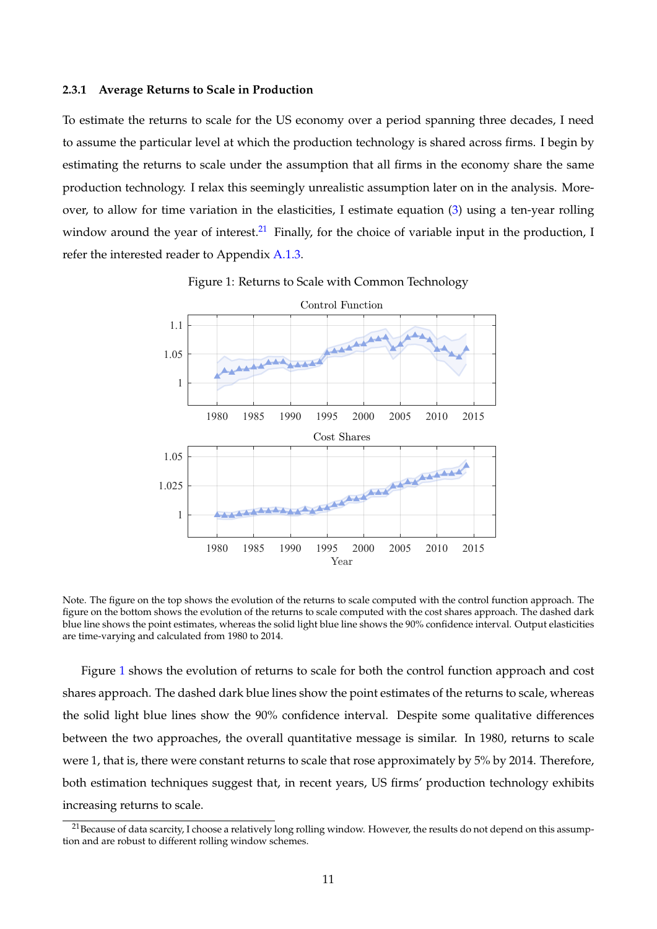#### **2.3.1 Average Returns to Scale in Production**

To estimate the returns to scale for the US economy over a period spanning three decades, I need to assume the particular level at which the production technology is shared across firms. I begin by estimating the returns to scale under the assumption that all firms in the economy share the same production technology. I relax this seemingly unrealistic assumption later on in the analysis. Moreover, to allow for time variation in the elasticities, I estimate equation [\(3\)](#page-8-1) using a ten-year rolling window around the year of interest.<sup>[21](#page-11-0)</sup> Finally, for the choice of variable input in the production, I refer the interested reader to Appendix [A.1.3.](#page-44-0)

<span id="page-11-1"></span>

Figure 1: Returns to Scale with Common Technology

Note. The figure on the top shows the evolution of the returns to scale computed with the control function approach. The figure on the bottom shows the evolution of the returns to scale computed with the cost shares approach. The dashed dark blue line shows the point estimates, whereas the solid light blue line shows the 90% confidence interval. Output elasticities are time-varying and calculated from 1980 to 2014.

Figure [1](#page-11-1) shows the evolution of returns to scale for both the control function approach and cost shares approach. The dashed dark blue lines show the point estimates of the returns to scale, whereas the solid light blue lines show the 90% confidence interval. Despite some qualitative differences between the two approaches, the overall quantitative message is similar. In 1980, returns to scale were 1, that is, there were constant returns to scale that rose approximately by 5% by 2014. Therefore, both estimation techniques suggest that, in recent years, US firms' production technology exhibits increasing returns to scale.

<span id="page-11-0"></span><sup>&</sup>lt;sup>21</sup> Because of data scarcity, I choose a relatively long rolling window. However, the results do not depend on this assumption and are robust to different rolling window schemes.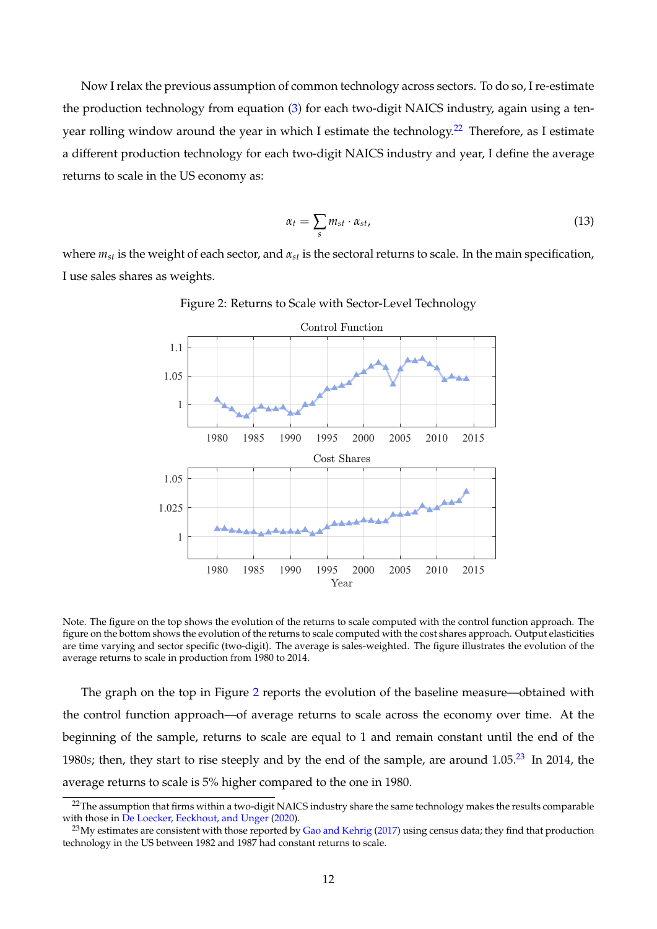Now I relax the previous assumption of common technology across sectors. To do so, I re-estimate the production technology from equation [\(3\)](#page-8-1) for each two-digit NAICS industry, again using a ten-year rolling window around the year in which I estimate the technology.<sup>[22](#page-12-0)</sup> Therefore, as I estimate a different production technology for each two-digit NAICS industry and year, I define the average returns to scale in the US economy as:

$$
\alpha_t = \sum_s m_{st} \cdot \alpha_{st}, \tag{13}
$$

<span id="page-12-1"></span>where  $m_{st}$  is the weight of each sector, and  $\alpha_{st}$  is the sectoral returns to scale. In the main specification, I use sales shares as weights.



Figure 2: Returns to Scale with Sector-Level Technology

Note. The figure on the top shows the evolution of the returns to scale computed with the control function approach. The figure on the bottom shows the evolution of the returns to scale computed with the cost shares approach. Output elasticities are time varying and sector specific (two-digit). The average is sales-weighted. The figure illustrates the evolution of the average returns to scale in production from 1980 to 2014.

The graph on the top in Figure [2](#page-12-1) reports the evolution of the baseline measure—obtained with the control function approach—of average returns to scale across the economy over time. At the beginning of the sample, returns to scale are equal to 1 and remain constant until the end of the 1980*s*; then, they start to rise steeply and by the end of the sample, are around 1.05.[23](#page-12-2) In 2014, the average returns to scale is 5% higher compared to the one in 1980.

<span id="page-12-0"></span> $22$ The assumption that firms within a two-digit NAICS industry share the same technology makes the results comparable with those in [De Loecker, Eeckhout, and Unger](#page-65-1) [\(2020\)](#page-65-1).

<span id="page-12-2"></span> $^{23}$ My estimates are consistent with those reported by [Gao and Kehrig](#page-66-18) [\(2017\)](#page-66-18) using census data; they find that production technology in the US between 1982 and 1987 had constant returns to scale.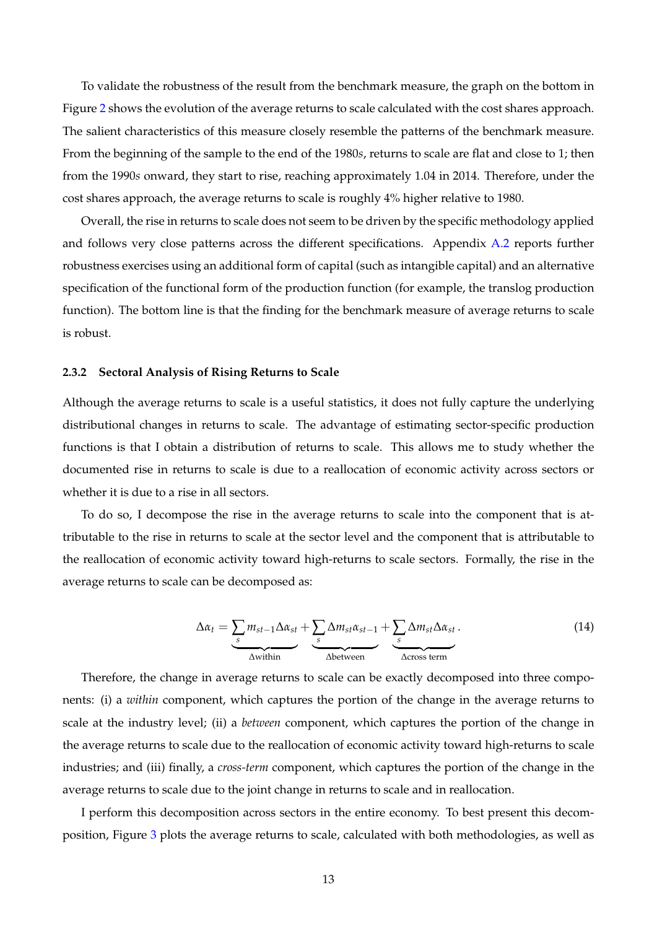To validate the robustness of the result from the benchmark measure, the graph on the bottom in Figure [2](#page-12-1) shows the evolution of the average returns to scale calculated with the cost shares approach. The salient characteristics of this measure closely resemble the patterns of the benchmark measure. From the beginning of the sample to the end of the 1980*s*, returns to scale are flat and close to 1; then from the 1990*s* onward, they start to rise, reaching approximately 1.04 in 2014. Therefore, under the cost shares approach, the average returns to scale is roughly 4% higher relative to 1980.

Overall, the rise in returns to scale does not seem to be driven by the specific methodology applied and follows very close patterns across the different specifications. Appendix [A.2](#page-46-0) reports further robustness exercises using an additional form of capital (such as intangible capital) and an alternative specification of the functional form of the production function (for example, the translog production function). The bottom line is that the finding for the benchmark measure of average returns to scale is robust.

## **2.3.2 Sectoral Analysis of Rising Returns to Scale**

Although the average returns to scale is a useful statistics, it does not fully capture the underlying distributional changes in returns to scale. The advantage of estimating sector-specific production functions is that I obtain a distribution of returns to scale. This allows me to study whether the documented rise in returns to scale is due to a reallocation of economic activity across sectors or whether it is due to a rise in all sectors.

To do so, I decompose the rise in the average returns to scale into the component that is attributable to the rise in returns to scale at the sector level and the component that is attributable to the reallocation of economic activity toward high-returns to scale sectors. Formally, the rise in the average returns to scale can be decomposed as:

<span id="page-13-0"></span>
$$
\Delta \alpha_t = \underbrace{\sum_{s} m_{st-1} \Delta \alpha_{st}}_{\Delta \text{within}} + \underbrace{\sum_{s} \Delta m_{st} \alpha_{st-1}}_{\Delta \text{between}} + \underbrace{\sum_{s} \Delta m_{st} \Delta \alpha_{st}}_{\Delta \text{cross term}}.
$$
(14)

Therefore, the change in average returns to scale can be exactly decomposed into three components: (i) a *within* component, which captures the portion of the change in the average returns to scale at the industry level; (ii) a *between* component, which captures the portion of the change in the average returns to scale due to the reallocation of economic activity toward high-returns to scale industries; and (iii) finally, a *cross-term* component, which captures the portion of the change in the average returns to scale due to the joint change in returns to scale and in reallocation.

I perform this decomposition across sectors in the entire economy. To best present this decomposition, Figure [3](#page-14-0) plots the average returns to scale, calculated with both methodologies, as well as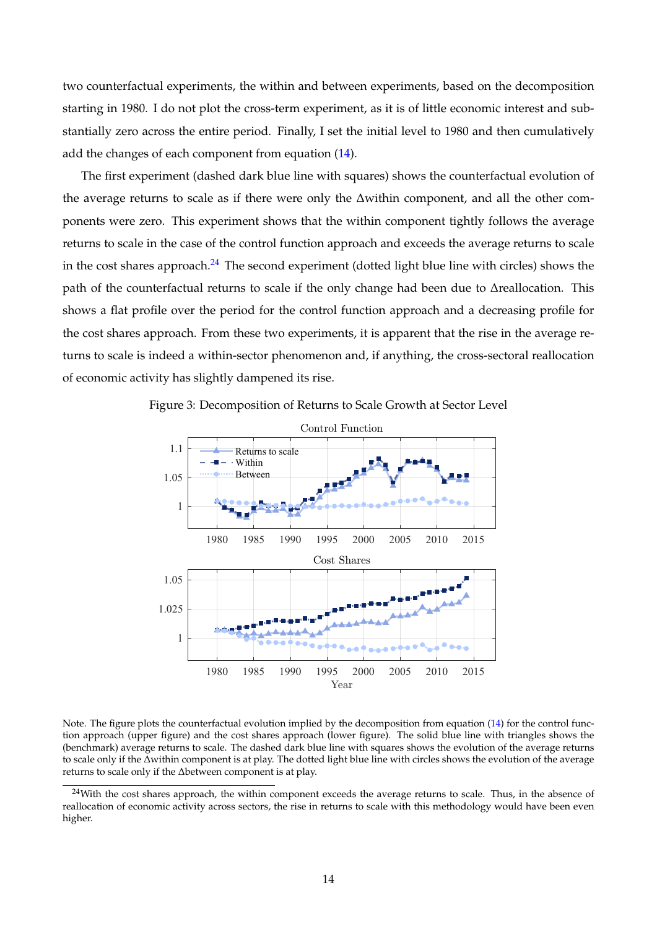two counterfactual experiments, the within and between experiments, based on the decomposition starting in 1980. I do not plot the cross-term experiment, as it is of little economic interest and substantially zero across the entire period. Finally, I set the initial level to 1980 and then cumulatively add the changes of each component from equation [\(14\)](#page-13-0).

The first experiment (dashed dark blue line with squares) shows the counterfactual evolution of the average returns to scale as if there were only the ∆within component, and all the other components were zero. This experiment shows that the within component tightly follows the average returns to scale in the case of the control function approach and exceeds the average returns to scale in the cost shares approach.<sup>[24](#page-14-1)</sup> The second experiment (dotted light blue line with circles) shows the path of the counterfactual returns to scale if the only change had been due to ∆reallocation. This shows a flat profile over the period for the control function approach and a decreasing profile for the cost shares approach. From these two experiments, it is apparent that the rise in the average returns to scale is indeed a within-sector phenomenon and, if anything, the cross-sectoral reallocation of economic activity has slightly dampened its rise.

<span id="page-14-0"></span>



Note. The figure plots the counterfactual evolution implied by the decomposition from equation [\(14\)](#page-13-0) for the control function approach (upper figure) and the cost shares approach (lower figure). The solid blue line with triangles shows the (benchmark) average returns to scale. The dashed dark blue line with squares shows the evolution of the average returns to scale only if the ∆within component is at play. The dotted light blue line with circles shows the evolution of the average returns to scale only if the ∆between component is at play.

<span id="page-14-1"></span><sup>&</sup>lt;sup>24</sup>With the cost shares approach, the within component exceeds the average returns to scale. Thus, in the absence of reallocation of economic activity across sectors, the rise in returns to scale with this methodology would have been even higher.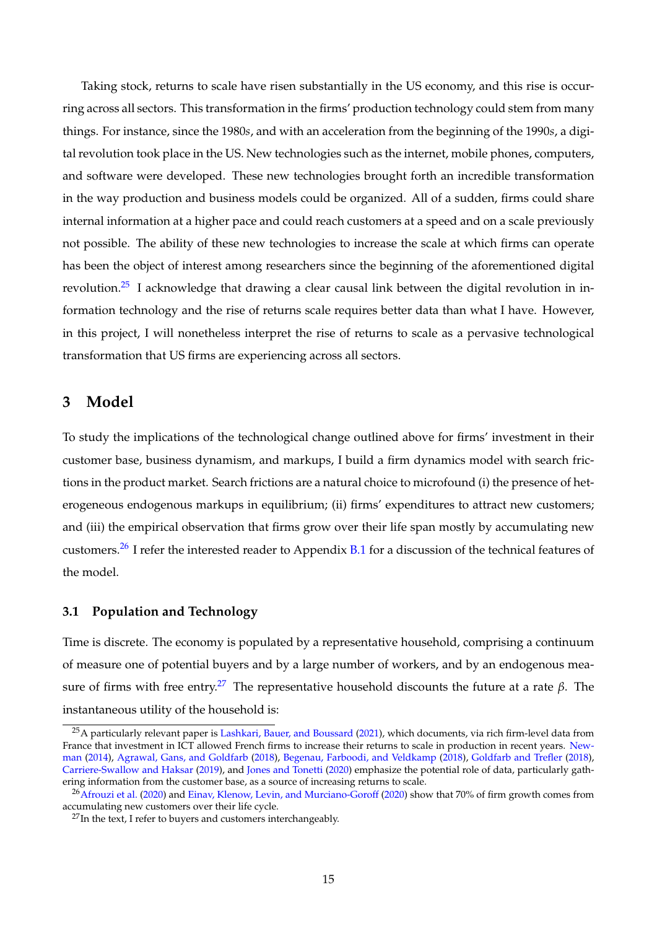Taking stock, returns to scale have risen substantially in the US economy, and this rise is occurring across all sectors. This transformation in the firms' production technology could stem from many things. For instance, since the 1980*s*, and with an acceleration from the beginning of the 1990*s*, a digital revolution took place in the US. New technologies such as the internet, mobile phones, computers, and software were developed. These new technologies brought forth an incredible transformation in the way production and business models could be organized. All of a sudden, firms could share internal information at a higher pace and could reach customers at a speed and on a scale previously not possible. The ability of these new technologies to increase the scale at which firms can operate has been the object of interest among researchers since the beginning of the aforementioned digital revolution.<sup>[25](#page-15-1)</sup> I acknowledge that drawing a clear causal link between the digital revolution in information technology and the rise of returns scale requires better data than what I have. However, in this project, I will nonetheless interpret the rise of returns to scale as a pervasive technological transformation that US firms are experiencing across all sectors.

# <span id="page-15-0"></span>**3 Model**

To study the implications of the technological change outlined above for firms' investment in their customer base, business dynamism, and markups, I build a firm dynamics model with search frictions in the product market. Search frictions are a natural choice to microfound (i) the presence of heterogeneous endogenous markups in equilibrium; (ii) firms' expenditures to attract new customers; and (iii) the empirical observation that firms grow over their life span mostly by accumulating new customers.[26](#page-15-2) I refer the interested reader to Appendix [B.1](#page-53-0) for a discussion of the technical features of the model.

# **3.1 Population and Technology**

Time is discrete. The economy is populated by a representative household, comprising a continuum of measure one of potential buyers and by a large number of workers, and by an endogenous mea-sure of firms with free entry.<sup>[27](#page-15-3)</sup> The representative household discounts the future at a rate *β*. The instantaneous utility of the household is:

<span id="page-15-1"></span><sup>&</sup>lt;sup>25</sup>A particularly relevant paper is [Lashkari, Bauer, and Boussard](#page-67-6) [\(2021\)](#page-67-6), which documents, via rich firm-level data from France that investment in ICT allowed French firms to increase their returns to scale in production in recent years. [New](#page-67-5)[man](#page-67-5) [\(2014\)](#page-67-5), [Agrawal, Gans, and Goldfarb](#page-65-4) [\(2018\)](#page-65-4), [Begenau, Farboodi, and Veldkamp](#page-65-5) [\(2018\)](#page-65-5), [Goldfarb and Trefler](#page-66-5) [\(2018\)](#page-66-5), [Carriere-Swallow and Haksar](#page-65-6) [\(2019\)](#page-65-6), and [Jones and Tonetti](#page-66-6) [\(2020\)](#page-66-6) emphasize the potential role of data, particularly gathering information from the customer base, as a source of increasing returns to scale.

<span id="page-15-2"></span> $^{26}$ [Afrouzi et al.](#page-65-7) [\(2020\)](#page-66-8) and [Einav, Klenow, Levin, and Murciano-Goroff](#page-66-8) (2020) show that 70% of firm growth comes from accumulating new customers over their life cycle.

<span id="page-15-3"></span> $^{27}$ In the text, I refer to buyers and customers interchangeably.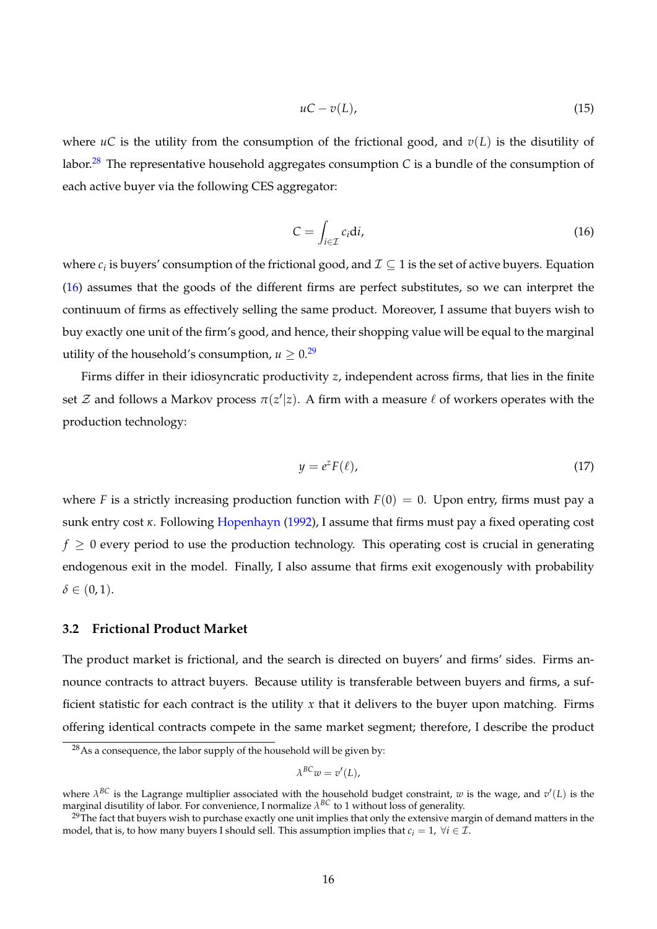$$
uC - v(L), \tag{15}
$$

where  $\mathfrak{u}C$  is the utility from the consumption of the frictional good, and  $\mathfrak{v}(L)$  is the disutility of labor.<sup>[28](#page-16-0)</sup> The representative household aggregates consumption *C* is a bundle of the consumption of each active buyer via the following CES aggregator:

<span id="page-16-1"></span>
$$
C = \int_{i \in \mathcal{I}} c_i \mathrm{d}i,\tag{16}
$$

where  $c_i$  is buyers' consumption of the frictional good, and  $\mathcal{I} \subseteq 1$  is the set of active buyers. Equation [\(16\)](#page-16-1) assumes that the goods of the different firms are perfect substitutes, so we can interpret the continuum of firms as effectively selling the same product. Moreover, I assume that buyers wish to buy exactly one unit of the firm's good, and hence, their shopping value will be equal to the marginal utility of the household's consumption,  $u > 0$ .<sup>[29](#page-16-2)</sup>

Firms differ in their idiosyncratic productivity *z*, independent across firms, that lies in the finite set  $\mathcal Z$  and follows a Markov process  $\pi(z'|z)$ . A firm with a measure  $\ell$  of workers operates with the production technology:

$$
y = e^z F(\ell), \tag{17}
$$

where *F* is a strictly increasing production function with  $F(0) = 0$ . Upon entry, firms must pay a sunk entry cost *κ*. Following [Hopenhayn](#page-66-7) [\(1992\)](#page-66-7), I assume that firms must pay a fixed operating cost  $f \geq 0$  every period to use the production technology. This operating cost is crucial in generating endogenous exit in the model. Finally, I also assume that firms exit exogenously with probability  $\delta \in (0,1)$ .

## **3.2 Frictional Product Market**

The product market is frictional, and the search is directed on buyers' and firms' sides. Firms announce contracts to attract buyers. Because utility is transferable between buyers and firms, a sufficient statistic for each contract is the utility *x* that it delivers to the buyer upon matching. Firms offering identical contracts compete in the same market segment; therefore, I describe the product

$$
\lambda^{BC}w=v'(L),
$$

<span id="page-16-0"></span> $28$ As a consequence, the labor supply of the household will be given by:

where  $\lambda^{BC}$  is the Lagrange multiplier associated with the household budget constraint, w is the wage, and  $v'(L)$  is the marginal disutility of labor. For convenience, I normalize *λ BC* to 1 without loss of generality.

<span id="page-16-2"></span> $29$ The fact that buyers wish to purchase exactly one unit implies that only the extensive margin of demand matters in the model, that is, to how many buyers I should sell. This assumption implies that  $c_i = 1$ ,  $\forall i \in \mathcal{I}$ .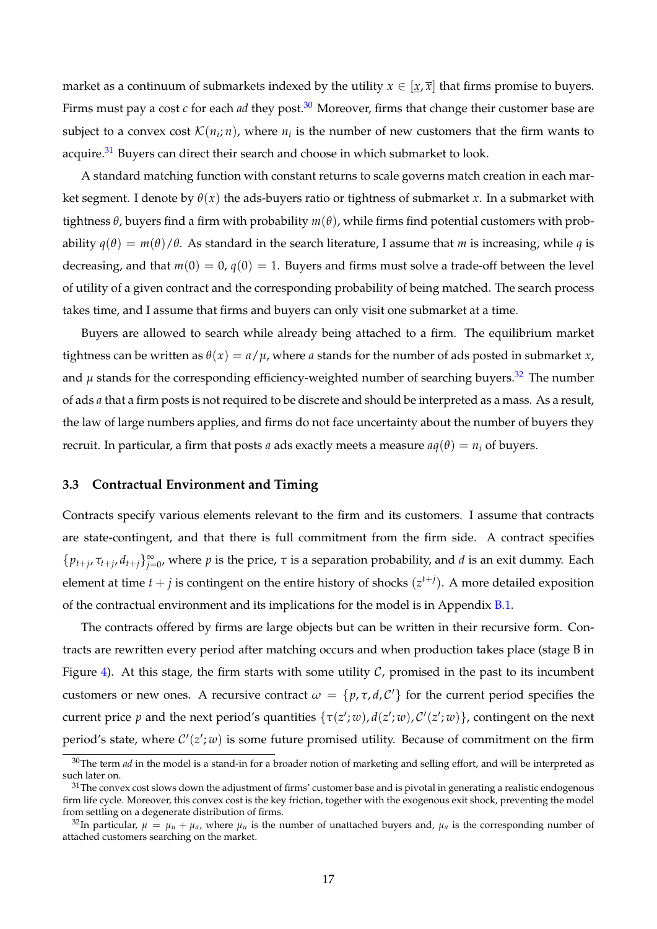market as a continuum of submarkets indexed by the utility  $x \in [x, \overline{x}]$  that firms promise to buyers. Firms must pay a cost  $c$  for each *ad* they post.<sup>[30](#page-17-0)</sup> Moreover, firms that change their customer base are subject to a convex cost  $\mathcal{K}(n_i;n)$ , where  $n_i$  is the number of new customers that the firm wants to acquire.<sup>[31](#page-17-1)</sup> Buyers can direct their search and choose in which submarket to look.

A standard matching function with constant returns to scale governs match creation in each market segment. I denote by  $\theta(x)$  the ads-buyers ratio or tightness of submarket *x*. In a submarket with tightness  $\theta$ , buyers find a firm with probability  $m(\theta)$ , while firms find potential customers with probability  $q(\theta) = m(\theta)/\theta$ . As standard in the search literature, I assume that *m* is increasing, while *q* is decreasing, and that  $m(0) = 0$ ,  $q(0) = 1$ . Buyers and firms must solve a trade-off between the level of utility of a given contract and the corresponding probability of being matched. The search process takes time, and I assume that firms and buyers can only visit one submarket at a time.

Buyers are allowed to search while already being attached to a firm. The equilibrium market tightness can be written as  $\theta(x) = a/\mu$ , where *a* stands for the number of ads posted in submarket *x*, and  $\mu$  stands for the corresponding efficiency-weighted number of searching buyers.<sup>[32](#page-17-2)</sup> The number of ads *a* that a firm posts is not required to be discrete and should be interpreted as a mass. As a result, the law of large numbers applies, and firms do not face uncertainty about the number of buyers they recruit. In particular, a firm that posts *a* ads exactly meets a measure  $aq(\theta) = n_i$  of buyers.

## <span id="page-17-3"></span>**3.3 Contractual Environment and Timing**

Contracts specify various elements relevant to the firm and its customers. I assume that contracts are state-contingent, and that there is full commitment from the firm side. A contract specifies  $\{p_{t+j}, \tau_{t+j}, d_{t+j}\}_{j=0}^{\infty}$ , where *p* is the price,  $\tau$  is a separation probability, and *d* is an exit dummy. Each element at time  $t + j$  is contingent on the entire history of shocks  $(z^{t+j})$ . A more detailed exposition of the contractual environment and its implications for the model is in Appendix [B.1.](#page-53-0)

The contracts offered by firms are large objects but can be written in their recursive form. Contracts are rewritten every period after matching occurs and when production takes place (stage B in Figure [4\)](#page-18-0). At this stage, the firm starts with some utility  $C$ , promised in the past to its incumbent customers or new ones. A recursive contract  $\omega = \{p, \tau, d, C'\}$  for the current period specifies the current price  $p$  and the next period's quantities  $\{\tau(z';w)$ ,  $d(z';w)$ ,  $\mathcal{C}'(z';w)\}$ , contingent on the next period's state, where  $C'(z'; w)$  is some future promised utility. Because of commitment on the firm

<span id="page-17-0"></span><sup>&</sup>lt;sup>30</sup>The term *ad* in the model is a stand-in for a broader notion of marketing and selling effort, and will be interpreted as such later on.

<span id="page-17-1"></span> $31$ The convex cost slows down the adjustment of firms' customer base and is pivotal in generating a realistic endogenous firm life cycle. Moreover, this convex cost is the key friction, together with the exogenous exit shock, preventing the model from settling on a degenerate distribution of firms.

<span id="page-17-2"></span><sup>&</sup>lt;sup>32</sup>In particular,  $\mu = \mu_u + \mu_a$ , where  $\mu_u$  is the number of unattached buyers and,  $\mu_a$  is the corresponding number of attached customers searching on the market.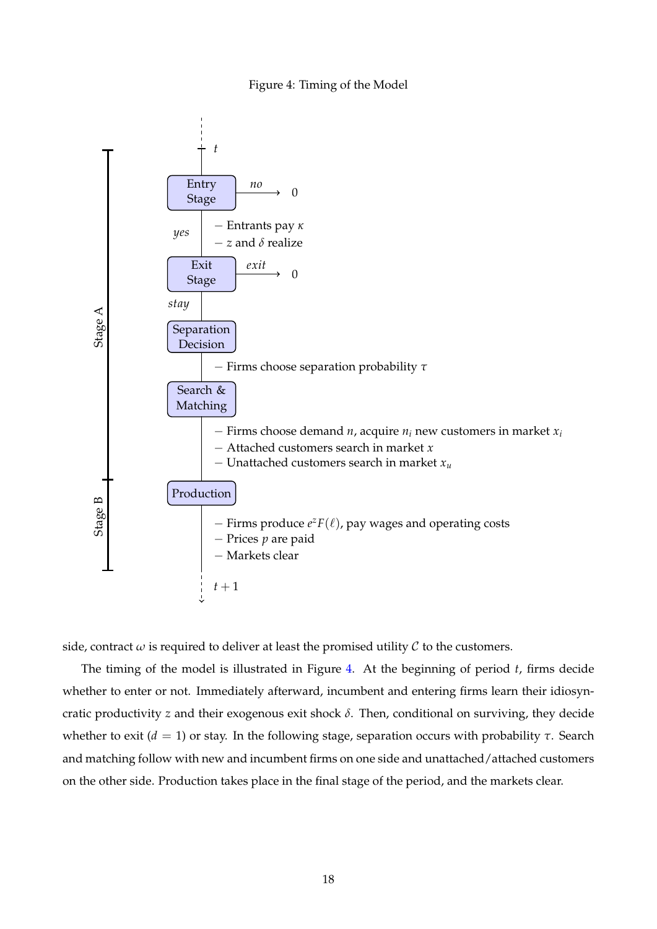#### Figure 4: Timing of the Model

<span id="page-18-0"></span>

side, contract  $\omega$  is required to deliver at least the promised utility  $\mathcal C$  to the customers.

The timing of the model is illustrated in Figure [4.](#page-18-0) At the beginning of period *t*, firms decide whether to enter or not. Immediately afterward, incumbent and entering firms learn their idiosyncratic productivity *z* and their exogenous exit shock *δ*. Then, conditional on surviving, they decide whether to exit ( $d = 1$ ) or stay. In the following stage, separation occurs with probability *τ*. Search and matching follow with new and incumbent firms on one side and unattached/attached customers on the other side. Production takes place in the final stage of the period, and the markets clear.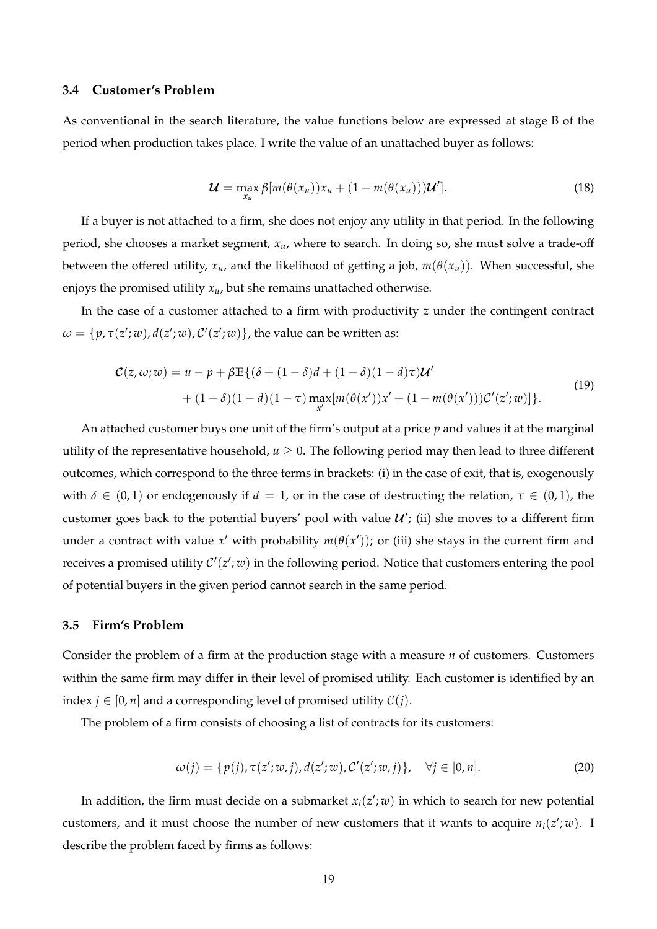# **3.4 Customer's Problem**

As conventional in the search literature, the value functions below are expressed at stage B of the period when production takes place. I write the value of an unattached buyer as follows:

<span id="page-19-1"></span>
$$
\mathcal{U} = \max_{x_u} \beta [m(\theta(x_u))x_u + (1 - m(\theta(x_u)))\mathcal{U}'].
$$
 (18)

If a buyer is not attached to a firm, she does not enjoy any utility in that period. In the following period, she chooses a market segment, *xu*, where to search. In doing so, she must solve a trade-off between the offered utility,  $x_u$ , and the likelihood of getting a job,  $m(\theta(x_u))$ . When successful, she enjoys the promised utility  $x_u$ , but she remains unattached otherwise.

In the case of a customer attached to a firm with productivity *z* under the contingent contract  $\omega = \{p, \tau(z';w)$ ,  $d(z';w)$ ,  $\mathcal{C}'(z';w)\}$ , the value can be written as:

<span id="page-19-0"></span>
$$
\mathcal{C}(z,\omega;w) = u - p + \beta \mathbb{E}\{(\delta + (1-\delta)d + (1-\delta)(1-d)\tau)\mathcal{U}' + (1-\delta)(1-d)(1-\tau)\max_{x'}[m(\theta(x'))x' + (1-m(\theta(x')))\mathcal{C}'(z';w)]\}.
$$
\n(19)

An attached customer buys one unit of the firm's output at a price *p* and values it at the marginal utility of the representative household,  $u \geq 0$ . The following period may then lead to three different outcomes, which correspond to the three terms in brackets: (i) in the case of exit, that is, exogenously with  $\delta \in (0,1)$  or endogenously if  $d = 1$ , or in the case of destructing the relation,  $\tau \in (0,1)$ , the customer goes back to the potential buyers' pool with value  $\mathcal{U}'$ ; (ii) she moves to a different firm under a contract with value  $x'$  with probability  $m(\theta(x'))$ ; or (iii) she stays in the current firm and receives a promised utility  $\mathcal{C}'(z';w)$  in the following period. Notice that customers entering the pool of potential buyers in the given period cannot search in the same period.

## **3.5 Firm's Problem**

Consider the problem of a firm at the production stage with a measure *n* of customers. Customers within the same firm may differ in their level of promised utility. Each customer is identified by an index *j*  $\in$  [0, *n*] and a corresponding level of promised utility  $C(i)$ .

The problem of a firm consists of choosing a list of contracts for its customers:

$$
\omega(j) = \{p(j), \tau(z'; w, j), d(z'; w), C'(z'; w, j)\}, \quad \forall j \in [0, n].
$$
 (20)

In addition, the firm must decide on a submarket  $x_i(z';w)$  in which to search for new potential customers, and it must choose the number of new customers that it wants to acquire  $n_i(z';w)$ . I describe the problem faced by firms as follows: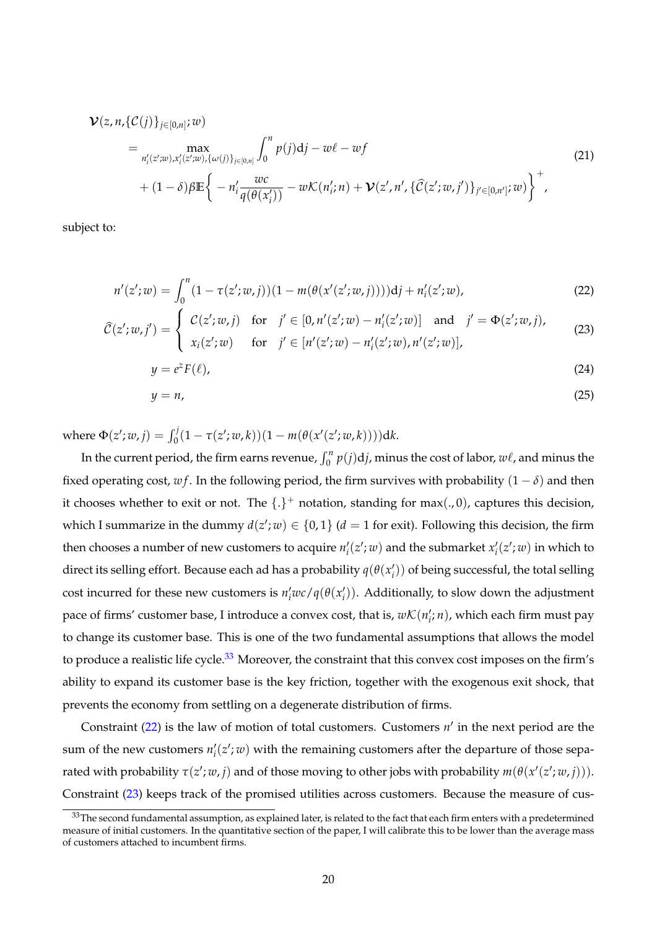<span id="page-20-5"></span>
$$
\mathcal{V}(z, n, \{\mathcal{C}(j)\}_{j \in [0,n]}; w) = \max_{n'_{i}(z';w), x'_{i}(z';w), \{\omega(j)\}_{j \in [0,n]}} \int_{0}^{n} p(j) \mathrm{d}j - w\ell - w f + (1 - \delta) \beta \mathbb{E} \bigg\{ -n'_{i} \frac{wc}{q(\theta(x'_{i}))} - w\mathcal{K}(n'_{i}; n) + \mathcal{V}(z', n', \{\widehat{\mathcal{C}}(z';w, j')\}_{j' \in [0,n']}; w) \bigg\}^{+}, \tag{21}
$$

subject to:

$$
n'(z';w) = \int_0^n (1 - \tau(z';w, j))(1 - m(\theta(x'(z';w, j))))\mathrm{d}j + n'_i(z';w),\tag{22}
$$

$$
\widehat{\mathcal{C}}(z'; w, j') = \begin{cases}\n\mathcal{C}(z'; w, j) & \text{for} \quad j' \in [0, n'(z'; w) - n'_i(z'; w)] \quad \text{and} \quad j' = \Phi(z'; w, j), \\
x_i(z'; w) & \text{for} \quad j' \in [n'(z'; w) - n'_i(z'; w), n'(z'; w)],\n\end{cases}
$$
\n(23)

<span id="page-20-1"></span>
$$
y = e^z F(\ell), \tag{24}
$$

<span id="page-20-4"></span><span id="page-20-3"></span><span id="page-20-2"></span>
$$
y = n,\tag{25}
$$

 ${\rm where} \ \Phi(z';w,j) = \int_0^j (1-\tau(z';w,k))(1-m(\theta(x'(z';w,k)))) {\rm d} k.$ 

In the current period, the firm earns revenue,  $\int_0^n p(j)\text{d}j$ , minus the cost of labor,  $w\ell$ , and minus the fixed operating cost,  $wf$ . In the following period, the firm survives with probability  $(1 - \delta)$  and then it chooses whether to exit or not. The  $\{\cdot\}^+$  notation, standing for max(.,0), captures this decision, which I summarize in the dummy  $d(z'; w) \in \{0, 1\}$  ( $d = 1$  for exit). Following this decision, the firm then chooses a number of new customers to acquire  $n_i'(z';w)$  and the submarket  $x_i'(z';w)$  in which to direct its selling effort. Because each ad has a probability  $q(\theta(x'_i))$  of being successful, the total selling cost incurred for these new customers is  $n'_iwc/q(\theta(x'_i))$ . Additionally, to slow down the adjustment pace of firms' customer base, I introduce a convex cost, that is,  $w\mathcal{K}(n'_i;n)$ , which each firm must pay to change its customer base. This is one of the two fundamental assumptions that allows the model to produce a realistic life cycle.<sup>[33](#page-20-0)</sup> Moreover, the constraint that this convex cost imposes on the firm's ability to expand its customer base is the key friction, together with the exogenous exit shock, that prevents the economy from settling on a degenerate distribution of firms.

Constraint  $(22)$  is the law of motion of total customers. Customers  $n'$  in the next period are the sum of the new customers  $n'_{i}(z'; w)$  with the remaining customers after the departure of those sepa $x$  rated with probability  $\tau(z'; w, j)$  and of those moving to other jobs with probability  $m(\theta(x'(z'; w, j))).$ Constraint [\(23\)](#page-20-2) keeps track of the promised utilities across customers. Because the measure of cus-

<span id="page-20-0"></span><sup>&</sup>lt;sup>33</sup>The second fundamental assumption, as explained later, is related to the fact that each firm enters with a predetermined measure of initial customers. In the quantitative section of the paper, I will calibrate this to be lower than the average mass of customers attached to incumbent firms.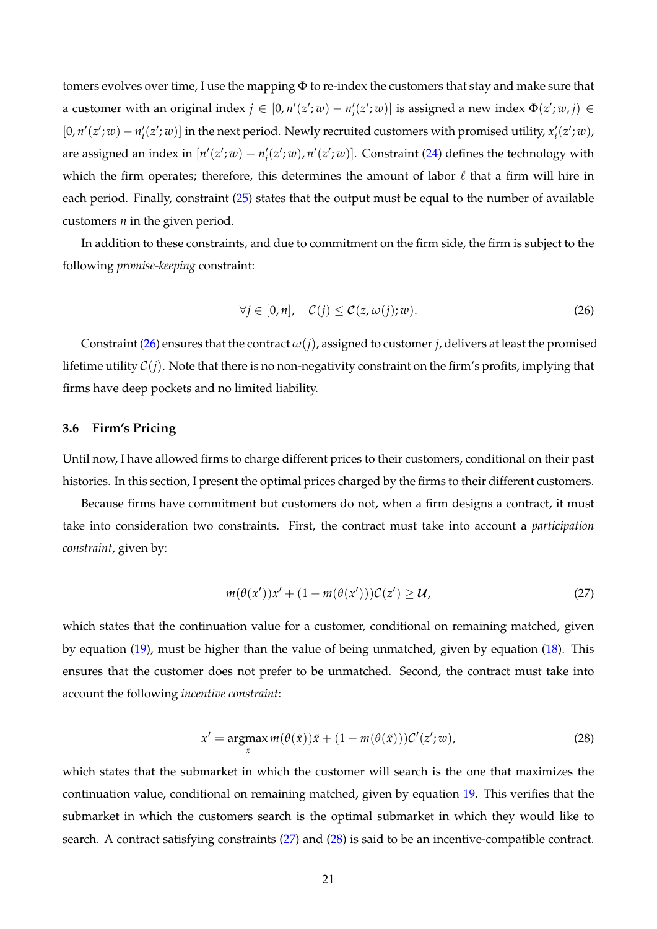tomers evolves over time, I use the mapping Φ to re-index the customers that stay and make sure that a customer with an original index  $j \in [0, n'(z'; w) - n'_i(z'; w)]$  is assigned a new index  $\Phi(z'; w, j) \in$ [0,  $n'(z'; w) - n'_i(z'; w)$ ] in the next period. Newly recruited customers with promised utility,  $x'_i(z'; w)$ , are assigned an index in  $[n'(z';w) - n'_i(z';w)$ ,  $n'(z';w)$ ]. Constraint [\(24\)](#page-20-3) defines the technology with which the firm operates; therefore, this determines the amount of labor  $\ell$  that a firm will hire in each period. Finally, constraint [\(25\)](#page-20-4) states that the output must be equal to the number of available customers *n* in the given period.

In addition to these constraints, and due to commitment on the firm side, the firm is subject to the following *promise-keeping* constraint:

<span id="page-21-0"></span>
$$
\forall j \in [0, n], \quad \mathcal{C}(j) \leq \mathcal{C}(z, \omega(j); w). \tag{26}
$$

Constraint [\(26\)](#page-21-0) ensures that the contract  $\omega(i)$ , assigned to customer *j*, delivers at least the promised lifetime utility  $C(i)$ . Note that there is no non-negativity constraint on the firm's profits, implying that firms have deep pockets and no limited liability.

# <span id="page-21-3"></span>**3.6 Firm's Pricing**

Until now, I have allowed firms to charge different prices to their customers, conditional on their past histories. In this section, I present the optimal prices charged by the firms to their different customers.

Because firms have commitment but customers do not, when a firm designs a contract, it must take into consideration two constraints. First, the contract must take into account a *participation constraint*, given by:

<span id="page-21-1"></span>
$$
m(\theta(x'))x' + (1 - m(\theta(x')))\mathcal{C}(z') \ge \mathcal{U},\tag{27}
$$

which states that the continuation value for a customer, conditional on remaining matched, given by equation [\(19\)](#page-19-0), must be higher than the value of being unmatched, given by equation [\(18\)](#page-19-1). This ensures that the customer does not prefer to be unmatched. Second, the contract must take into account the following *incentive constraint*:

<span id="page-21-2"></span>
$$
x' = \underset{\tilde{x}}{\operatorname{argmax}} m(\theta(\tilde{x}))\tilde{x} + (1 - m(\theta(\tilde{x})))\mathcal{C}'(z';w),
$$
\n(28)

which states that the submarket in which the customer will search is the one that maximizes the continuation value, conditional on remaining matched, given by equation [19.](#page-19-0) This verifies that the submarket in which the customers search is the optimal submarket in which they would like to search. A contract satisfying constraints [\(27\)](#page-21-1) and [\(28\)](#page-21-2) is said to be an incentive-compatible contract.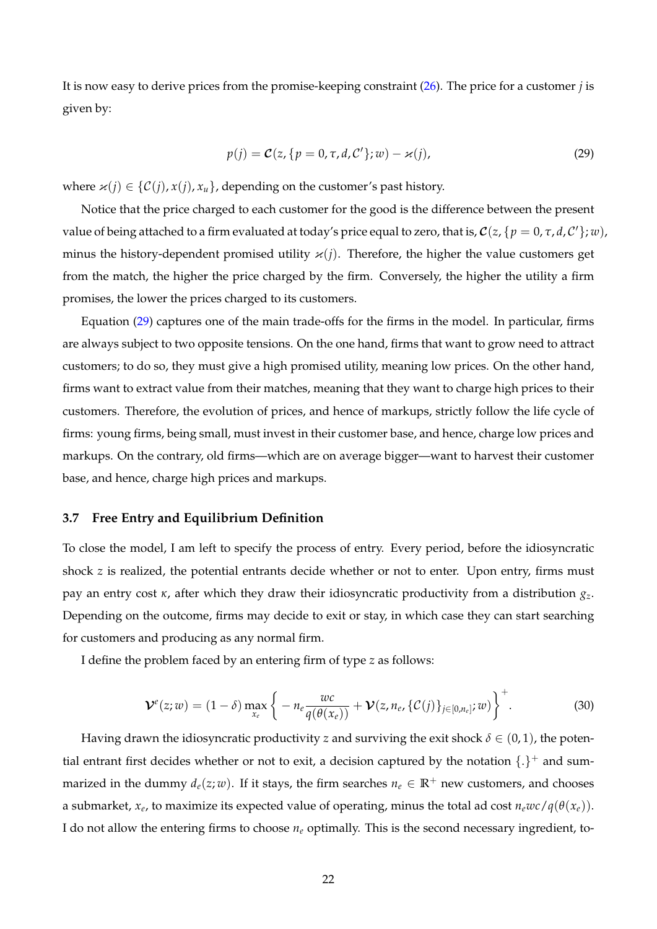It is now easy to derive prices from the promise-keeping constraint [\(26\)](#page-21-0). The price for a customer *j* is given by:

<span id="page-22-0"></span>
$$
p(j) = \mathcal{C}(z, \{p = 0, \tau, d, C'\}; w) - \varkappa(j),
$$
\n(29)

where  $\varkappa(j) \in \{C(j), x(j), x_u\}$ , depending on the customer's past history.

Notice that the price charged to each customer for the good is the difference between the present value of being attached to a firm evaluated at today's price equal to zero, that is,  $\mathcal{C}(z,\{p=0,\tau,d,\mathcal{C}'\};w)$ , minus the history-dependent promised utility  $\varkappa(j)$ . Therefore, the higher the value customers get from the match, the higher the price charged by the firm. Conversely, the higher the utility a firm promises, the lower the prices charged to its customers.

Equation [\(29\)](#page-22-0) captures one of the main trade-offs for the firms in the model. In particular, firms are always subject to two opposite tensions. On the one hand, firms that want to grow need to attract customers; to do so, they must give a high promised utility, meaning low prices. On the other hand, firms want to extract value from their matches, meaning that they want to charge high prices to their customers. Therefore, the evolution of prices, and hence of markups, strictly follow the life cycle of firms: young firms, being small, must invest in their customer base, and hence, charge low prices and markups. On the contrary, old firms—which are on average bigger—want to harvest their customer base, and hence, charge high prices and markups.

# **3.7 Free Entry and Equilibrium Definition**

To close the model, I am left to specify the process of entry. Every period, before the idiosyncratic shock *z* is realized, the potential entrants decide whether or not to enter. Upon entry, firms must pay an entry cost *κ*, after which they draw their idiosyncratic productivity from a distribution *gz*. Depending on the outcome, firms may decide to exit or stay, in which case they can start searching for customers and producing as any normal firm.

I define the problem faced by an entering firm of type *z* as follows:

<span id="page-22-1"></span>
$$
\mathcal{V}^{e}(z; w) = (1 - \delta) \max_{x_e} \left\{ -n_e \frac{w c}{q(\theta(x_e))} + \mathcal{V}(z, n_e, \{ \mathcal{C}(j) \}_{j \in [0, n_e]}; w) \right\}^+.
$$
 (30)

Having drawn the idiosyncratic productivity *z* and surviving the exit shock  $\delta \in (0,1)$ , the potential entrant first decides whether or not to exit, a decision captured by the notation  $\{\cdot\}^+$  and summarized in the dummy  $d_e(z; w)$ . If it stays, the firm searches  $n_e \in \mathbb{R}^+$  new customers, and chooses a submarket,  $x_e$ , to maximize its expected value of operating, minus the total ad cost  $n_ewc/q(\theta(x_e))$ . I do not allow the entering firms to choose *n<sup>e</sup>* optimally. This is the second necessary ingredient, to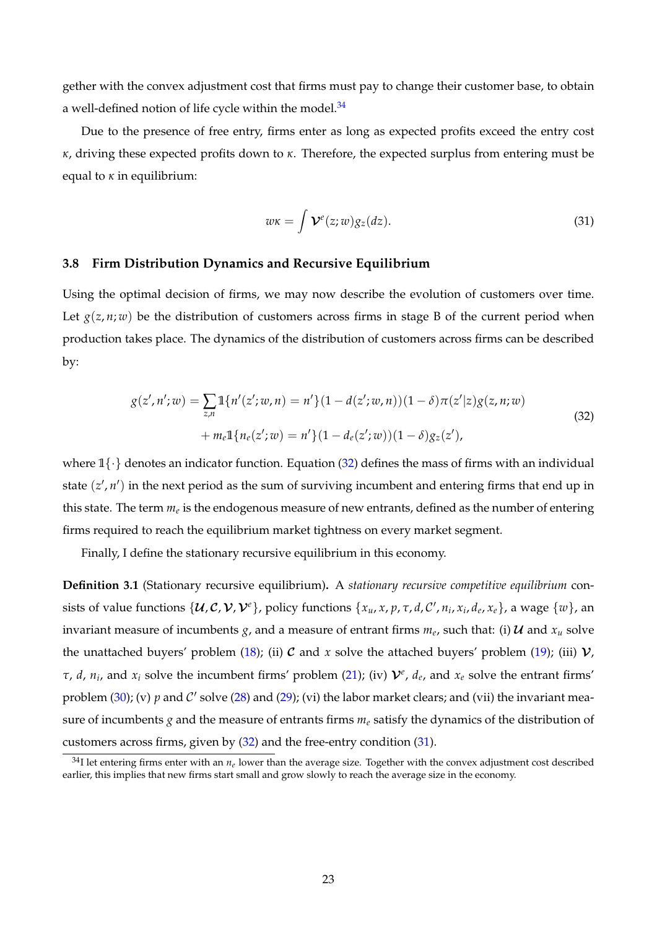gether with the convex adjustment cost that firms must pay to change their customer base, to obtain a well-defined notion of life cycle within the model. $34$ 

Due to the presence of free entry, firms enter as long as expected profits exceed the entry cost *κ*, driving these expected profits down to *κ*. Therefore, the expected surplus from entering must be equal to *κ* in equilibrium:

<span id="page-23-2"></span>
$$
w\kappa = \int \mathcal{V}^e(z;w)g_z(dz). \tag{31}
$$

# **3.8 Firm Distribution Dynamics and Recursive Equilibrium**

Using the optimal decision of firms, we may now describe the evolution of customers over time. Let  $g(z, n; w)$  be the distribution of customers across firms in stage B of the current period when production takes place. The dynamics of the distribution of customers across firms can be described by:

<span id="page-23-1"></span>
$$
g(z', n'; w) = \sum_{z,n} \mathbb{1}\{n'(z'; w, n) = n'\}(1 - d(z'; w, n))(1 - \delta)\pi(z'|z)g(z, n; w) + m_e \mathbb{1}\{n_e(z'; w) = n'\}(1 - d_e(z'; w))(1 - \delta)g_z(z'),
$$
\n(32)

where  $1\{\cdot\}$  denotes an indicator function. Equation [\(32\)](#page-23-1) defines the mass of firms with an individual state  $(z', n')$  in the next period as the sum of surviving incumbent and entering firms that end up in this state. The term  $m_e$  is the endogenous measure of new entrants*,* defined as the number of entering firms required to reach the equilibrium market tightness on every market segment.

Finally, I define the stationary recursive equilibrium in this economy.

**Definition 3.1** (Stationary recursive equilibrium)**.** A *stationary recursive competitive equilibrium* consists of value functions  $\{U,C,V,V^e\}$ , policy functions  $\{x_u,x,p,\tau,d,C',n_i,x_i,d_e,x_e\}$ , a wage  $\{w\}$ , an invariant measure of incumbents  $g$ , and a measure of entrant firms  $m_e$ , such that: (i)  $\cal{U}$  and  $x_u$  solve the unattached buyers' problem [\(18\)](#page-19-1); (ii) C and x solve the attached buyers' problem [\(19\)](#page-19-0); (iii)  $V$ , *τ*, *d*, *n*<sub>*i*</sub>, and *x*<sub>*i*</sub> solve the incumbent firms' problem [\(21\)](#page-20-5); (iv)  $\mathcal{V}^e$ , *d*<sub>*e*</sub>, and *x*<sub>*e*</sub> solve the entrant firms' problem [\(30\)](#page-22-1); (v)  $p$  and  $\mathcal{C}'$  solve [\(28\)](#page-21-2) and [\(29\)](#page-22-0); (vi) the labor market clears; and (vii) the invariant measure of incumbents *g* and the measure of entrants firms *m<sup>e</sup>* satisfy the dynamics of the distribution of customers across firms, given by [\(32\)](#page-23-1) and the free-entry condition [\(31\)](#page-23-2).

<span id="page-23-0"></span> $34$ I let entering firms enter with an  $n_e$  lower than the average size. Together with the convex adjustment cost described earlier, this implies that new firms start small and grow slowly to reach the average size in the economy.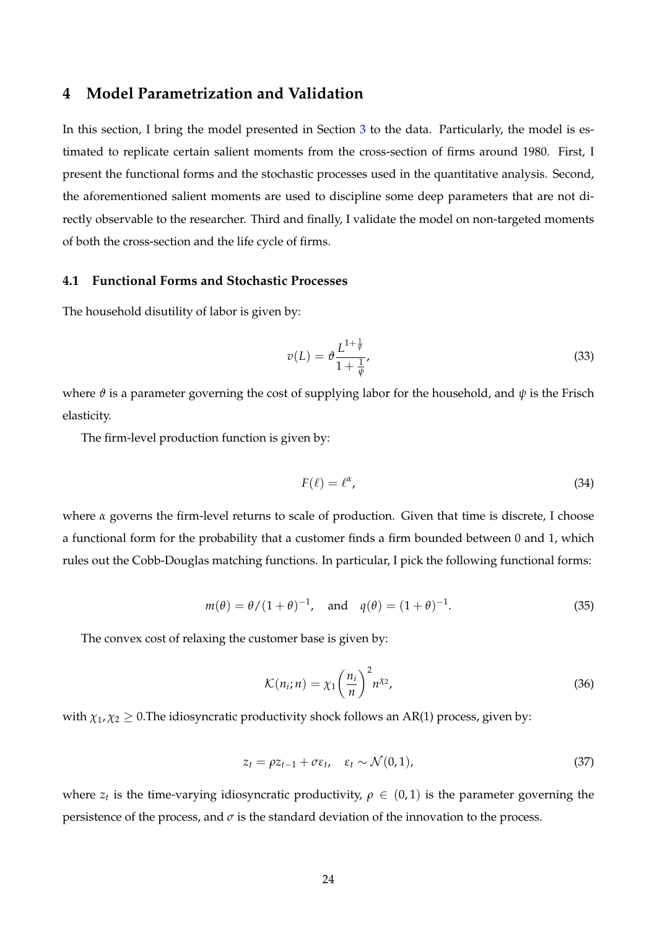# <span id="page-24-0"></span>**4 Model Parametrization and Validation**

In this section, I bring the model presented in Section [3](#page-15-0) to the data. Particularly, the model is estimated to replicate certain salient moments from the cross-section of firms around 1980. First, I present the functional forms and the stochastic processes used in the quantitative analysis. Second, the aforementioned salient moments are used to discipline some deep parameters that are not directly observable to the researcher. Third and finally, I validate the model on non-targeted moments of both the cross-section and the life cycle of firms.

# **4.1 Functional Forms and Stochastic Processes**

The household disutility of labor is given by:

$$
v(L) = \vartheta \frac{L^{1 + \frac{1}{\psi}}}{1 + \frac{1}{\psi}},
$$
\n(33)

where  $\vartheta$  is a parameter governing the cost of supplying labor for the household, and  $\psi$  is the Frisch elasticity.

The firm-level production function is given by:

$$
F(\ell) = \ell^{\alpha},\tag{34}
$$

where *α* governs the firm-level returns to scale of production. Given that time is discrete, I choose a functional form for the probability that a customer finds a firm bounded between 0 and 1, which rules out the Cobb-Douglas matching functions. In particular, I pick the following functional forms:

$$
m(\theta) = \theta/(1+\theta)^{-1}
$$
, and  $q(\theta) = (1+\theta)^{-1}$ . (35)

The convex cost of relaxing the customer base is given by:

$$
\mathcal{K}(n_i; n) = \chi_1 \left(\frac{n_i}{n}\right)^2 n^{\chi_2},\tag{36}
$$

with  $\chi_1, \chi_2 \geq 0$ . The idiosyncratic productivity shock follows an AR(1) process, given by:

$$
z_t = \rho z_{t-1} + \sigma \varepsilon_t, \quad \varepsilon_t \sim \mathcal{N}(0, 1), \tag{37}
$$

where  $z_t$  is the time-varying idiosyncratic productivity,  $\rho \in (0,1)$  is the parameter governing the persistence of the process, and  $\sigma$  is the standard deviation of the innovation to the process.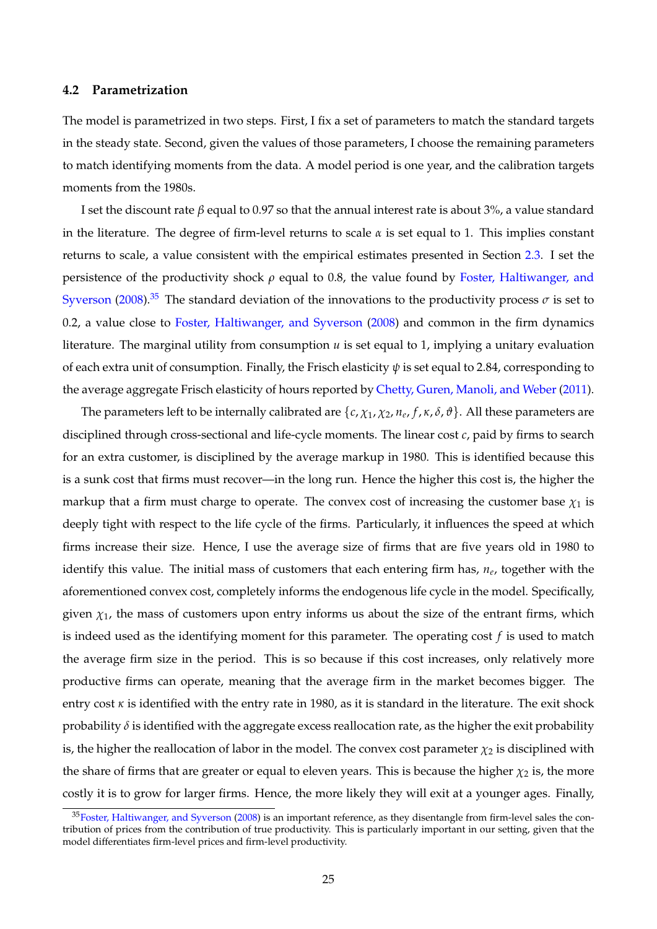# <span id="page-25-1"></span>**4.2 Parametrization**

The model is parametrized in two steps. First, I fix a set of parameters to match the standard targets in the steady state. Second, given the values of those parameters, I choose the remaining parameters to match identifying moments from the data. A model period is one year, and the calibration targets moments from the 1980s.

I set the discount rate *β* equal to 0.97 so that the annual interest rate is about 3%, a value standard in the literature. The degree of firm-level returns to scale *α* is set equal to 1. This implies constant returns to scale, a value consistent with the empirical estimates presented in Section [2.3.](#page-10-1) I set the persistence of the productivity shock *ρ* equal to 0.8, the value found by [Foster, Haltiwanger, and](#page-66-2) [Syverson](#page-66-2) [\(2008\)](#page-66-2).<sup>[35](#page-25-0)</sup> The standard deviation of the innovations to the productivity process  $\sigma$  is set to 0.2, a value close to [Foster, Haltiwanger, and Syverson](#page-66-2) [\(2008\)](#page-66-2) and common in the firm dynamics literature. The marginal utility from consumption *u* is set equal to 1, implying a unitary evaluation of each extra unit of consumption. Finally, the Frisch elasticity *ψ* is set equal to 2.84, corresponding to the average aggregate Frisch elasticity of hours reported by [Chetty, Guren, Manoli, and Weber](#page-65-24) [\(2011\)](#page-65-24).

The parameters left to be internally calibrated are {*c*, *χ*1, *χ*2, *n<sup>e</sup>* , *f* , *κ*, *δ*, *ϑ*}. All these parameters are disciplined through cross-sectional and life-cycle moments. The linear cost *c*, paid by firms to search for an extra customer, is disciplined by the average markup in 1980. This is identified because this is a sunk cost that firms must recover—in the long run. Hence the higher this cost is, the higher the markup that a firm must charge to operate. The convex cost of increasing the customer base  $\chi_1$  is deeply tight with respect to the life cycle of the firms. Particularly, it influences the speed at which firms increase their size. Hence, I use the average size of firms that are five years old in 1980 to identify this value. The initial mass of customers that each entering firm has, *n<sup>e</sup>* , together with the aforementioned convex cost, completely informs the endogenous life cycle in the model. Specifically, given  $\chi_1$ , the mass of customers upon entry informs us about the size of the entrant firms, which is indeed used as the identifying moment for this parameter. The operating cost *f* is used to match the average firm size in the period. This is so because if this cost increases, only relatively more productive firms can operate, meaning that the average firm in the market becomes bigger. The entry cost *κ* is identified with the entry rate in 1980, as it is standard in the literature. The exit shock probability  $\delta$  is identified with the aggregate excess reallocation rate, as the higher the exit probability is, the higher the reallocation of labor in the model. The convex cost parameter  $\chi_2$  is disciplined with the share of firms that are greater or equal to eleven years. This is because the higher  $\chi_2$  is, the more costly it is to grow for larger firms. Hence, the more likely they will exit at a younger ages. Finally,

<span id="page-25-0"></span> $35$ [Foster, Haltiwanger, and Syverson](#page-66-2) [\(2008\)](#page-66-2) is an important reference, as they disentangle from firm-level sales the contribution of prices from the contribution of true productivity. This is particularly important in our setting, given that the model differentiates firm-level prices and firm-level productivity.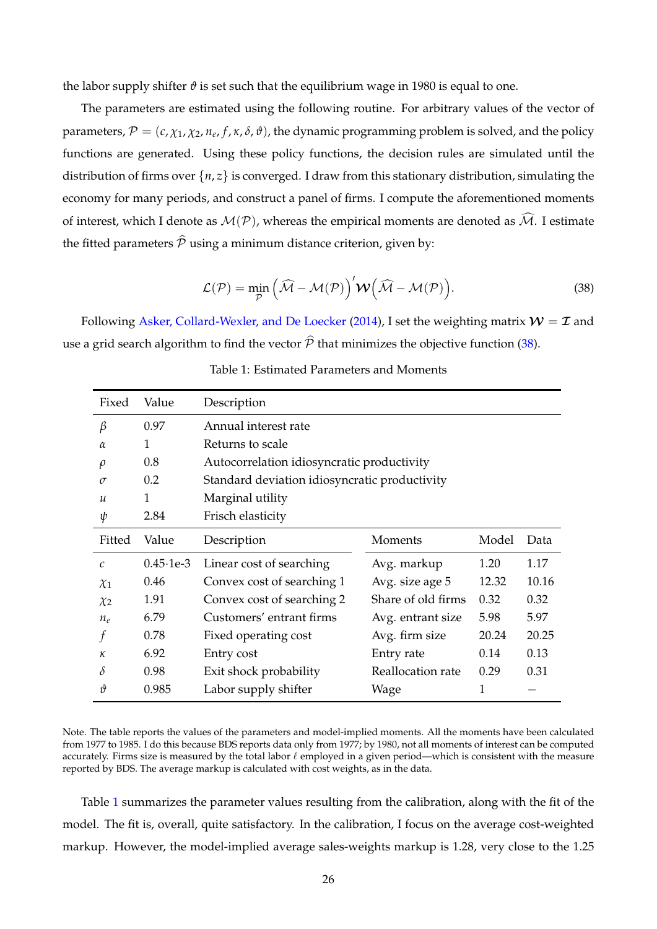the labor supply shifter  $\vartheta$  is set such that the equilibrium wage in 1980 is equal to one.

The parameters are estimated using the following routine. For arbitrary values of the vector of parameters,  $\mathcal{P}=(c,\chi_1,\chi_2,n_e,f,\kappa,\delta,\vartheta)$ , the dynamic programming problem is solved, and the policy functions are generated. Using these policy functions, the decision rules are simulated until the distribution of firms over  $\{n, z\}$  is converged. I draw from this stationary distribution, simulating the economy for many periods, and construct a panel of firms. I compute the aforementioned moments of interest, which I denote as  $\mathcal{M}(\mathcal{P})$ , whereas the empirical moments are denoted as  $\widehat{\mathcal{M}}$ . I estimate the fitted parameters  $\hat{P}$  using a minimum distance criterion, given by:

<span id="page-26-0"></span>
$$
\mathcal{L}(\mathcal{P}) = \min_{\mathcal{P}} \left( \widehat{\mathcal{M}} - \mathcal{M}(\mathcal{P}) \right)' \mathcal{W} \left( \widehat{\mathcal{M}} - \mathcal{M}(\mathcal{P}) \right).
$$
 (38)

<span id="page-26-1"></span>Following [Asker, Collard-Wexler, and De Loecker](#page-65-25) [\(2014\)](#page-65-25), I set the weighting matrix  $W = \mathcal{I}$  and use a grid search algorithm to find the vector  $\hat{\mathcal{P}}$  that minimizes the objective function [\(38\)](#page-26-0).

| Fixed         | Value             | Description                                |                                               |       |       |  |  |  |  |
|---------------|-------------------|--------------------------------------------|-----------------------------------------------|-------|-------|--|--|--|--|
| $\beta$       | 0.97              | Annual interest rate                       |                                               |       |       |  |  |  |  |
| $\alpha$      | 1                 | Returns to scale                           |                                               |       |       |  |  |  |  |
| $\rho$        | 0.8               | Autocorrelation idiosyncratic productivity |                                               |       |       |  |  |  |  |
| $\sigma$      | 0.2               |                                            | Standard deviation idiosyncratic productivity |       |       |  |  |  |  |
| $\mathcal{U}$ | 1                 | Marginal utility                           |                                               |       |       |  |  |  |  |
| ψ             | 2.84              | Frisch elasticity                          |                                               |       |       |  |  |  |  |
| Fitted        | Value             | Description                                | Moments                                       | Model | Data  |  |  |  |  |
| $\mathcal{C}$ | $0.45 \cdot 1e-3$ | Linear cost of searching                   | Avg. markup                                   | 1.20  | 1.17  |  |  |  |  |
| $\chi_1$      | 0.46              | Convex cost of searching 1                 | Avg. size age 5                               | 12.32 | 10.16 |  |  |  |  |
| $\chi_2$      | 1.91              | Convex cost of searching 2                 | Share of old firms                            | 0.32  | 0.32  |  |  |  |  |
| $n_e$         | 6.79              | Customers' entrant firms                   | Avg. entrant size                             | 5.98  | 5.97  |  |  |  |  |
|               | 0.78              | Fixed operating cost                       | Avg. firm size                                | 20.24 | 20.25 |  |  |  |  |
| к             | 6.92              | Entry cost                                 | Entry rate                                    | 0.14  | 0.13  |  |  |  |  |
| δ             | 0.98              | Exit shock probability                     | Reallocation rate                             | 0.29  | 0.31  |  |  |  |  |
| $\hat{v}$     | 0.985             | Labor supply shifter                       | Wage                                          | 1     |       |  |  |  |  |

Table 1: Estimated Parameters and Moments

Note. The table reports the values of the parameters and model-implied moments. All the moments have been calculated from 1977 to 1985. I do this because BDS reports data only from 1977; by 1980, not all moments of interest can be computed accurately. Firms size is measured by the total labor  $\ell$  employed in a given period—which is consistent with the measure reported by BDS. The average markup is calculated with cost weights, as in the data.

Table [1](#page-26-1) summarizes the parameter values resulting from the calibration, along with the fit of the model. The fit is, overall, quite satisfactory. In the calibration, I focus on the average cost-weighted markup. However, the model-implied average sales-weights markup is 1.28, very close to the 1.25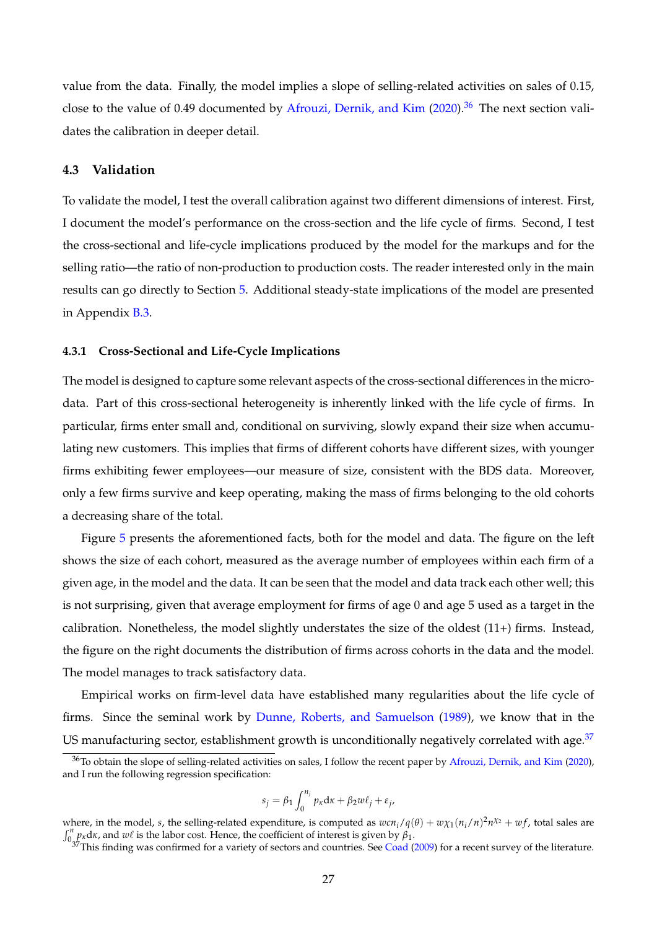value from the data. Finally, the model implies a slope of selling-related activities on sales of 0.15, close to the value of 0.49 documented by [Afrouzi, Dernik, and Kim](#page-65-7)  $(2020)$ .<sup>[36](#page-27-0)</sup> The next section validates the calibration in deeper detail.

#### **4.3 Validation**

To validate the model, I test the overall calibration against two different dimensions of interest. First, I document the model's performance on the cross-section and the life cycle of firms. Second, I test the cross-sectional and life-cycle implications produced by the model for the markups and for the selling ratio—the ratio of non-production to production costs. The reader interested only in the main results can go directly to Section [5.](#page-31-0) Additional steady-state implications of the model are presented in Appendix [B.3.](#page-57-0)

#### **4.3.1 Cross-Sectional and Life-Cycle Implications**

The model is designed to capture some relevant aspects of the cross-sectional differences in the microdata. Part of this cross-sectional heterogeneity is inherently linked with the life cycle of firms. In particular, firms enter small and, conditional on surviving, slowly expand their size when accumulating new customers. This implies that firms of different cohorts have different sizes, with younger firms exhibiting fewer employees—our measure of size, consistent with the BDS data. Moreover, only a few firms survive and keep operating, making the mass of firms belonging to the old cohorts a decreasing share of the total.

Figure [5](#page-28-0) presents the aforementioned facts, both for the model and data. The figure on the left shows the size of each cohort, measured as the average number of employees within each firm of a given age, in the model and the data. It can be seen that the model and data track each other well; this is not surprising, given that average employment for firms of age 0 and age 5 used as a target in the calibration. Nonetheless, the model slightly understates the size of the oldest  $(11+)$  firms. Instead, the figure on the right documents the distribution of firms across cohorts in the data and the model. The model manages to track satisfactory data.

Empirical works on firm-level data have established many regularities about the life cycle of firms. Since the seminal work by [Dunne, Roberts, and Samuelson](#page-66-19) [\(1989\)](#page-66-19), we know that in the US manufacturing sector, establishment growth is unconditionally negatively correlated with age.  $37$ 

$$
s_j = \beta_1 \int_0^{n_j} p_{\kappa} d\kappa + \beta_2 w \ell_j + \varepsilon_j,
$$

<span id="page-27-0"></span><sup>&</sup>lt;sup>36</sup>To obtain the slope of selling-related activities on sales, I follow the recent paper by [Afrouzi, Dernik, and Kim](#page-65-7) [\(2020\)](#page-65-7), and I run the following regression specification:

where, in the model, *s*, the selling-related expenditure, is computed as  $wcn_i/q(\theta) + w\chi_1(n_i/n)^2n^{\chi_2} + wf$ , total sales are  $\int_0^n p_k dx$ , and *w*<sup>*l*</sup> is the labor cost. Hence, the coefficient of interest is given by  $\beta_1$ .

<span id="page-27-1"></span> $37$ This finding was confirmed for a variety of sectors and countries. See [Coad](#page-65-26) [\(2009\)](#page-65-26) for a recent survey of the literature.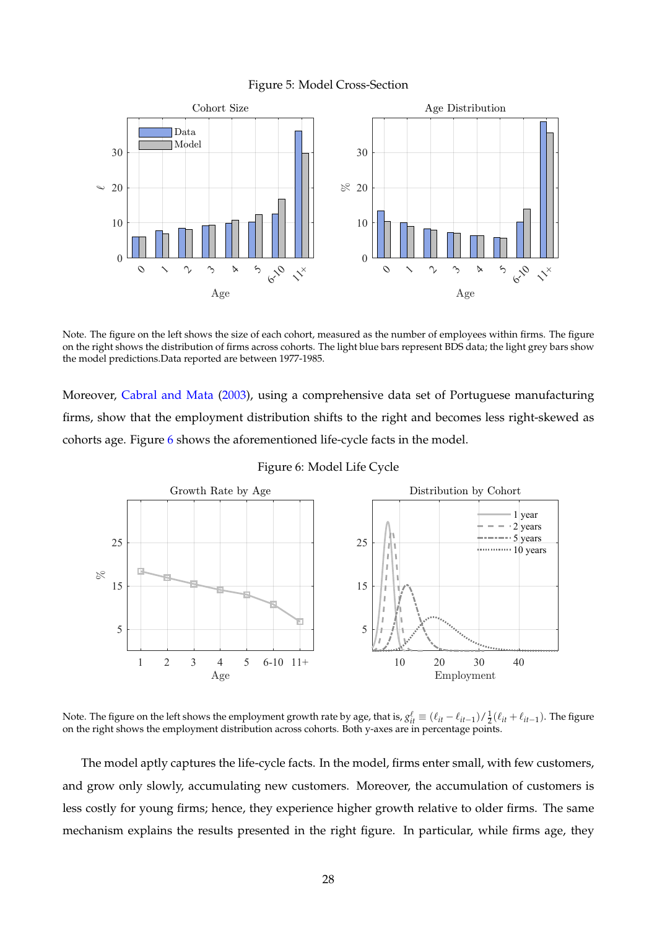

<span id="page-28-0"></span>

Note. The figure on the left shows the size of each cohort, measured as the number of employees within firms. The figure on the right shows the distribution of firms across cohorts. The light blue bars represent BDS data; the light grey bars show the model predictions.Data reported are between 1977-1985.

Moreover, [Cabral and Mata](#page-65-27) [\(2003\)](#page-65-27), using a comprehensive data set of Portuguese manufacturing firms, show that the employment distribution shifts to the right and becomes less right-skewed as cohorts age. Figure [6](#page-28-1) shows the aforementioned life-cycle facts in the model.

<span id="page-28-1"></span>

Figure 6: Model Life Cycle

Note. The figure on the left shows the employment growth rate by age, that is,  $g_{it}^{\ell} \equiv (\ell_{it} - \ell_{it-1}) / \frac{1}{2} (\ell_{it} + \ell_{it-1})$ . The figure on the right shows the employment distribution across cohorts. Both y-axes are in percentage points.

The model aptly captures the life-cycle facts. In the model, firms enter small, with few customers, and grow only slowly, accumulating new customers. Moreover, the accumulation of customers is less costly for young firms; hence, they experience higher growth relative to older firms. The same mechanism explains the results presented in the right figure. In particular, while firms age, they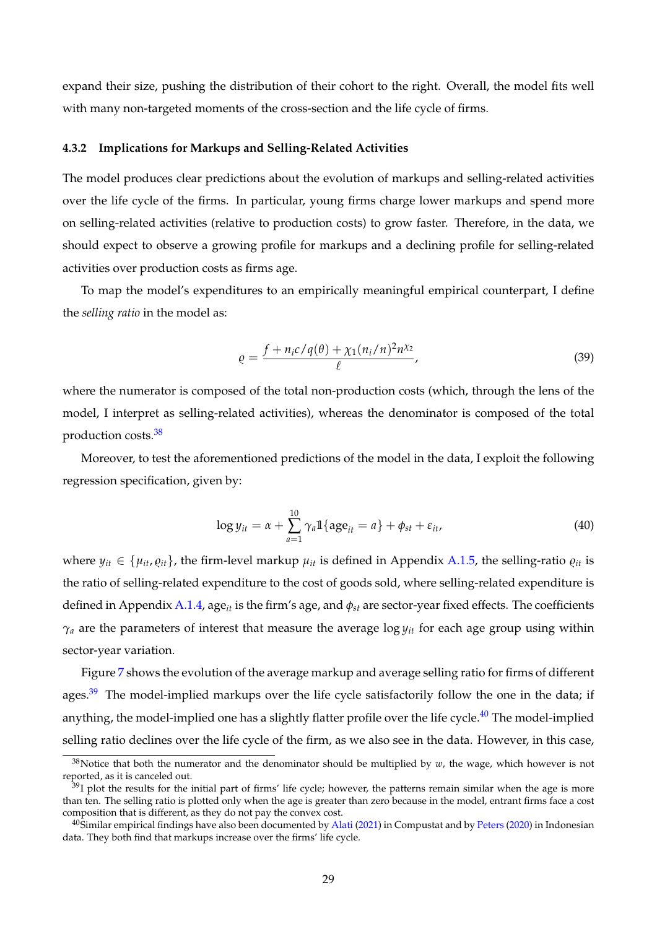expand their size, pushing the distribution of their cohort to the right. Overall, the model fits well with many non-targeted moments of the cross-section and the life cycle of firms.

## <span id="page-29-3"></span>**4.3.2 Implications for Markups and Selling-Related Activities**

The model produces clear predictions about the evolution of markups and selling-related activities over the life cycle of the firms. In particular, young firms charge lower markups and spend more on selling-related activities (relative to production costs) to grow faster. Therefore, in the data, we should expect to observe a growing profile for markups and a declining profile for selling-related activities over production costs as firms age.

To map the model's expenditures to an empirically meaningful empirical counterpart, I define the *selling ratio* in the model as:

$$
\varrho = \frac{f + n_i c / q(\theta) + \chi_1 (n_i/n)^2 n^{\chi_2}}{\ell},\tag{39}
$$

where the numerator is composed of the total non-production costs (which, through the lens of the model, I interpret as selling-related activities), whereas the denominator is composed of the total production costs.[38](#page-29-0)

Moreover, to test the aforementioned predictions of the model in the data, I exploit the following regression specification, given by:

<span id="page-29-4"></span>
$$
\log y_{it} = \alpha + \sum_{a=1}^{10} \gamma_a \mathbb{1}\{\text{age}_{it} = a\} + \phi_{st} + \varepsilon_{it},\tag{40}
$$

where  $y_{it} \in \{ \mu_{it}, \rho_{it} \}$ , the firm-level markup  $\mu_{it}$  is defined in Appendix [A.1.5,](#page-46-1) the selling-ratio  $\rho_{it}$  is the ratio of selling-related expenditure to the cost of goods sold, where selling-related expenditure is defined in Appendix [A.1.4,](#page-45-0) age*it* is the firm's age, and *φst* are sector-year fixed effects. The coefficients *γ<sup>a</sup>* are the parameters of interest that measure the average log *yit* for each age group using within sector-year variation.

Figure [7](#page-30-0) shows the evolution of the average markup and average selling ratio for firms of different ages.<sup>[39](#page-29-1)</sup> The model-implied markups over the life cycle satisfactorily follow the one in the data; if anything, the model-implied one has a slightly flatter profile over the life cycle.<sup>[40](#page-29-2)</sup> The model-implied selling ratio declines over the life cycle of the firm, as we also see in the data. However, in this case,

<span id="page-29-0"></span> $38$ Notice that both the numerator and the denominator should be multiplied by *w*, the wage, which however is not reported, as it is canceled out.

<span id="page-29-1"></span> $39$ I plot the results for the initial part of firms' life cycle; however, the patterns remain similar when the age is more than ten. The selling ratio is plotted only when the age is greater than zero because in the model, entrant firms face a cost composition that is different, as they do not pay the convex cost.

<span id="page-29-2"></span> $40$ Similar empirical findings have also been documented by [Alati](#page-65-28) [\(2021\)](#page-65-28) in Compustat and by [Peters](#page-67-27) [\(2020\)](#page-67-27) in Indonesian data. They both find that markups increase over the firms' life cycle.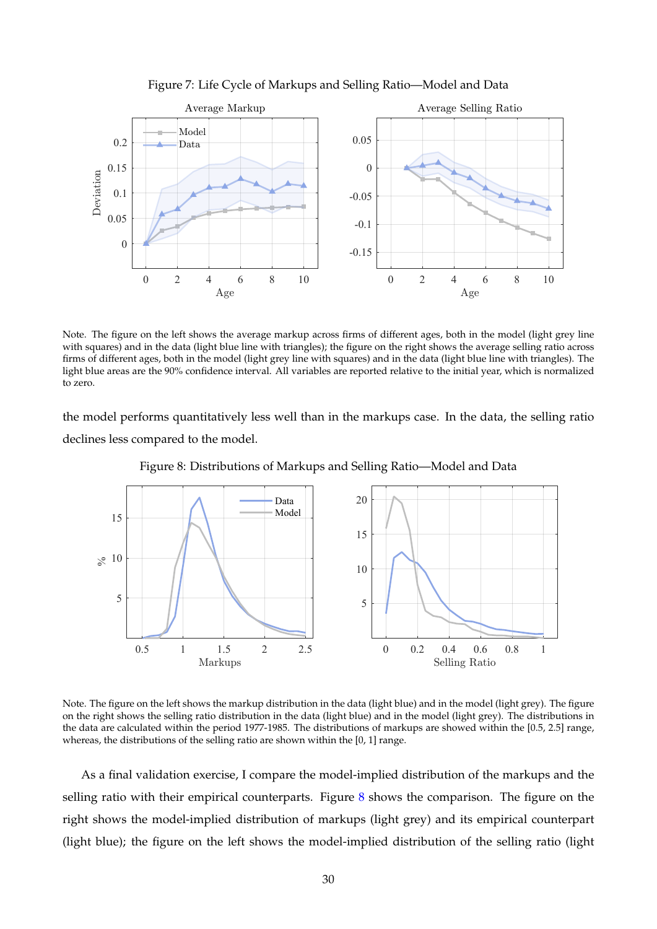<span id="page-30-0"></span>

Figure 7: Life Cycle of Markups and Selling Ratio—Model and Data

Note. The figure on the left shows the average markup across firms of different ages, both in the model (light grey line with squares) and in the data (light blue line with triangles); the figure on the right shows the average selling ratio across firms of different ages, both in the model (light grey line with squares) and in the data (light blue line with triangles). The light blue areas are the 90% confidence interval. All variables are reported relative to the initial year, which is normalized to zero.

the model performs quantitatively less well than in the markups case. In the data, the selling ratio declines less compared to the model.

<span id="page-30-1"></span>

Figure 8: Distributions of Markups and Selling Ratio—Model and Data

Note. The figure on the left shows the markup distribution in the data (light blue) and in the model (light grey). The figure on the right shows the selling ratio distribution in the data (light blue) and in the model (light grey). The distributions in the data are calculated within the period 1977-1985. The distributions of markups are showed within the [0.5, 2.5] range, whereas, the distributions of the selling ratio are shown within the [0, 1] range.

As a final validation exercise, I compare the model-implied distribution of the markups and the selling ratio with their empirical counterparts. Figure [8](#page-30-1) shows the comparison. The figure on the right shows the model-implied distribution of markups (light grey) and its empirical counterpart (light blue); the figure on the left shows the model-implied distribution of the selling ratio (light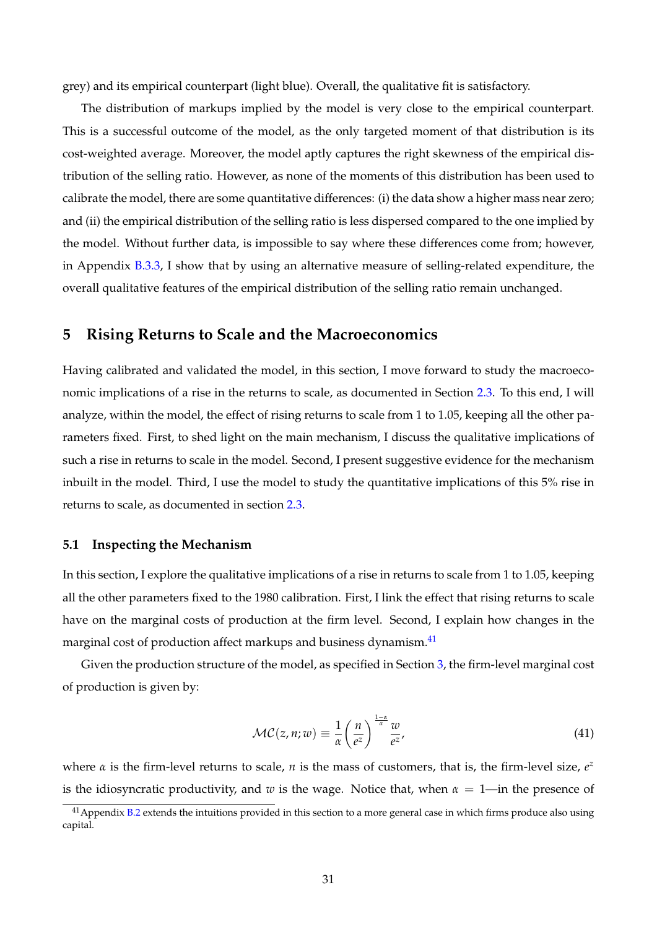grey) and its empirical counterpart (light blue). Overall, the qualitative fit is satisfactory.

The distribution of markups implied by the model is very close to the empirical counterpart. This is a successful outcome of the model, as the only targeted moment of that distribution is its cost-weighted average. Moreover, the model aptly captures the right skewness of the empirical distribution of the selling ratio. However, as none of the moments of this distribution has been used to calibrate the model, there are some quantitative differences: (i) the data show a higher mass near zero; and (ii) the empirical distribution of the selling ratio is less dispersed compared to the one implied by the model. Without further data, is impossible to say where these differences come from; however, in Appendix [B.3.3,](#page-59-0) I show that by using an alternative measure of selling-related expenditure, the overall qualitative features of the empirical distribution of the selling ratio remain unchanged.

# <span id="page-31-0"></span>**5 Rising Returns to Scale and the Macroeconomics**

Having calibrated and validated the model, in this section, I move forward to study the macroeconomic implications of a rise in the returns to scale, as documented in Section [2.3.](#page-10-1) To this end, I will analyze, within the model, the effect of rising returns to scale from 1 to 1.05, keeping all the other parameters fixed. First, to shed light on the main mechanism, I discuss the qualitative implications of such a rise in returns to scale in the model. Second, I present suggestive evidence for the mechanism inbuilt in the model. Third, I use the model to study the quantitative implications of this 5% rise in returns to scale, as documented in section [2.3.](#page-10-1)

#### <span id="page-31-2"></span>**5.1 Inspecting the Mechanism**

In this section, I explore the qualitative implications of a rise in returns to scale from 1 to 1.05, keeping all the other parameters fixed to the 1980 calibration. First, I link the effect that rising returns to scale have on the marginal costs of production at the firm level. Second, I explain how changes in the marginal cost of production affect markups and business dynamism.<sup>[41](#page-31-1)</sup>

Given the production structure of the model, as specified in Section [3,](#page-15-0) the firm-level marginal cost of production is given by:

$$
\mathcal{MC}(z,n;w) \equiv \frac{1}{\alpha} \left(\frac{n}{e^z}\right)^{\frac{1-\alpha}{\alpha}} \frac{w}{e^z},\tag{41}
$$

where  $\alpha$  is the firm-level returns to scale,  $n$  is the mass of customers, that is, the firm-level size,  $e^z$ is the idiosyncratic productivity, and *w* is the wage. Notice that, when *α* = 1—in the presence of

<span id="page-31-1"></span> $41$  Appendix [B.2](#page-56-0) extends the intuitions provided in this section to a more general case in which firms produce also using capital.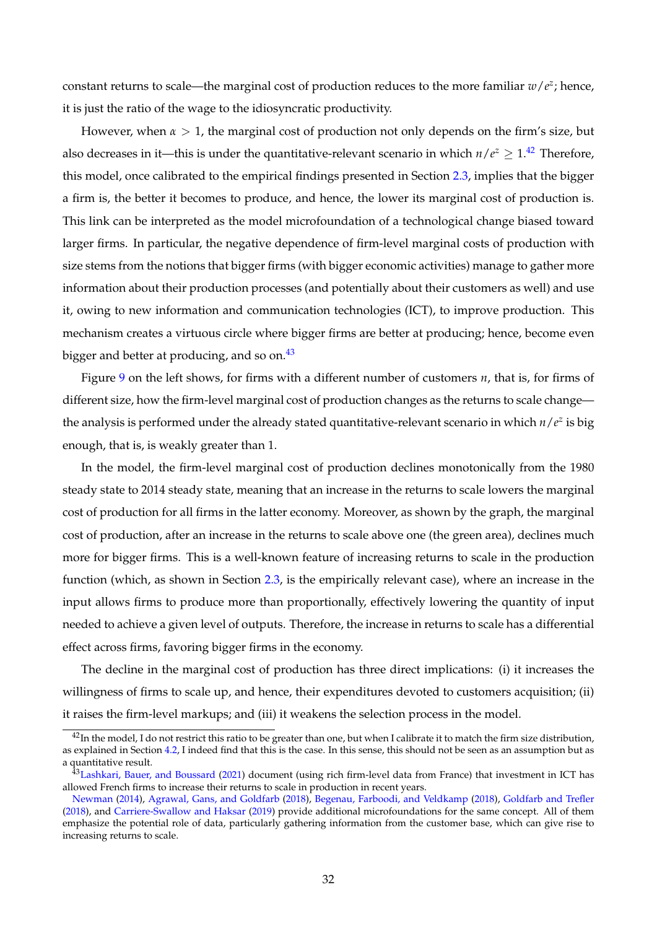constant returns to scale—the marginal cost of production reduces to the more familiar  $w/e^z$ ; hence, it is just the ratio of the wage to the idiosyncratic productivity.

However, when  $\alpha > 1$ , the marginal cost of production not only depends on the firm's size, but also decreases in it—this is under the quantitative-relevant scenario in which  $n/e^{z} \geq 1.42$  $n/e^{z} \geq 1.42$  Therefore, this model, once calibrated to the empirical findings presented in Section [2.3,](#page-10-1) implies that the bigger a firm is, the better it becomes to produce, and hence, the lower its marginal cost of production is. This link can be interpreted as the model microfoundation of a technological change biased toward larger firms. In particular, the negative dependence of firm-level marginal costs of production with size stems from the notions that bigger firms (with bigger economic activities) manage to gather more information about their production processes (and potentially about their customers as well) and use it, owing to new information and communication technologies (ICT), to improve production. This mechanism creates a virtuous circle where bigger firms are better at producing; hence, become even bigger and better at producing, and so on. $43$ 

Figure [9](#page-33-0) on the left shows, for firms with a different number of customers *n*, that is, for firms of different size, how the firm-level marginal cost of production changes as the returns to scale change the analysis is performed under the already stated quantitative-relevant scenario in which  $n/e^z$  is big enough, that is, is weakly greater than 1.

In the model, the firm-level marginal cost of production declines monotonically from the 1980 steady state to 2014 steady state, meaning that an increase in the returns to scale lowers the marginal cost of production for all firms in the latter economy. Moreover, as shown by the graph, the marginal cost of production, after an increase in the returns to scale above one (the green area), declines much more for bigger firms. This is a well-known feature of increasing returns to scale in the production function (which, as shown in Section [2.3,](#page-10-1) is the empirically relevant case), where an increase in the input allows firms to produce more than proportionally, effectively lowering the quantity of input needed to achieve a given level of outputs. Therefore, the increase in returns to scale has a differential effect across firms, favoring bigger firms in the economy.

The decline in the marginal cost of production has three direct implications: (i) it increases the willingness of firms to scale up, and hence, their expenditures devoted to customers acquisition; (ii) it raises the firm-level markups; and (iii) it weakens the selection process in the model.

<span id="page-32-0"></span> $42$ In the model, I do not restrict this ratio to be greater than one, but when I calibrate it to match the firm size distribution, as explained in Section [4.2,](#page-25-1) I indeed find that this is the case. In this sense, this should not be seen as an assumption but as a quantitative result.

<span id="page-32-1"></span><sup>&</sup>lt;sup>43</sup>[Lashkari, Bauer, and Boussard](#page-67-6) [\(2021\)](#page-67-6) document (using rich firm-level data from France) that investment in ICT has allowed French firms to increase their returns to scale in production in recent years.

[Newman](#page-67-5) [\(2014\)](#page-67-5), [Agrawal, Gans, and Goldfarb](#page-65-4) [\(2018\)](#page-65-4), [Begenau, Farboodi, and Veldkamp](#page-65-5) [\(2018\)](#page-65-5), [Goldfarb and Trefler](#page-66-5) [\(2018\)](#page-66-5), and [Carriere-Swallow and Haksar](#page-65-6) [\(2019\)](#page-65-6) provide additional microfoundations for the same concept. All of them emphasize the potential role of data, particularly gathering information from the customer base, which can give rise to increasing returns to scale.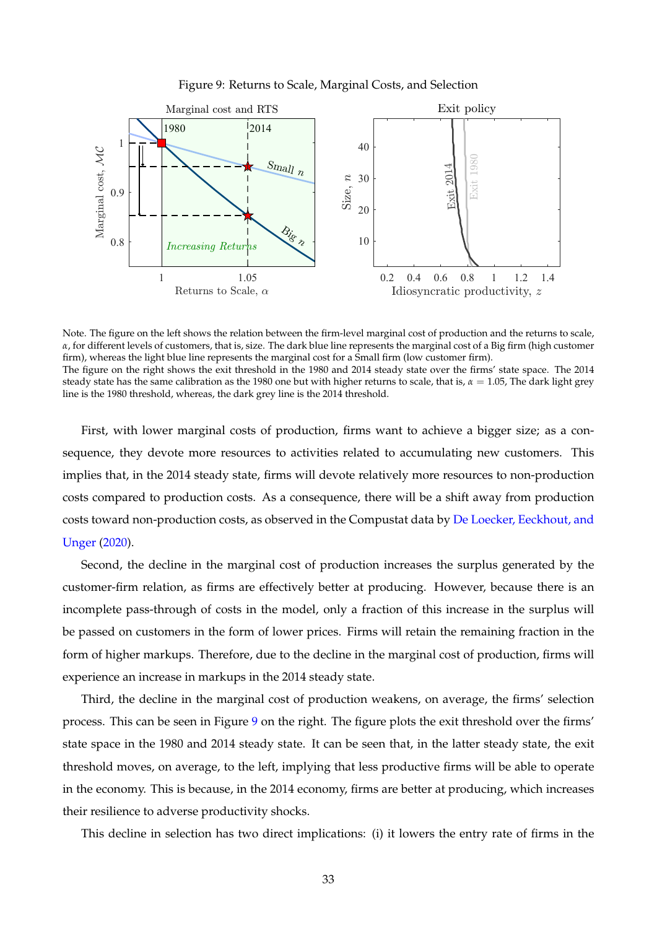

<span id="page-33-0"></span>

Note. The figure on the left shows the relation between the firm-level marginal cost of production and the returns to scale, *α*, for different levels of customers, that is, size. The dark blue line represents the marginal cost of a Big firm (high customer firm), whereas the light blue line represents the marginal cost for a Small firm (low customer firm). The figure on the right shows the exit threshold in the 1980 and 2014 steady state over the firms' state space. The 2014 steady state has the same calibration as the 1980 one but with higher returns to scale, that is,  $\alpha = 1.05$ , The dark light grey line is the 1980 threshold, whereas, the dark grey line is the 2014 threshold.

First, with lower marginal costs of production, firms want to achieve a bigger size; as a consequence, they devote more resources to activities related to accumulating new customers. This implies that, in the 2014 steady state, firms will devote relatively more resources to non-production costs compared to production costs. As a consequence, there will be a shift away from production costs toward non-production costs, as observed in the Compustat data by [De Loecker, Eeckhout, and](#page-65-1) [Unger](#page-65-1) [\(2020\)](#page-65-1).

Second, the decline in the marginal cost of production increases the surplus generated by the customer-firm relation, as firms are effectively better at producing. However, because there is an incomplete pass-through of costs in the model, only a fraction of this increase in the surplus will be passed on customers in the form of lower prices. Firms will retain the remaining fraction in the form of higher markups. Therefore, due to the decline in the marginal cost of production, firms will experience an increase in markups in the 2014 steady state.

Third, the decline in the marginal cost of production weakens, on average, the firms' selection process. This can be seen in Figure [9](#page-33-0) on the right. The figure plots the exit threshold over the firms' state space in the 1980 and 2014 steady state. It can be seen that, in the latter steady state, the exit threshold moves, on average, to the left, implying that less productive firms will be able to operate in the economy. This is because, in the 2014 economy, firms are better at producing, which increases their resilience to adverse productivity shocks.

This decline in selection has two direct implications: (i) it lowers the entry rate of firms in the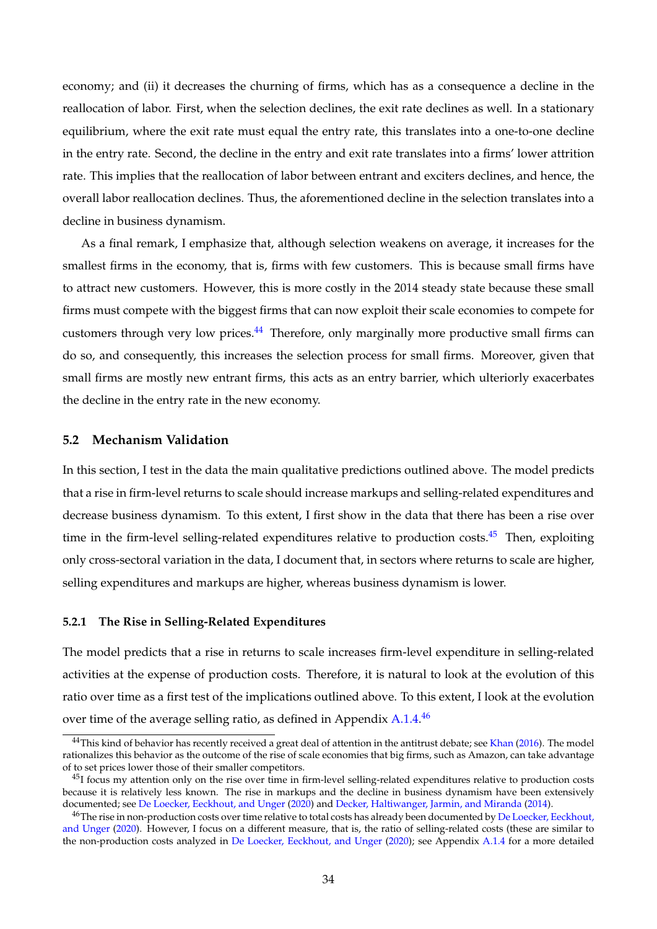economy; and (ii) it decreases the churning of firms, which has as a consequence a decline in the reallocation of labor. First, when the selection declines, the exit rate declines as well. In a stationary equilibrium, where the exit rate must equal the entry rate, this translates into a one-to-one decline in the entry rate. Second, the decline in the entry and exit rate translates into a firms' lower attrition rate. This implies that the reallocation of labor between entrant and exciters declines, and hence, the overall labor reallocation declines. Thus, the aforementioned decline in the selection translates into a decline in business dynamism.

As a final remark, I emphasize that, although selection weakens on average, it increases for the smallest firms in the economy, that is, firms with few customers. This is because small firms have to attract new customers. However, this is more costly in the 2014 steady state because these small firms must compete with the biggest firms that can now exploit their scale economies to compete for customers through very low prices.<sup>[44](#page-34-0)</sup> Therefore, only marginally more productive small firms can do so, and consequently, this increases the selection process for small firms. Moreover, given that small firms are mostly new entrant firms, this acts as an entry barrier, which ulteriorly exacerbates the decline in the entry rate in the new economy.

#### **5.2 Mechanism Validation**

In this section, I test in the data the main qualitative predictions outlined above. The model predicts that a rise in firm-level returns to scale should increase markups and selling-related expenditures and decrease business dynamism. To this extent, I first show in the data that there has been a rise over time in the firm-level selling-related expenditures relative to production costs.<sup>[45](#page-34-1)</sup> Then, exploiting only cross-sectoral variation in the data, I document that, in sectors where returns to scale are higher, selling expenditures and markups are higher, whereas business dynamism is lower.

#### <span id="page-34-3"></span>**5.2.1 The Rise in Selling-Related Expenditures**

The model predicts that a rise in returns to scale increases firm-level expenditure in selling-related activities at the expense of production costs. Therefore, it is natural to look at the evolution of this ratio over time as a first test of the implications outlined above. To this extent, I look at the evolution over time of the average selling ratio, as defined in Appendix [A.1.4.](#page-45-0) $^{46}$  $^{46}$  $^{46}$ 

<span id="page-34-0"></span><sup>&</sup>lt;sup>44</sup>This kind of behavior has recently received a great deal of attention in the antitrust debate; see [Khan](#page-67-0) [\(2016\)](#page-67-0). The model rationalizes this behavior as the outcome of the rise of scale economies that big firms, such as Amazon, can take advantage of to set prices lower those of their smaller competitors.

<span id="page-34-1"></span> $^{45}$ I focus my attention only on the rise over time in firm-level selling-related expenditures relative to production costs because it is relatively less known. The rise in markups and the decline in business dynamism have been extensively documented; see [De Loecker, Eeckhout, and Unger](#page-65-1) [\(2020\)](#page-65-1) and [Decker, Haltiwanger, Jarmin, and Miranda](#page-65-2) [\(2014\)](#page-65-2).

<span id="page-34-2"></span><sup>&</sup>lt;sup>46</sup>The rise in non-production costs over time relative to total costs has already been documented by [De Loecker, Eeckhout,](#page-65-1) [and Unger](#page-65-1) [\(2020\)](#page-65-1). However, I focus on a different measure, that is, the ratio of selling-related costs (these are similar to the non-production costs analyzed in [De Loecker, Eeckhout, and Unger](#page-65-1) [\(2020\)](#page-65-1); see Appendix [A.1.4](#page-45-0) for a more detailed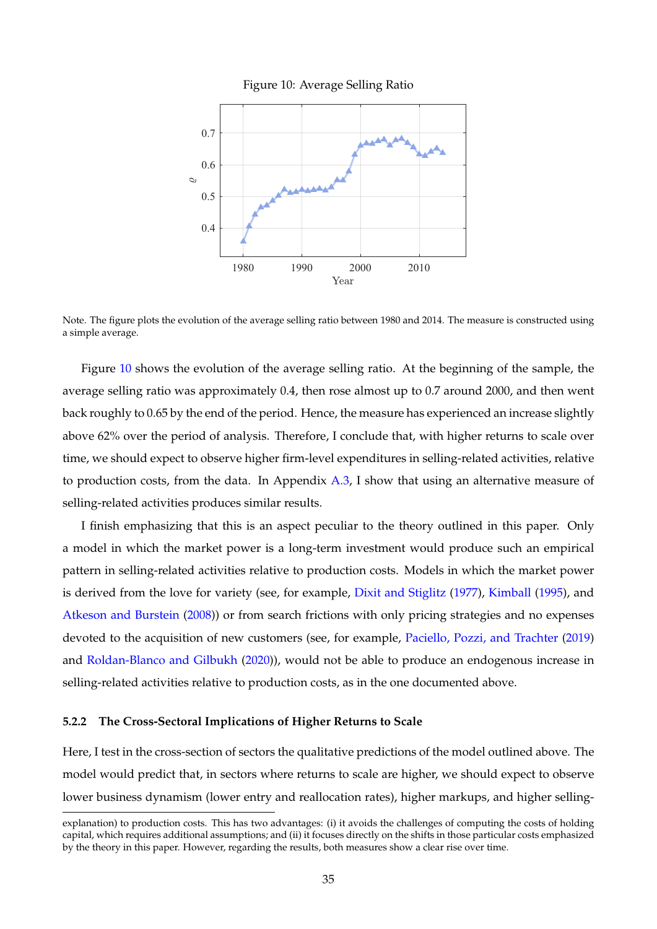

<span id="page-35-0"></span>

Note. The figure plots the evolution of the average selling ratio between 1980 and 2014. The measure is constructed using a simple average.

Figure [10](#page-35-0) shows the evolution of the average selling ratio. At the beginning of the sample, the average selling ratio was approximately 0.4, then rose almost up to 0.7 around 2000, and then went back roughly to 0.65 by the end of the period. Hence, the measure has experienced an increase slightly above 62% over the period of analysis. Therefore, I conclude that, with higher returns to scale over time, we should expect to observe higher firm-level expenditures in selling-related activities, relative to production costs, from the data. In Appendix [A.3,](#page-51-0) I show that using an alternative measure of selling-related activities produces similar results.

I finish emphasizing that this is an aspect peculiar to the theory outlined in this paper. Only a model in which the market power is a long-term investment would produce such an empirical pattern in selling-related activities relative to production costs. Models in which the market power is derived from the love for variety (see, for example, [Dixit and Stiglitz](#page-66-11) [\(1977\)](#page-66-11), [Kimball](#page-67-9) [\(1995\)](#page-67-9), and [Atkeson and Burstein](#page-65-9) [\(2008\)](#page-65-9)) or from search frictions with only pricing strategies and no expenses devoted to the acquisition of new customers (see, for example, [Paciello, Pozzi, and Trachter](#page-67-8) [\(2019\)](#page-67-8) and [Roldan-Blanco and Gilbukh](#page-67-4) [\(2020\)](#page-67-4)), would not be able to produce an endogenous increase in selling-related activities relative to production costs, as in the one documented above.

#### **5.2.2 The Cross-Sectoral Implications of Higher Returns to Scale**

Here, I test in the cross-section of sectors the qualitative predictions of the model outlined above. The model would predict that, in sectors where returns to scale are higher, we should expect to observe lower business dynamism (lower entry and reallocation rates), higher markups, and higher selling-

explanation) to production costs. This has two advantages: (i) it avoids the challenges of computing the costs of holding capital, which requires additional assumptions; and (ii) it focuses directly on the shifts in those particular costs emphasized by the theory in this paper. However, regarding the results, both measures show a clear rise over time.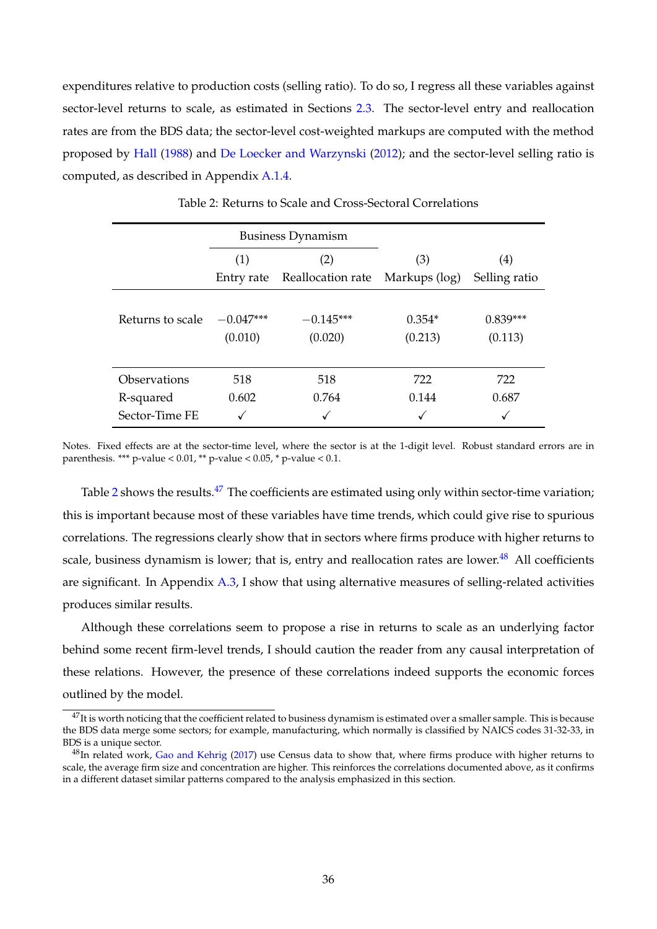expenditures relative to production costs (selling ratio). To do so, I regress all these variables against sector-level returns to scale, as estimated in Sections [2.3.](#page-10-1) The sector-level entry and reallocation rates are from the BDS data; the sector-level cost-weighted markups are computed with the method proposed by [Hall](#page-66-20) [\(1988\)](#page-66-20) and [De Loecker and Warzynski](#page-65-29) [\(2012\)](#page-65-29); and the sector-level selling ratio is computed, as described in Appendix [A.1.4.](#page-45-0)

<span id="page-36-0"></span>

|                  |             | <b>Business Dynamism</b> |               |                   |
|------------------|-------------|--------------------------|---------------|-------------------|
|                  | (1)         | (2)                      | (3)           | $\left( 4\right)$ |
|                  | Entry rate  | Reallocation rate        | Markups (log) | Selling ratio     |
|                  |             |                          |               |                   |
| Returns to scale | $-0.047***$ | $-0.145***$              | $0.354*$      | $0.839***$        |
|                  | (0.010)     | (0.020)                  | (0.213)       | (0.113)           |
|                  |             |                          |               |                   |
| Observations     | 518         | 518                      | 722           | 722               |
| R-squared        | 0.602       | 0.764                    | 0.144         | 0.687             |
| Sector-Time FE   |             |                          |               |                   |

Table 2: Returns to Scale and Cross-Sectoral Correlations

Notes. Fixed effects are at the sector-time level, where the sector is at the 1-digit level. Robust standard errors are in parenthesis. \*\*\* p-value <  $0.01$ , \*\* p-value <  $0.05$ , \* p-value <  $0.1$ .

Table  $2$  shows the results.<sup>[47](#page-36-1)</sup> The coefficients are estimated using only within sector-time variation; this is important because most of these variables have time trends, which could give rise to spurious correlations. The regressions clearly show that in sectors where firms produce with higher returns to scale, business dynamism is lower; that is, entry and reallocation rates are lower.<sup>[48](#page-36-2)</sup> All coefficients are significant. In Appendix  $A.3$ , I show that using alternative measures of selling-related activities produces similar results.

Although these correlations seem to propose a rise in returns to scale as an underlying factor behind some recent firm-level trends, I should caution the reader from any causal interpretation of these relations. However, the presence of these correlations indeed supports the economic forces outlined by the model.

<span id="page-36-1"></span> $^{47}$ It is worth noticing that the coefficient related to business dynamism is estimated over a smaller sample. This is because the BDS data merge some sectors; for example, manufacturing, which normally is classified by NAICS codes 31-32-33, in BDS is a unique sector.

<span id="page-36-2"></span> $^{48}$ In related work, [Gao and Kehrig](#page-66-18) [\(2017\)](#page-66-18) use Census data to show that, where firms produce with higher returns to scale, the average firm size and concentration are higher. This reinforces the correlations documented above, as it confirms in a different dataset similar patterns compared to the analysis emphasized in this section.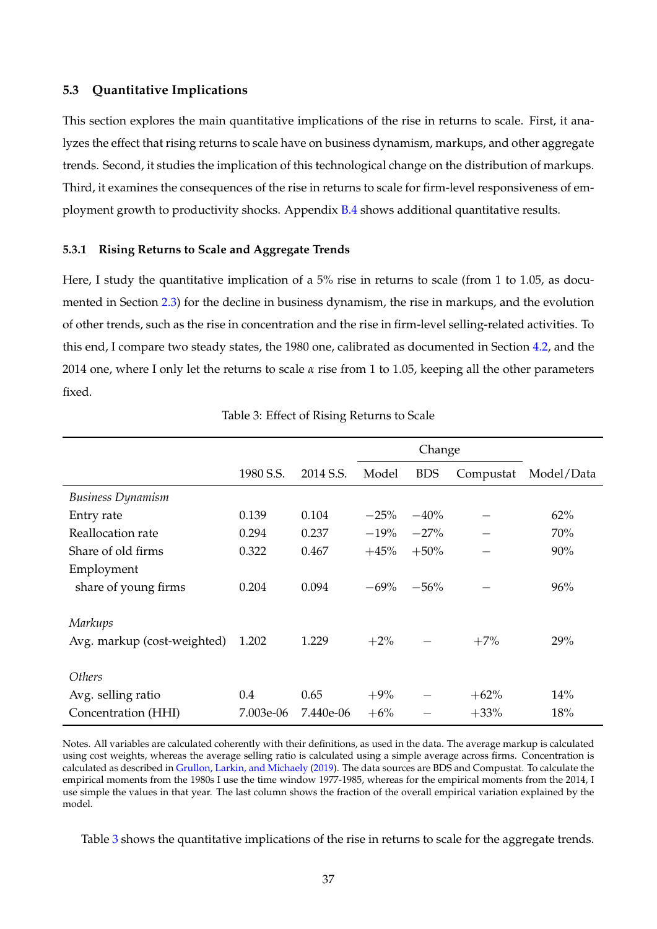# **5.3 Quantitative Implications**

This section explores the main quantitative implications of the rise in returns to scale. First, it analyzes the effect that rising returns to scale have on business dynamism, markups, and other aggregate trends. Second, it studies the implication of this technological change on the distribution of markups. Third, it examines the consequences of the rise in returns to scale for firm-level responsiveness of employment growth to productivity shocks. Appendix [B.4](#page-61-0) shows additional quantitative results.

#### **5.3.1 Rising Returns to Scale and Aggregate Trends**

Here, I study the quantitative implication of a 5% rise in returns to scale (from 1 to 1.05, as documented in Section [2.3\)](#page-10-1) for the decline in business dynamism, the rise in markups, and the evolution of other trends, such as the rise in concentration and the rise in firm-level selling-related activities. To this end, I compare two steady states, the 1980 one, calibrated as documented in Section [4.2,](#page-25-1) and the 2014 one, where I only let the returns to scale *α* rise from 1 to 1.05, keeping all the other parameters fixed.

<span id="page-37-0"></span>

|                             |           |           |        | Change     |           |            |
|-----------------------------|-----------|-----------|--------|------------|-----------|------------|
|                             | 1980 S.S. | 2014 S.S. | Model  | <b>BDS</b> | Compustat | Model/Data |
| <b>Business Dynamism</b>    |           |           |        |            |           |            |
| Entry rate                  | 0.139     | 0.104     | $-25%$ | $-40%$     |           | 62%        |
| Reallocation rate           | 0.294     | 0.237     | $-19%$ | $-27%$     |           | 70%        |
| Share of old firms          | 0.322     | 0.467     | $+45%$ | $+50%$     |           | 90%        |
| Employment                  |           |           |        |            |           |            |
| share of young firms        | 0.204     | 0.094     | $-69%$ | $-56%$     |           | 96%        |
| <b>Markups</b>              |           |           |        |            |           |            |
| Avg. markup (cost-weighted) | 1.202     | 1.229     | $+2\%$ |            | $+7%$     | 29%        |
| <b>Others</b>               |           |           |        |            |           |            |
| Avg. selling ratio          | 0.4       | 0.65      | $+9%$  |            | $+62%$    | 14%        |
| Concentration (HHI)         | 7.003e-06 | 7.440e-06 | $+6%$  |            | $+33%$    | 18%        |

Table 3: Effect of Rising Returns to Scale

Notes. All variables are calculated coherently with their definitions, as used in the data. The average markup is calculated using cost weights, whereas the average selling ratio is calculated using a simple average across firms. Concentration is calculated as described in [Grullon, Larkin, and Michaely](#page-66-21) [\(2019\)](#page-66-21). The data sources are BDS and Compustat. To calculate the empirical moments from the 1980s I use the time window 1977-1985, whereas for the empirical moments from the 2014, I use simple the values in that year. The last column shows the fraction of the overall empirical variation explained by the model.

Table [3](#page-37-0) shows the quantitative implications of the rise in returns to scale for the aggregate trends.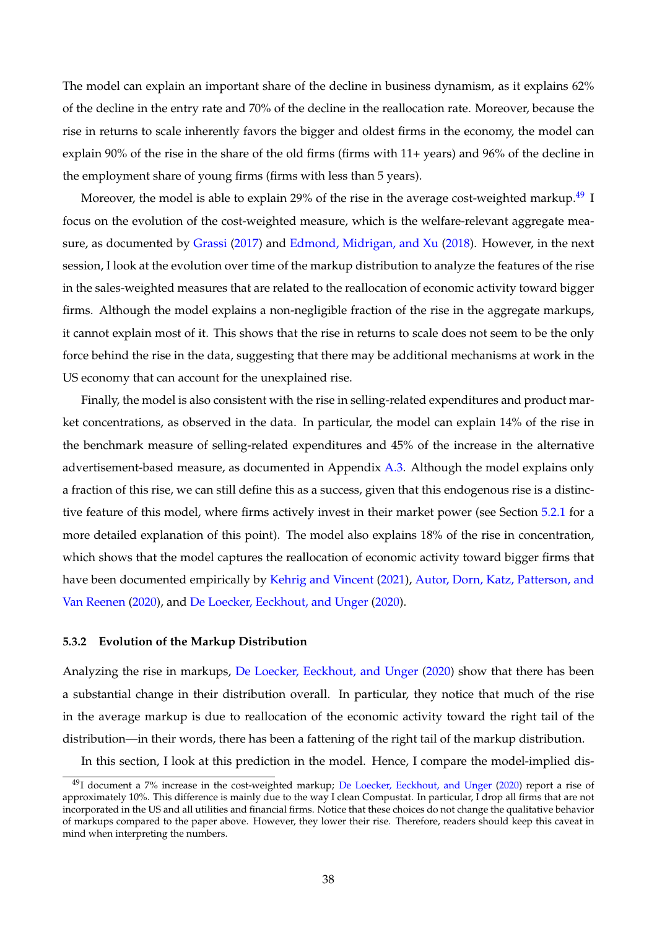The model can explain an important share of the decline in business dynamism, as it explains 62% of the decline in the entry rate and 70% of the decline in the reallocation rate. Moreover, because the rise in returns to scale inherently favors the bigger and oldest firms in the economy, the model can explain 90% of the rise in the share of the old firms (firms with 11+ years) and 96% of the decline in the employment share of young firms (firms with less than 5 years).

Moreover, the model is able to explain 29% of the rise in the average cost-weighted markup.<sup>[49](#page-38-0)</sup> I focus on the evolution of the cost-weighted measure, which is the welfare-relevant aggregate measure, as documented by [Grassi](#page-66-22) [\(2017\)](#page-66-22) and [Edmond, Midrigan, and Xu](#page-66-23) [\(2018\)](#page-66-23). However, in the next session, I look at the evolution over time of the markup distribution to analyze the features of the rise in the sales-weighted measures that are related to the reallocation of economic activity toward bigger firms. Although the model explains a non-negligible fraction of the rise in the aggregate markups, it cannot explain most of it. This shows that the rise in returns to scale does not seem to be the only force behind the rise in the data, suggesting that there may be additional mechanisms at work in the US economy that can account for the unexplained rise.

Finally, the model is also consistent with the rise in selling-related expenditures and product market concentrations, as observed in the data. In particular, the model can explain 14% of the rise in the benchmark measure of selling-related expenditures and 45% of the increase in the alternative advertisement-based measure, as documented in Appendix [A.3.](#page-51-0) Although the model explains only a fraction of this rise, we can still define this as a success, given that this endogenous rise is a distinctive feature of this model, where firms actively invest in their market power (see Section [5.2.1](#page-34-3) for a more detailed explanation of this point). The model also explains 18% of the rise in concentration, which shows that the model captures the reallocation of economic activity toward bigger firms that have been documented empirically by [Kehrig and Vincent](#page-67-10) [\(2021\)](#page-67-10), [Autor, Dorn, Katz, Patterson, and](#page-65-10) [Van Reenen](#page-65-10) [\(2020\)](#page-65-10), and [De Loecker, Eeckhout, and Unger](#page-65-1) [\(2020\)](#page-65-1).

#### **5.3.2 Evolution of the Markup Distribution**

Analyzing the rise in markups, [De Loecker, Eeckhout, and Unger](#page-65-1) [\(2020\)](#page-65-1) show that there has been a substantial change in their distribution overall. In particular, they notice that much of the rise in the average markup is due to reallocation of the economic activity toward the right tail of the distribution—in their words, there has been a fattening of the right tail of the markup distribution.

In this section, I look at this prediction in the model. Hence, I compare the model-implied dis-

<span id="page-38-0"></span> $49$ I document a 7% increase in the cost-weighted markup; [De Loecker, Eeckhout, and Unger](#page-65-1) [\(2020\)](#page-65-1) report a rise of approximately 10%. This difference is mainly due to the way I clean Compustat. In particular, I drop all firms that are not incorporated in the US and all utilities and financial firms. Notice that these choices do not change the qualitative behavior of markups compared to the paper above. However, they lower their rise. Therefore, readers should keep this caveat in mind when interpreting the numbers.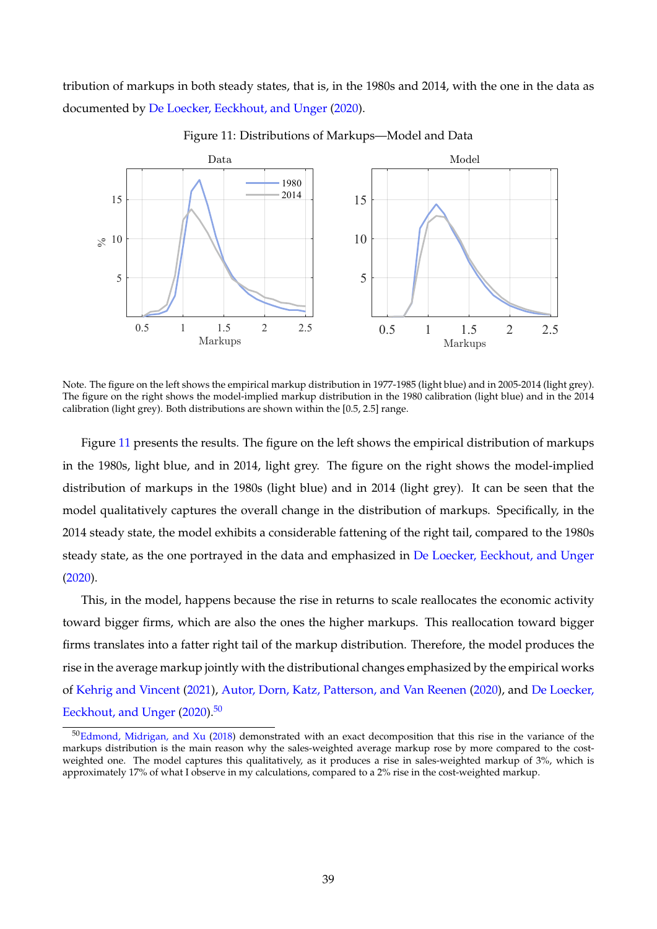tribution of markups in both steady states, that is, in the 1980s and 2014, with the one in the data as documented by [De Loecker, Eeckhout, and Unger](#page-65-1) [\(2020\)](#page-65-1).

<span id="page-39-0"></span>

Figure 11: Distributions of Markups—Model and Data

Note. The figure on the left shows the empirical markup distribution in 1977-1985 (light blue) and in 2005-2014 (light grey). The figure on the right shows the model-implied markup distribution in the 1980 calibration (light blue) and in the 2014 calibration (light grey). Both distributions are shown within the [0.5, 2.5] range.

Figure [11](#page-39-0) presents the results. The figure on the left shows the empirical distribution of markups in the 1980s, light blue, and in 2014, light grey. The figure on the right shows the model-implied distribution of markups in the 1980s (light blue) and in 2014 (light grey). It can be seen that the model qualitatively captures the overall change in the distribution of markups. Specifically, in the 2014 steady state, the model exhibits a considerable fattening of the right tail, compared to the 1980s steady state, as the one portrayed in the data and emphasized in [De Loecker, Eeckhout, and Unger](#page-65-1) [\(2020\)](#page-65-1).

This, in the model, happens because the rise in returns to scale reallocates the economic activity toward bigger firms, which are also the ones the higher markups. This reallocation toward bigger firms translates into a fatter right tail of the markup distribution. Therefore, the model produces the rise in the average markup jointly with the distributional changes emphasized by the empirical works of [Kehrig and Vincent](#page-67-10) [\(2021\)](#page-67-10), [Autor, Dorn, Katz, Patterson, and Van Reenen](#page-65-10) [\(2020\)](#page-65-10), and [De Loecker,](#page-65-1) [Eeckhout, and Unger](#page-65-1) [\(2020\)](#page-65-1).<sup>[50](#page-39-1)</sup>

<span id="page-39-1"></span><sup>&</sup>lt;sup>50</sup>[Edmond, Midrigan, and Xu](#page-66-23) [\(2018\)](#page-66-23) demonstrated with an exact decomposition that this rise in the variance of the markups distribution is the main reason why the sales-weighted average markup rose by more compared to the costweighted one. The model captures this qualitatively, as it produces a rise in sales-weighted markup of 3%, which is approximately 17% of what I observe in my calculations, compared to a 2% rise in the cost-weighted markup.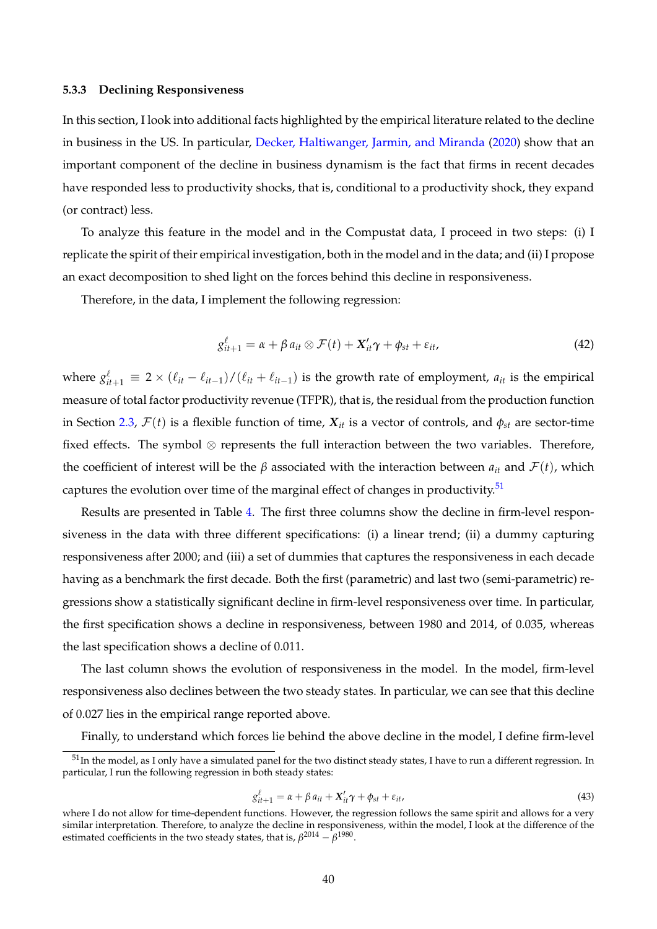# **5.3.3 Declining Responsiveness**

In this section, I look into additional facts highlighted by the empirical literature related to the decline in business in the US. In particular, [Decker, Haltiwanger, Jarmin, and Miranda](#page-66-13) [\(2020\)](#page-66-13) show that an important component of the decline in business dynamism is the fact that firms in recent decades have responded less to productivity shocks, that is, conditional to a productivity shock, they expand (or contract) less.

To analyze this feature in the model and in the Compustat data, I proceed in two steps: (i) I replicate the spirit of their empirical investigation, both in the model and in the data; and (ii) I propose an exact decomposition to shed light on the forces behind this decline in responsiveness.

Therefore, in the data, I implement the following regression:

$$
g_{it+1}^{\ell} = \alpha + \beta a_{it} \otimes \mathcal{F}(t) + X_{it}' \gamma + \phi_{st} + \varepsilon_{it}, \qquad (42)
$$

where  $g_{it+1}^{\ell} \equiv 2 \times (\ell_{it} - \ell_{it-1})/(\ell_{it} + \ell_{it-1})$  is the growth rate of employment,  $a_{it}$  is the empirical measure of total factor productivity revenue (TFPR), that is, the residual from the production function in Section [2.3,](#page-10-1)  $\mathcal{F}(t)$  is a flexible function of time,  $X_{it}$  is a vector of controls, and  $\phi_{st}$  are sector-time fixed effects. The symbol ⊗ represents the full interaction between the two variables. Therefore, the coefficient of interest will be the *β* associated with the interaction between  $a_{it}$  and  $\mathcal{F}(t)$ , which captures the evolution over time of the marginal effect of changes in productivity. $51$ 

Results are presented in Table [4.](#page-41-0) The first three columns show the decline in firm-level responsiveness in the data with three different specifications: (i) a linear trend; (ii) a dummy capturing responsiveness after 2000; and (iii) a set of dummies that captures the responsiveness in each decade having as a benchmark the first decade. Both the first (parametric) and last two (semi-parametric) regressions show a statistically significant decline in firm-level responsiveness over time. In particular, the first specification shows a decline in responsiveness, between 1980 and 2014, of 0.035, whereas the last specification shows a decline of 0.011.

The last column shows the evolution of responsiveness in the model. In the model, firm-level responsiveness also declines between the two steady states. In particular, we can see that this decline of 0.027 lies in the empirical range reported above.

Finally, to understand which forces lie behind the above decline in the model, I define firm-level

$$
g_{it+1}^{\ell} = \alpha + \beta a_{it} + X_{it}' \gamma + \phi_{st} + \varepsilon_{it},
$$
\n(43)

<span id="page-40-0"></span><sup>&</sup>lt;sup>51</sup>In the model, as I only have a simulated panel for the two distinct steady states, I have to run a different regression. In particular, I run the following regression in both steady states:

where I do not allow for time-dependent functions. However, the regression follows the same spirit and allows for a very similar interpretation. Therefore, to analyze the decline in responsiveness, within the model, I look at the difference of the estimated coefficients in the two steady states, that is,  $\beta^{2014} - \beta^{1980}$ .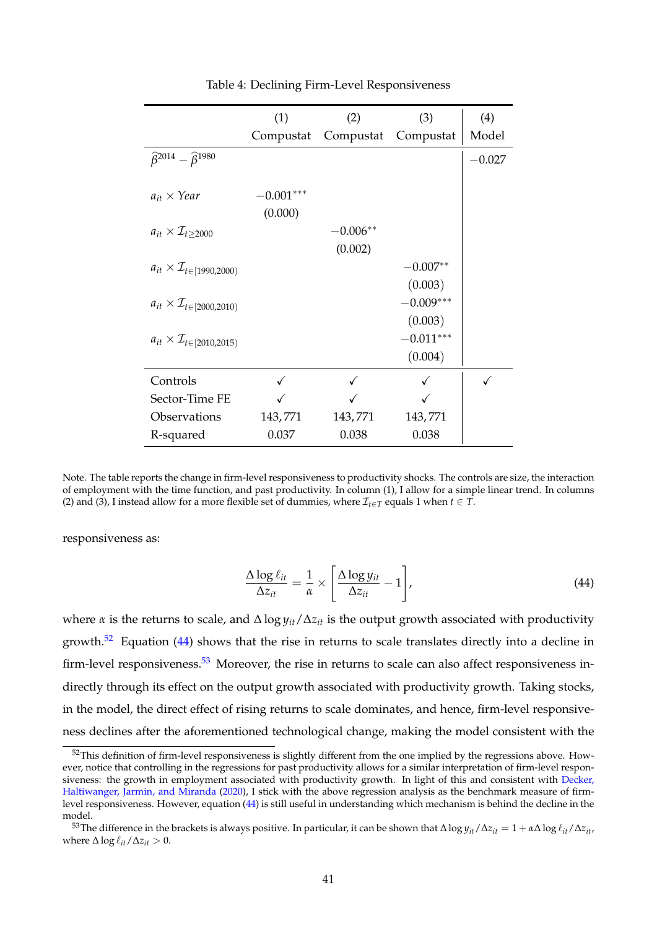<span id="page-41-0"></span>

|                                                  | (1)         | (2)        | (3)                 | (4)      |
|--------------------------------------------------|-------------|------------|---------------------|----------|
|                                                  | Compustat   |            | Compustat Compustat | Model    |
| $\hat{\beta}^{2014} - \hat{\beta}^{1980}$        |             |            |                     | $-0.027$ |
|                                                  |             |            |                     |          |
| $a_{it} \times Year$                             | $-0.001***$ |            |                     |          |
|                                                  | (0.000)     |            |                     |          |
| $a_{it} \times \mathcal{I}_{t>2000}$             |             | $-0.006**$ |                     |          |
|                                                  |             | (0.002)    |                     |          |
| $a_{it} \times \mathcal{I}_{t \in [1990, 2000)}$ |             |            | $-0.007**$          |          |
|                                                  |             |            | (0.003)             |          |
| $a_{it} \times \mathcal{I}_{t \in [2000, 2010)}$ |             |            | $-0.009***$         |          |
|                                                  |             |            | (0.003)             |          |
| $a_{it} \times \mathcal{I}_{t \in [2010, 2015)}$ |             |            | $-0.011***$         |          |
|                                                  |             |            | (0.004)             |          |
| Controls                                         |             |            |                     |          |
| Sector-Time FE                                   |             |            |                     |          |
| Observations                                     | 143,771     | 143,771    | 143,771             |          |
| R-squared                                        | 0.037       | 0.038      | 0.038               |          |

Table 4: Declining Firm-Level Responsiveness

responsiveness as:

<span id="page-41-2"></span>
$$
\frac{\Delta \log \ell_{it}}{\Delta z_{it}} = \frac{1}{\alpha} \times \left[ \frac{\Delta \log y_{it}}{\Delta z_{it}} - 1 \right],\tag{44}
$$

where *α* is the returns to scale, and ∆ log *yit*/∆*zit* is the output growth associated with productivity growth. $52$  Equation [\(44\)](#page-41-2) shows that the rise in returns to scale translates directly into a decline in firm-level responsiveness.<sup>[53](#page-41-3)</sup> Moreover, the rise in returns to scale can also affect responsiveness indirectly through its effect on the output growth associated with productivity growth. Taking stocks, in the model, the direct effect of rising returns to scale dominates, and hence, firm-level responsiveness declines after the aforementioned technological change, making the model consistent with the

Note. The table reports the change in firm-level responsiveness to productivity shocks. The controls are size, the interaction of employment with the time function, and past productivity. In column (1), I allow for a simple linear trend. In columns (2) and (3), I instead allow for a more flexible set of dummies, where  $\mathcal{I}_{t \in \mathcal{T}}$  equals 1 when  $t \in \mathcal{T}$ .

<span id="page-41-1"></span><sup>&</sup>lt;sup>52</sup>This definition of firm-level responsiveness is slightly different from the one implied by the regressions above. However, notice that controlling in the regressions for past productivity allows for a similar interpretation of firm-level responsiveness: the growth in employment associated with productivity growth. In light of this and consistent with [Decker,](#page-66-13) [Haltiwanger, Jarmin, and Miranda](#page-66-13) [\(2020\)](#page-66-13), I stick with the above regression analysis as the benchmark measure of firmlevel responsiveness. However, equation [\(44\)](#page-41-2) is still useful in understanding which mechanism is behind the decline in the model.

<span id="page-41-3"></span> $^{53}$ The difference in the brackets is always positive. In particular, it can be shown that  $\Delta \log y_{it}/\Delta z_{it} = 1 + \alpha \Delta \log \ell_{it}/\Delta z_{it}$ , where  $\Delta \log \ell_{it}/\Delta z_{it} > 0$ .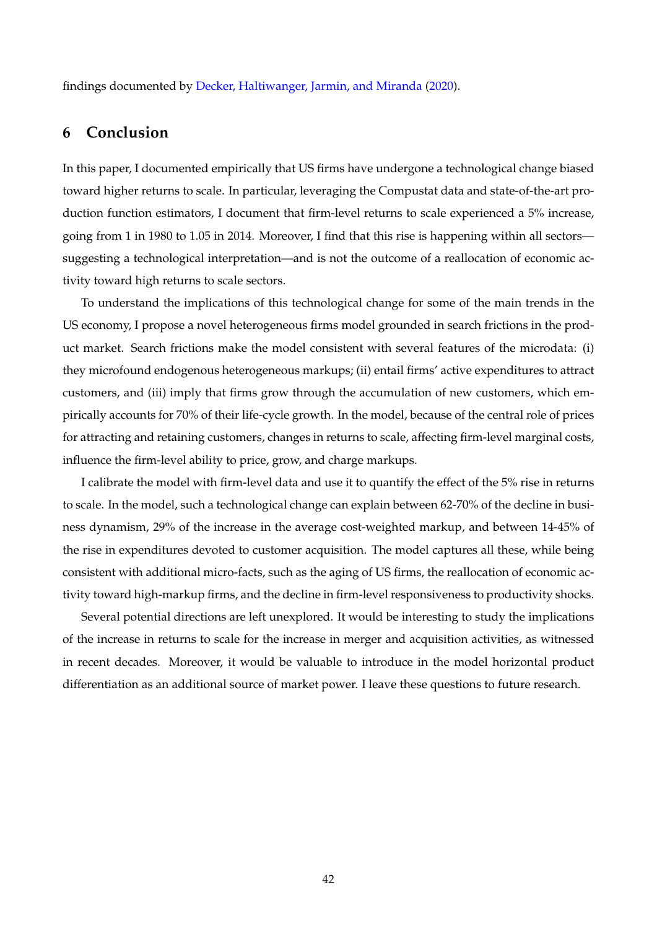findings documented by [Decker, Haltiwanger, Jarmin, and Miranda](#page-66-13) [\(2020\)](#page-66-13).

# <span id="page-42-0"></span>**6 Conclusion**

In this paper, I documented empirically that US firms have undergone a technological change biased toward higher returns to scale. In particular, leveraging the Compustat data and state-of-the-art production function estimators, I document that firm-level returns to scale experienced a 5% increase, going from 1 in 1980 to 1.05 in 2014. Moreover, I find that this rise is happening within all sectors suggesting a technological interpretation—and is not the outcome of a reallocation of economic activity toward high returns to scale sectors.

To understand the implications of this technological change for some of the main trends in the US economy, I propose a novel heterogeneous firms model grounded in search frictions in the product market. Search frictions make the model consistent with several features of the microdata: (i) they microfound endogenous heterogeneous markups; (ii) entail firms' active expenditures to attract customers, and (iii) imply that firms grow through the accumulation of new customers, which empirically accounts for 70% of their life-cycle growth. In the model, because of the central role of prices for attracting and retaining customers, changes in returns to scale, affecting firm-level marginal costs, influence the firm-level ability to price, grow, and charge markups.

I calibrate the model with firm-level data and use it to quantify the effect of the 5% rise in returns to scale. In the model, such a technological change can explain between 62-70% of the decline in business dynamism, 29% of the increase in the average cost-weighted markup, and between 14-45% of the rise in expenditures devoted to customer acquisition. The model captures all these, while being consistent with additional micro-facts, such as the aging of US firms, the reallocation of economic activity toward high-markup firms, and the decline in firm-level responsiveness to productivity shocks.

Several potential directions are left unexplored. It would be interesting to study the implications of the increase in returns to scale for the increase in merger and acquisition activities, as witnessed in recent decades. Moreover, it would be valuable to introduce in the model horizontal product differentiation as an additional source of market power. I leave these questions to future research.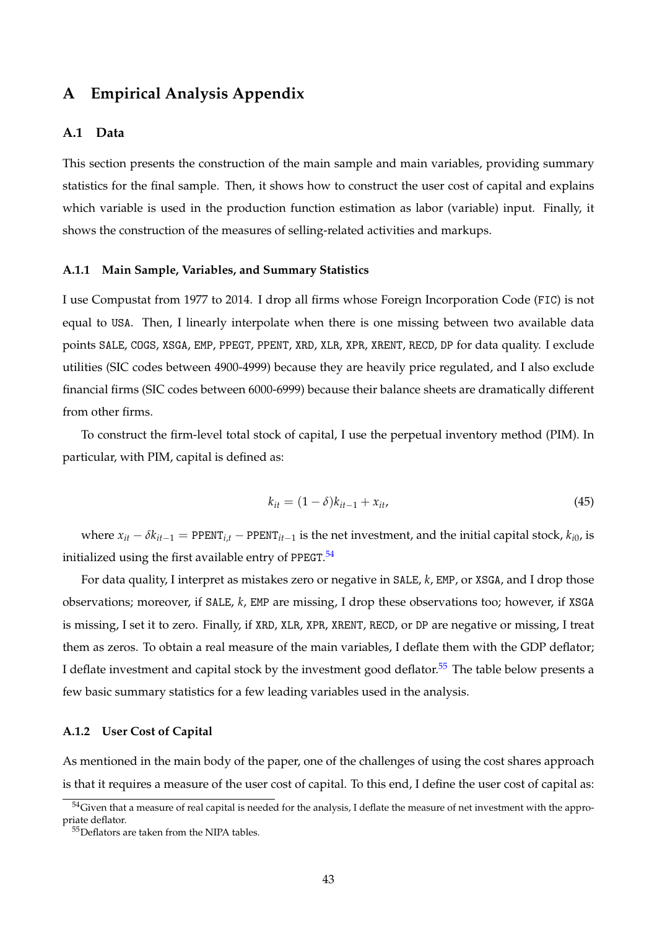# **A Empirical Analysis Appendix**

# <span id="page-43-0"></span>**A.1 Data**

This section presents the construction of the main sample and main variables, providing summary statistics for the final sample. Then, it shows how to construct the user cost of capital and explains which variable is used in the production function estimation as labor (variable) input. Finally, it shows the construction of the measures of selling-related activities and markups.

#### **A.1.1 Main Sample, Variables, and Summary Statistics**

I use Compustat from 1977 to 2014. I drop all firms whose Foreign Incorporation Code (FIC) is not equal to USA. Then, I linearly interpolate when there is one missing between two available data points SALE, COGS, XSGA, EMP, PPEGT, PPENT, XRD, XLR, XPR, XRENT, RECD, DP for data quality. I exclude utilities (SIC codes between 4900-4999) because they are heavily price regulated, and I also exclude financial firms (SIC codes between 6000-6999) because their balance sheets are dramatically different from other firms.

To construct the firm-level total stock of capital, I use the perpetual inventory method (PIM). In particular, with PIM, capital is defined as:

$$
k_{it} = (1 - \delta)k_{it-1} + x_{it}, \tag{45}
$$

where  $x_{it} - \delta k_{it-1}$  = PPENT<sub>*i*,*t*</sub> − PPENT<sub>*i*t−1</sub> is the net investment, and the initial capital stock,  $k_{i0}$ , is initialized using the first available entry of PPEGT.<sup>[54](#page-43-1)</sup>

For data quality, I interpret as mistakes zero or negative in SALE, *k*, EMP, or XSGA, and I drop those observations; moreover, if SALE, *k*, EMP are missing, I drop these observations too; however, if XSGA is missing, I set it to zero. Finally, if XRD, XLR, XPR, XRENT, RECD, or DP are negative or missing, I treat them as zeros. To obtain a real measure of the main variables, I deflate them with the GDP deflator; I deflate investment and capital stock by the investment good deflator.<sup>[55](#page-43-2)</sup> The table below presents a few basic summary statistics for a few leading variables used in the analysis.

#### **A.1.2 User Cost of Capital**

As mentioned in the main body of the paper, one of the challenges of using the cost shares approach is that it requires a measure of the user cost of capital. To this end, I define the user cost of capital as:

<span id="page-43-1"></span><sup>&</sup>lt;sup>54</sup>Given that a measure of real capital is needed for the analysis, I deflate the measure of net investment with the appropriate deflator.

<span id="page-43-2"></span><sup>55</sup> Deflators are taken from the NIPA tables.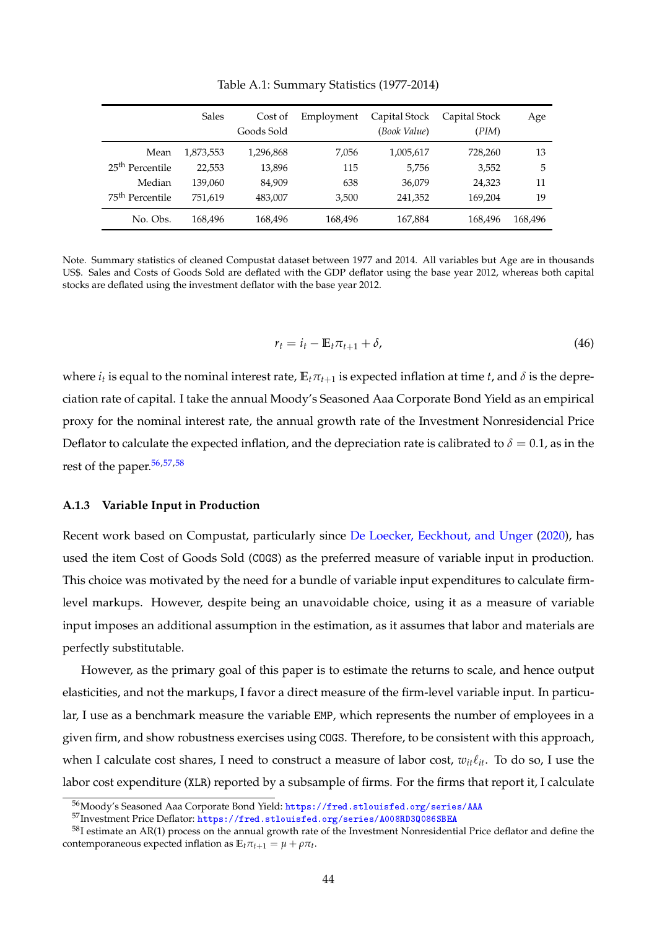|                             | Sales     | Cost of    | Employment | Capital Stock | Capital Stock | Age     |
|-----------------------------|-----------|------------|------------|---------------|---------------|---------|
|                             |           | Goods Sold |            | (Book Value)  | (PIM)         |         |
| Mean                        | 1,873,553 | 1,296,868  | 7.056      | 1,005,617     | 728,260       | 13      |
| 25 <sup>th</sup> Percentile | 22,553    | 13,896     | 115        | 5,756         | 3,552         | 5       |
| Median                      | 139,060   | 84,909     | 638        | 36,079        | 24,323        | 11      |
| 75 <sup>th</sup> Percentile | 751.619   | 483,007    | 3,500      | 241,352       | 169,204       | 19      |
| No. Obs.                    | 168,496   | 168,496    | 168,496    | 167,884       | 168,496       | 168,496 |

Table A.1: Summary Statistics (1977-2014)

Note. Summary statistics of cleaned Compustat dataset between 1977 and 2014. All variables but Age are in thousands US\$. Sales and Costs of Goods Sold are deflated with the GDP deflator using the base year 2012, whereas both capital stocks are deflated using the investment deflator with the base year 2012.

$$
r_t = i_t - \mathbb{E}_t \pi_{t+1} + \delta,\tag{46}
$$

where  $i_t$  is equal to the nominal interest rate,  $\mathbb{E}_t\pi_{t+1}$  is expected inflation at time  $t$ , and  $\delta$  is the depreciation rate of capital. I take the annual Moody's Seasoned Aaa Corporate Bond Yield as an empirical proxy for the nominal interest rate, the annual growth rate of the Investment Nonresidencial Price Deflator to calculate the expected inflation, and the depreciation rate is calibrated to  $\delta = 0.1$ , as in the rest of the paper.<sup>[56,](#page-44-1)[57,](#page-44-2)[58](#page-44-3)</sup>

#### <span id="page-44-0"></span>**A.1.3 Variable Input in Production**

Recent work based on Compustat, particularly since [De Loecker, Eeckhout, and Unger](#page-65-1) [\(2020\)](#page-65-1), has used the item Cost of Goods Sold (COGS) as the preferred measure of variable input in production. This choice was motivated by the need for a bundle of variable input expenditures to calculate firmlevel markups. However, despite being an unavoidable choice, using it as a measure of variable input imposes an additional assumption in the estimation, as it assumes that labor and materials are perfectly substitutable.

However, as the primary goal of this paper is to estimate the returns to scale, and hence output elasticities, and not the markups, I favor a direct measure of the firm-level variable input. In particular, I use as a benchmark measure the variable EMP, which represents the number of employees in a given firm, and show robustness exercises using COGS. Therefore, to be consistent with this approach, when I calculate cost shares, I need to construct a measure of labor cost,  $w_{it} \ell_{it}$ . To do so, I use the labor cost expenditure (XLR) reported by a subsample of firms. For the firms that report it, I calculate

<span id="page-44-1"></span><sup>56</sup>Moody's Seasoned Aaa Corporate Bond Yield: <https://fred.stlouisfed.org/series/AAA>

<span id="page-44-3"></span><span id="page-44-2"></span><sup>57</sup>Investment Price Deflator: <https://fred.stlouisfed.org/series/A008RD3Q086SBEA>

 $58$ I estimate an AR(1) process on the annual growth rate of the Investment Nonresidential Price deflator and define the contemporaneous expected inflation as  $\mathbb{E}_t \pi_{t+1} = \mu + \rho \pi_t$ .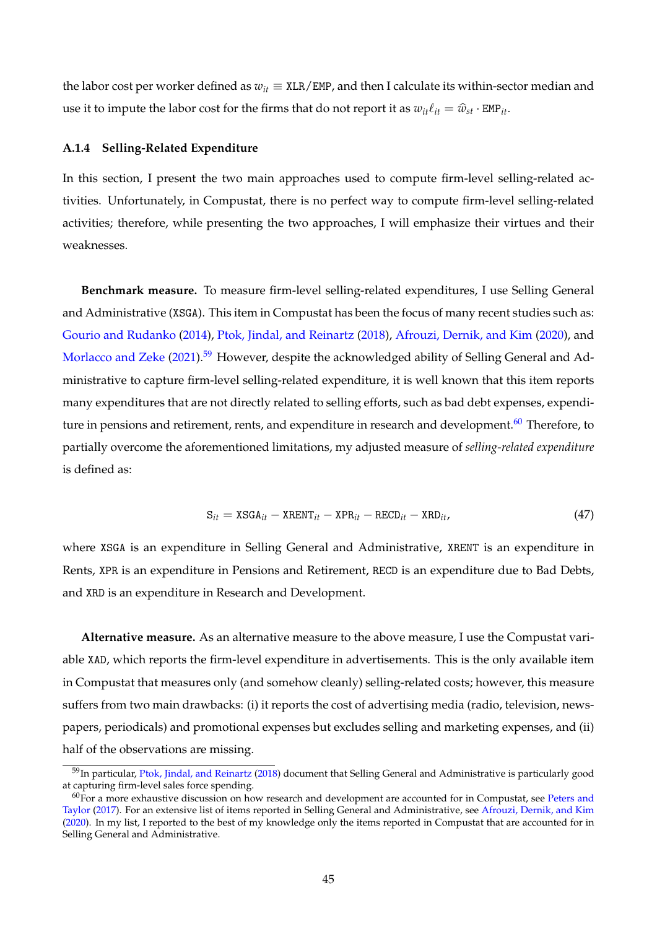the labor cost per worker defined as  $w_{it} \equiv \text{XLR}/\text{EMP}$ , and then I calculate its within-sector median and use it to impute the labor cost for the firms that do not report it as  $w_{it}\ell_{it} = \hat{w}_{st} \cdot \text{EMP}_{it}$ .

#### <span id="page-45-0"></span>**A.1.4 Selling-Related Expenditure**

In this section, I present the two main approaches used to compute firm-level selling-related activities. Unfortunately, in Compustat, there is no perfect way to compute firm-level selling-related activities; therefore, while presenting the two approaches, I will emphasize their virtues and their weaknesses.

**Benchmark measure.** To measure firm-level selling-related expenditures, I use Selling General and Administrative (XSGA). This item in Compustat has been the focus of many recent studies such as: [Gourio and Rudanko](#page-66-3) [\(2014\)](#page-66-3), [Ptok, Jindal, and Reinartz](#page-67-28) [\(2018\)](#page-67-28), [Afrouzi, Dernik, and Kim](#page-65-7) [\(2020\)](#page-65-7), and [Morlacco and Zeke](#page-67-29) [\(2021\)](#page-67-29).<sup>[59](#page-45-1)</sup> However, despite the acknowledged ability of Selling General and Administrative to capture firm-level selling-related expenditure, it is well known that this item reports many expenditures that are not directly related to selling efforts, such as bad debt expenses, expendi-ture in pensions and retirement, rents, and expenditure in research and development.<sup>[60](#page-45-2)</sup> Therefore, to partially overcome the aforementioned limitations, my adjusted measure of *selling-related expenditure* is defined as:

$$
S_{it} = XSGA_{it} - XRENT_{it} - XPR_{it} - RECD_{it} - XRD_{it}, \qquad (47)
$$

where XSGA is an expenditure in Selling General and Administrative, XRENT is an expenditure in Rents, XPR is an expenditure in Pensions and Retirement, RECD is an expenditure due to Bad Debts, and XRD is an expenditure in Research and Development.

**Alternative measure.** As an alternative measure to the above measure, I use the Compustat variable XAD, which reports the firm-level expenditure in advertisements. This is the only available item in Compustat that measures only (and somehow cleanly) selling-related costs; however, this measure suffers from two main drawbacks: (i) it reports the cost of advertising media (radio, television, newspapers, periodicals) and promotional expenses but excludes selling and marketing expenses, and (ii) half of the observations are missing.

<span id="page-45-1"></span><sup>&</sup>lt;sup>59</sup>In particular, [Ptok, Jindal, and Reinartz](#page-67-28) [\(2018\)](#page-67-28) document that Selling General and Administrative is particularly good at capturing firm-level sales force spending.

<span id="page-45-2"></span> $60$ For a more exhaustive discussion on how research and development are accounted for in Compustat, see [Peters and](#page-67-30) [Taylor](#page-67-30) [\(2017\)](#page-67-30). For an extensive list of items reported in Selling General and Administrative, see [Afrouzi, Dernik, and Kim](#page-65-7)  $(2020)$ . In my list, I reported to the best of my knowledge only the items reported in Compustat that are accounted for in Selling General and Administrative.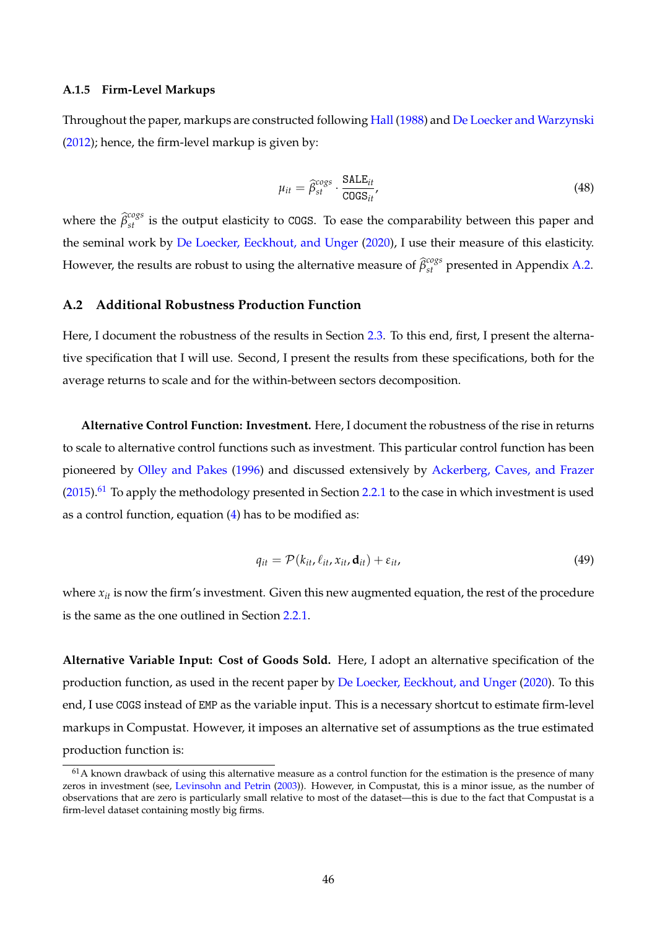## <span id="page-46-1"></span>**A.1.5 Firm-Level Markups**

Throughout the paper, markups are constructed following [Hall](#page-66-20) [\(1988\)](#page-66-20) and [De Loecker and Warzynski](#page-65-29) [\(2012\)](#page-65-29); hence, the firm-level markup is given by:

$$
\mu_{it} = \hat{\beta}_{st}^{cogs} \cdot \frac{\text{SALE}_{it}}{\text{COGS}_{it}},\tag{48}
$$

where the  $\hat{\beta}_{st}^{cogs}$  is the output elasticity to COGS. To ease the comparability between this paper and the seminal work by [De Loecker, Eeckhout, and Unger](#page-65-1) [\(2020\)](#page-65-1), I use their measure of this elasticity. However, the results are robust to using the alternative measure of  $\widehat{\beta}_{st}^{cogs}$  presented in Appendix [A.2.](#page-46-0)

# <span id="page-46-0"></span>**A.2 Additional Robustness Production Function**

Here, I document the robustness of the results in Section [2.3.](#page-10-1) To this end, first, I present the alternative specification that I will use. Second, I present the results from these specifications, both for the average returns to scale and for the within-between sectors decomposition.

**Alternative Control Function: Investment.** Here, I document the robustness of the rise in returns to scale to alternative control functions such as investment. This particular control function has been pioneered by [Olley and Pakes](#page-67-24) [\(1996\)](#page-67-24) and discussed extensively by [Ackerberg, Caves, and Frazer](#page-65-3)  $(2015)$ .<sup>[61](#page-46-2)</sup> To apply the methodology presented in Section [2.2.1](#page-7-1) to the case in which investment is used as a control function, equation  $(4)$  has to be modified as:

$$
q_{it} = \mathcal{P}(k_{it}, \ell_{it}, x_{it}, \mathbf{d}_{it}) + \varepsilon_{it},
$$
\n(49)

where  $x_{it}$  is now the firm's investment. Given this new augmented equation, the rest of the procedure is the same as the one outlined in Section [2.2.1.](#page-7-1)

**Alternative Variable Input: Cost of Goods Sold.** Here, I adopt an alternative specification of the production function, as used in the recent paper by [De Loecker, Eeckhout, and Unger](#page-65-1) [\(2020\)](#page-65-1). To this end, I use COGS instead of EMP as the variable input. This is a necessary shortcut to estimate firm-level markups in Compustat. However, it imposes an alternative set of assumptions as the true estimated production function is:

<span id="page-46-2"></span> $61A$  known drawback of using this alternative measure as a control function for the estimation is the presence of many zeros in investment (see, [Levinsohn and Petrin](#page-67-25) [\(2003\)](#page-67-25)). However, in Compustat, this is a minor issue, as the number of observations that are zero is particularly small relative to most of the dataset—this is due to the fact that Compustat is a firm-level dataset containing mostly big firms.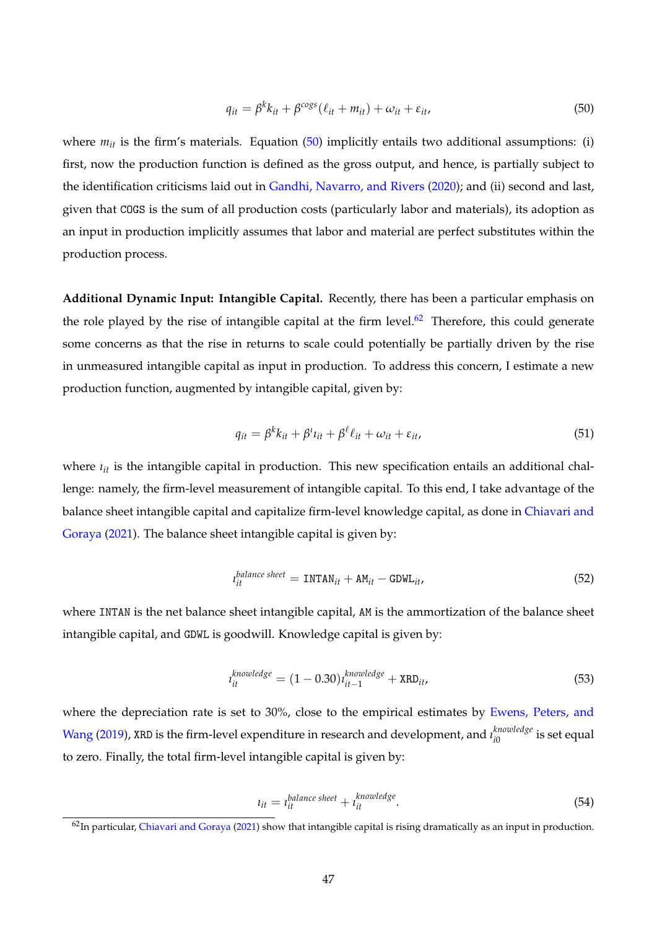<span id="page-47-0"></span>
$$
q_{it} = \beta^k k_{it} + \beta^{cogs} (\ell_{it} + m_{it}) + \omega_{it} + \varepsilon_{it}, \qquad (50)
$$

where  $m_{it}$  is the firm's materials. Equation [\(50\)](#page-47-0) implicitly entails two additional assumptions: (i) first, now the production function is defined as the gross output, and hence, is partially subject to the identification criticisms laid out in [Gandhi, Navarro, and Rivers](#page-66-17) [\(2020\)](#page-66-17); and (ii) second and last, given that COGS is the sum of all production costs (particularly labor and materials), its adoption as an input in production implicitly assumes that labor and material are perfect substitutes within the production process.

**Additional Dynamic Input: Intangible Capital.** Recently, there has been a particular emphasis on the role played by the rise of intangible capital at the firm level. $62$  Therefore, this could generate some concerns as that the rise in returns to scale could potentially be partially driven by the rise in unmeasured intangible capital as input in production. To address this concern, I estimate a new production function, augmented by intangible capital, given by:

$$
q_{it} = \beta^k k_{it} + \beta^i \iota_{it} + \beta^\ell \ell_{it} + \omega_{it} + \varepsilon_{it}, \tag{51}
$$

where  $i_{it}$  is the intangible capital in production. This new specification entails an additional challenge: namely, the firm-level measurement of intangible capital. To this end, I take advantage of the balance sheet intangible capital and capitalize firm-level knowledge capital, as done in [Chiavari and](#page-65-14) [Goraya](#page-65-14) [\(2021\)](#page-65-14). The balance sheet intangible capital is given by:

$$
t_{it}^{balance sheet} = \text{INTAN}_{it} + \text{AM}_{it} - \text{GDWL}_{it}, \tag{52}
$$

where INTAN is the net balance sheet intangible capital, AM is the ammortization of the balance sheet intangible capital, and GDWL is goodwill. Knowledge capital is given by:

$$
t_{it}^{knowledge} = (1 - 0.30)t_{it-1}^{knowledge} + \text{XRD}_{it}, \tag{53}
$$

where the depreciation rate is set to 30%, close to the empirical estimates by [Ewens, Peters, and](#page-66-24) [Wang](#page-66-24) [\(2019\)](#page-66-24), XRD is the firm-level expenditure in research and development, and *ı knowledge*  $\frac{k n \omega}{i0}$  is set equal to zero. Finally, the total firm-level intangible capital is given by:

$$
t_{it} = t_{it}^{balance sheet} + t_{it}^{knowledge}.
$$
\n(54)

<span id="page-47-1"></span> $62$ In particular, [Chiavari and Goraya](#page-65-14) [\(2021\)](#page-65-14) show that intangible capital is rising dramatically as an input in production.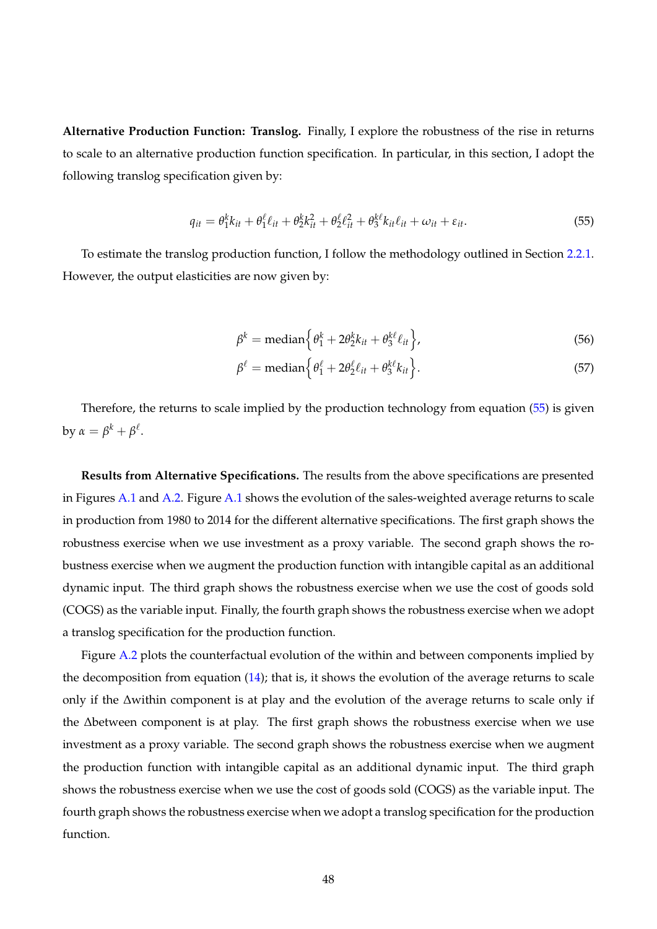**Alternative Production Function: Translog.** Finally, I explore the robustness of the rise in returns to scale to an alternative production function specification. In particular, in this section, I adopt the following translog specification given by:

<span id="page-48-0"></span>
$$
q_{it} = \theta_1^k k_{it} + \theta_1^\ell \ell_{it} + \theta_2^k k_{it}^2 + \theta_2^\ell \ell_{it}^2 + \theta_3^k k_{it} \ell_{it} + \omega_{it} + \varepsilon_{it}.
$$
\n
$$
\tag{55}
$$

To estimate the translog production function, I follow the methodology outlined in Section [2.2.1.](#page-7-1) However, the output elasticities are now given by:

$$
\beta^k = \text{median}\left\{\theta_1^k + 2\theta_2^k k_{it} + \theta_3^{k\ell} \ell_{it}\right\},\tag{56}
$$

$$
\beta^{\ell} = \text{median}\left\{\theta_1^{\ell} + 2\theta_2^{\ell} \ell_{it} + \theta_3^{k\ell} k_{it}\right\}.
$$
\n(57)

Therefore, the returns to scale implied by the production technology from equation [\(55\)](#page-48-0) is given by  $\alpha = \beta^k + \beta^\ell$ .

**Results from Alternative Specifications.** The results from the above specifications are presented in Figures [A.1](#page-49-0) and [A.2.](#page-50-0) Figure [A.1](#page-49-0) shows the evolution of the sales-weighted average returns to scale in production from 1980 to 2014 for the different alternative specifications. The first graph shows the robustness exercise when we use investment as a proxy variable. The second graph shows the robustness exercise when we augment the production function with intangible capital as an additional dynamic input. The third graph shows the robustness exercise when we use the cost of goods sold (COGS) as the variable input. Finally, the fourth graph shows the robustness exercise when we adopt a translog specification for the production function.

Figure [A.2](#page-50-0) plots the counterfactual evolution of the within and between components implied by the decomposition from equation  $(14)$ ; that is, it shows the evolution of the average returns to scale only if the ∆within component is at play and the evolution of the average returns to scale only if the ∆between component is at play. The first graph shows the robustness exercise when we use investment as a proxy variable. The second graph shows the robustness exercise when we augment the production function with intangible capital as an additional dynamic input. The third graph shows the robustness exercise when we use the cost of goods sold (COGS) as the variable input. The fourth graph shows the robustness exercise when we adopt a translog specification for the production function.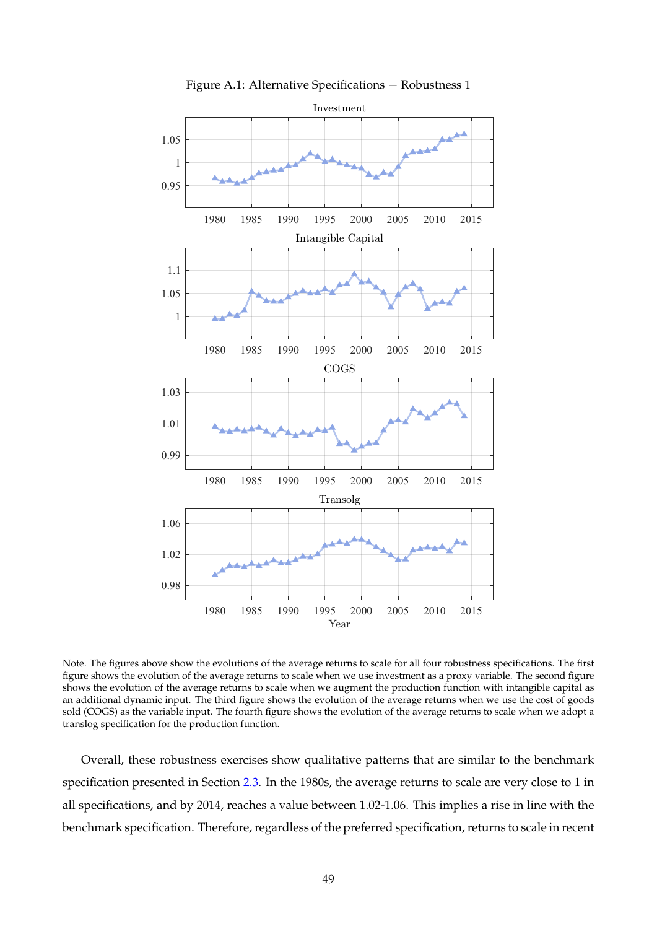<span id="page-49-0"></span>

Figure A.1: Alternative Specifications − Robustness 1

Note. The figures above show the evolutions of the average returns to scale for all four robustness specifications. The first figure shows the evolution of the average returns to scale when we use investment as a proxy variable. The second figure shows the evolution of the average returns to scale when we augment the production function with intangible capital as an additional dynamic input. The third figure shows the evolution of the average returns when we use the cost of goods sold (COGS) as the variable input. The fourth figure shows the evolution of the average returns to scale when we adopt a translog specification for the production function.

Overall, these robustness exercises show qualitative patterns that are similar to the benchmark specification presented in Section [2.3.](#page-10-1) In the 1980s, the average returns to scale are very close to 1 in all specifications, and by 2014, reaches a value between 1.02-1.06. This implies a rise in line with the benchmark specification. Therefore, regardless of the preferred specification, returns to scale in recent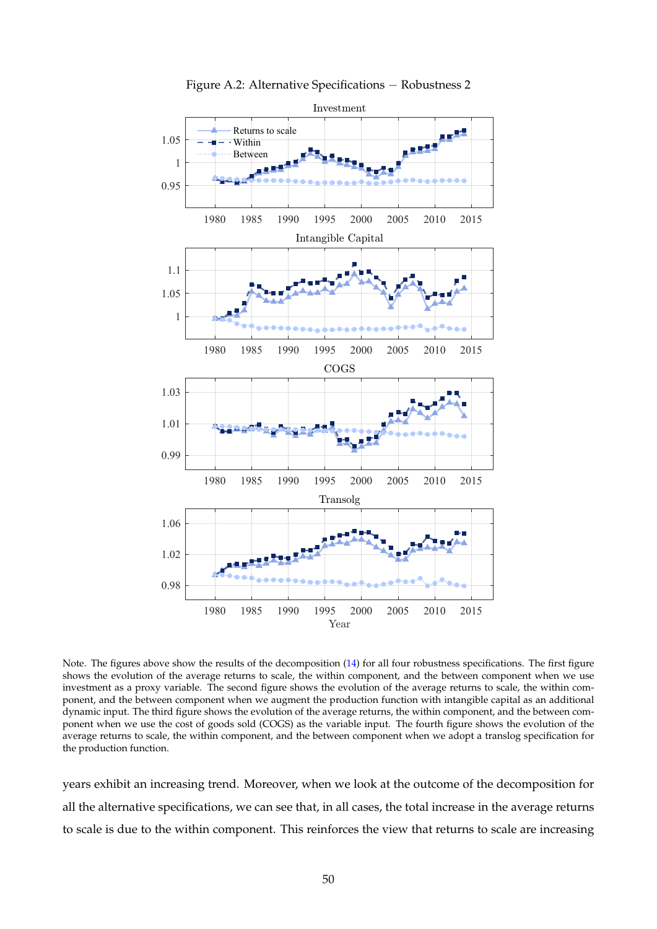<span id="page-50-0"></span>

Figure A.2: Alternative Specifications − Robustness 2

Note. The figures above show the results of the decomposition [\(14\)](#page-13-0) for all four robustness specifications. The first figure shows the evolution of the average returns to scale, the within component, and the between component when we use investment as a proxy variable. The second figure shows the evolution of the average returns to scale, the within component, and the between component when we augment the production function with intangible capital as an additional dynamic input. The third figure shows the evolution of the average returns, the within component, and the between component when we use the cost of goods sold (COGS) as the variable input. The fourth figure shows the evolution of the average returns to scale, the within component, and the between component when we adopt a translog specification for the production function.

years exhibit an increasing trend. Moreover, when we look at the outcome of the decomposition for all the alternative specifications, we can see that, in all cases, the total increase in the average returns to scale is due to the within component. This reinforces the view that returns to scale are increasing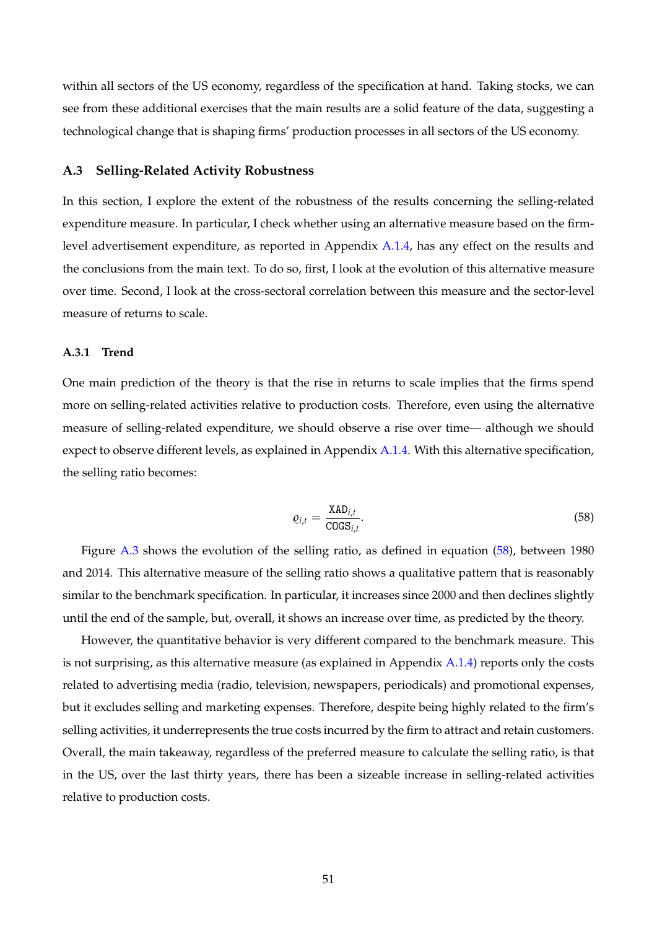within all sectors of the US economy, regardless of the specification at hand. Taking stocks, we can see from these additional exercises that the main results are a solid feature of the data, suggesting a technological change that is shaping firms' production processes in all sectors of the US economy.

#### <span id="page-51-0"></span>**A.3 Selling-Related Activity Robustness**

In this section, I explore the extent of the robustness of the results concerning the selling-related expenditure measure. In particular, I check whether using an alternative measure based on the firmlevel advertisement expenditure, as reported in Appendix [A.1.4,](#page-45-0) has any effect on the results and the conclusions from the main text. To do so, first, I look at the evolution of this alternative measure over time. Second, I look at the cross-sectoral correlation between this measure and the sector-level measure of returns to scale.

#### **A.3.1 Trend**

One main prediction of the theory is that the rise in returns to scale implies that the firms spend more on selling-related activities relative to production costs. Therefore, even using the alternative measure of selling-related expenditure, we should observe a rise over time— although we should expect to observe different levels, as explained in Appendix [A.1.4.](#page-45-0) With this alternative specification, the selling ratio becomes:

<span id="page-51-1"></span>
$$
\varrho_{i,t} = \frac{\text{XAD}_{i,t}}{\text{COGS}_{i,t}}.\tag{58}
$$

Figure [A.3](#page-52-0) shows the evolution of the selling ratio, as defined in equation [\(58\)](#page-51-1), between 1980 and 2014. This alternative measure of the selling ratio shows a qualitative pattern that is reasonably similar to the benchmark specification. In particular, it increases since 2000 and then declines slightly until the end of the sample, but, overall, it shows an increase over time, as predicted by the theory.

However, the quantitative behavior is very different compared to the benchmark measure. This is not surprising, as this alternative measure (as explained in Appendix [A.1.4\)](#page-45-0) reports only the costs related to advertising media (radio, television, newspapers, periodicals) and promotional expenses, but it excludes selling and marketing expenses. Therefore, despite being highly related to the firm's selling activities, it underrepresents the true costs incurred by the firm to attract and retain customers. Overall, the main takeaway, regardless of the preferred measure to calculate the selling ratio, is that in the US, over the last thirty years, there has been a sizeable increase in selling-related activities relative to production costs.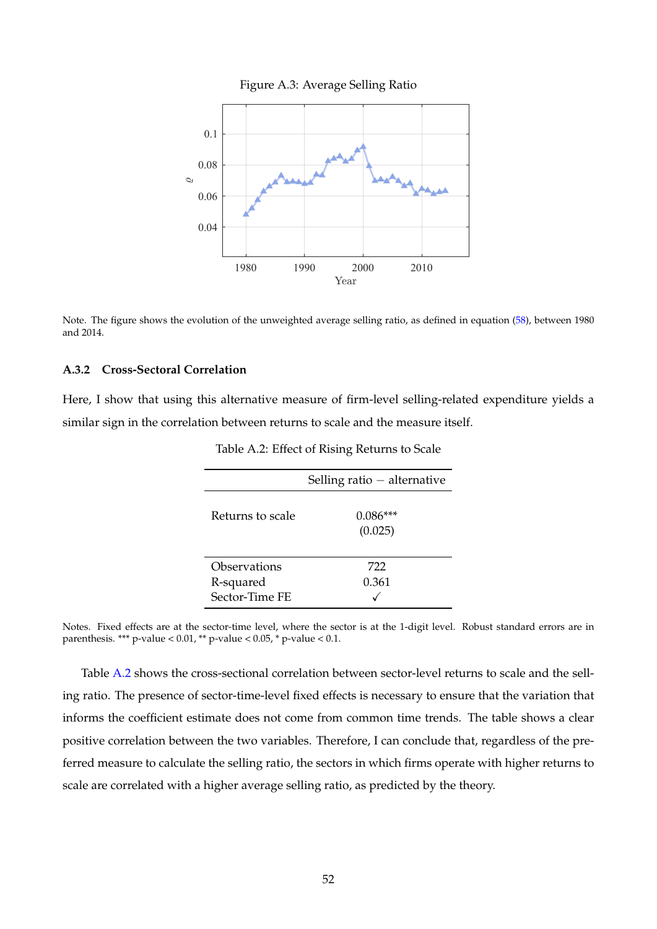

<span id="page-52-0"></span>

Note. The figure shows the evolution of the unweighted average selling ratio, as defined in equation [\(58\)](#page-51-1), between 1980 and 2014.

# **A.3.2 Cross-Sectoral Correlation**

<span id="page-52-1"></span>Here, I show that using this alternative measure of firm-level selling-related expenditure yields a similar sign in the correlation between returns to scale and the measure itself.

|                                             | Selling ratio $-$ alternative |
|---------------------------------------------|-------------------------------|
| Returns to scale                            | $0.086***$<br>(0.025)         |
| Observations<br>R-squared<br>Sector-Time FE | 722<br>0.361                  |

Table A.2: Effect of Rising Returns to Scale

Notes. Fixed effects are at the sector-time level, where the sector is at the 1-digit level. Robust standard errors are in parenthesis. \*\*\* p-value <  $0.01$ , \*\* p-value <  $0.05$ , \* p-value <  $0.1$ .

Table [A.2](#page-52-1) shows the cross-sectional correlation between sector-level returns to scale and the selling ratio. The presence of sector-time-level fixed effects is necessary to ensure that the variation that informs the coefficient estimate does not come from common time trends. The table shows a clear positive correlation between the two variables. Therefore, I can conclude that, regardless of the preferred measure to calculate the selling ratio, the sectors in which firms operate with higher returns to scale are correlated with a higher average selling ratio, as predicted by the theory.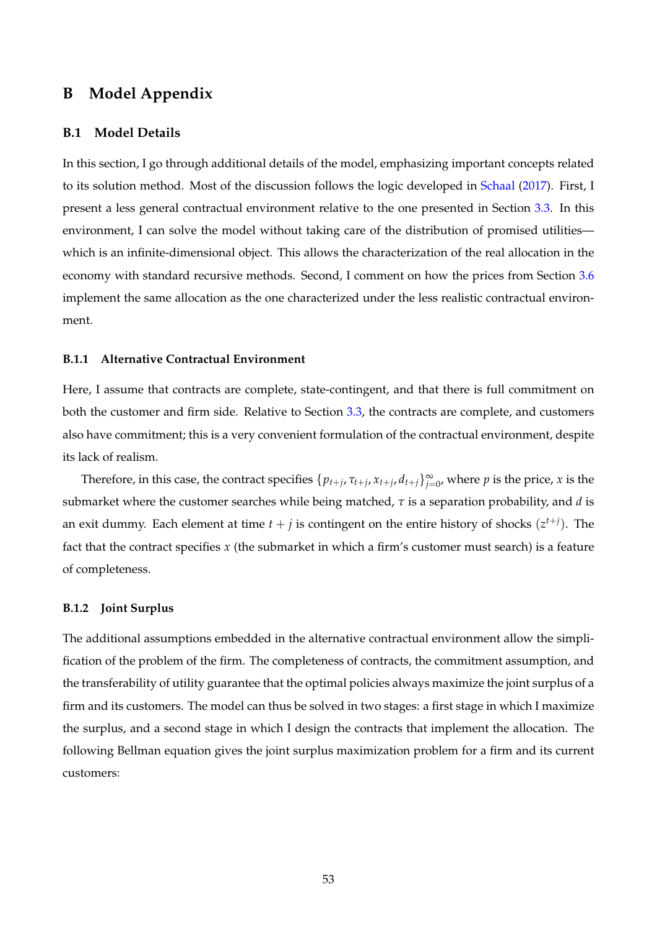# **B Model Appendix**

# <span id="page-53-0"></span>**B.1 Model Details**

In this section, I go through additional details of the model, emphasizing important concepts related to its solution method. Most of the discussion follows the logic developed in [Schaal](#page-67-14) [\(2017\)](#page-67-14). First, I present a less general contractual environment relative to the one presented in Section [3.3.](#page-17-3) In this environment, I can solve the model without taking care of the distribution of promised utilities which is an infinite-dimensional object. This allows the characterization of the real allocation in the economy with standard recursive methods. Second, I comment on how the prices from Section [3.6](#page-21-3) implement the same allocation as the one characterized under the less realistic contractual environment.

# <span id="page-53-1"></span>**B.1.1 Alternative Contractual Environment**

Here, I assume that contracts are complete, state-contingent, and that there is full commitment on both the customer and firm side. Relative to Section [3.3,](#page-17-3) the contracts are complete, and customers also have commitment; this is a very convenient formulation of the contractual environment, despite its lack of realism.

Therefore, in this case, the contract specifies  $\{p_{t+j}, \tau_{t+j}, x_{t+j}, d_{t+j}\}_{j=0}^{\infty}$ , where  $p$  is the price,  $x$  is the submarket where the customer searches while being matched, *τ* is a separation probability, and *d* is an exit dummy. Each element at time  $t + j$  is contingent on the entire history of shocks  $(z^{t+j})$ . The fact that the contract specifies *x* (the submarket in which a firm's customer must search) is a feature of completeness.

#### **B.1.2 Joint Surplus**

The additional assumptions embedded in the alternative contractual environment allow the simplification of the problem of the firm. The completeness of contracts, the commitment assumption, and the transferability of utility guarantee that the optimal policies always maximize the joint surplus of a firm and its customers. The model can thus be solved in two stages: a first stage in which I maximize the surplus, and a second stage in which I design the contracts that implement the allocation. The following Bellman equation gives the joint surplus maximization problem for a firm and its current customers: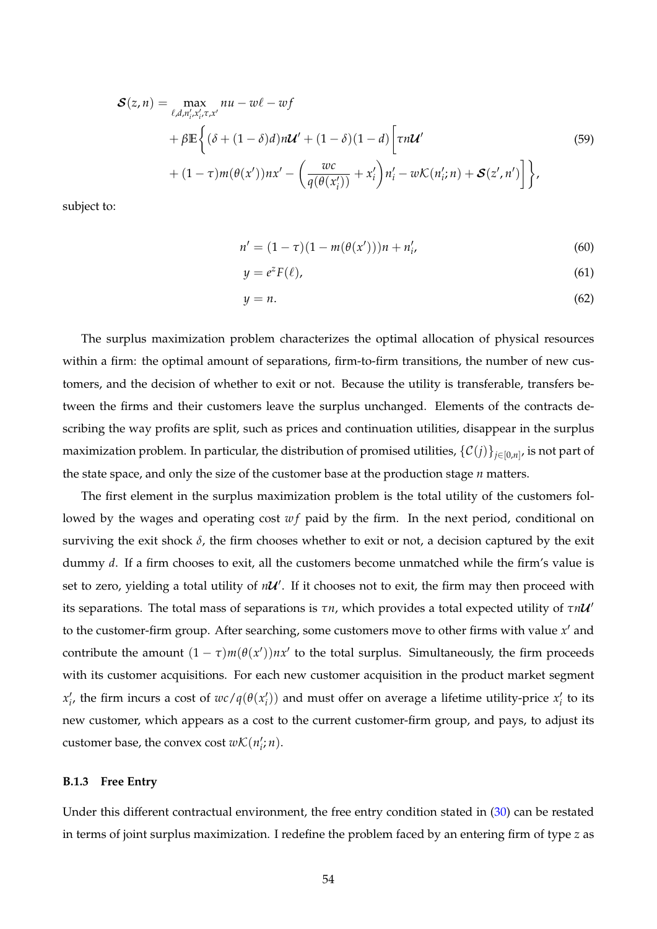<span id="page-54-0"></span>
$$
\mathcal{S}(z,n) = \max_{\ell, d, n'_i, x'_i, \tau, x'} nu - w\ell - wf
$$
  
+ 
$$
\beta \mathbb{E}\left\{ (\delta + (1-\delta)d)n\mathcal{U}' + (1-\delta)(1-d) \left[ \tau n\mathcal{U}' \right. \\ + (1-\tau)m(\theta(x'))nx' - \left( \frac{wc}{q(\theta(x'_i))} + x'_i \right) n'_i - w\mathcal{K}(n'_i;n) + \mathcal{S}(z',n') \right] \right\},
$$
\n(59)

subject to:

$$
n' = (1 - \tau)(1 - m(\theta(x')))n + n'_i,
$$
\n(60)

$$
y = e^z F(\ell), \tag{61}
$$

$$
y = n.\tag{62}
$$

The surplus maximization problem characterizes the optimal allocation of physical resources within a firm: the optimal amount of separations, firm-to-firm transitions, the number of new customers, and the decision of whether to exit or not. Because the utility is transferable, transfers between the firms and their customers leave the surplus unchanged. Elements of the contracts describing the way profits are split, such as prices and continuation utilities, disappear in the surplus maximization problem. In particular, the distribution of promised utilities,  $\{\mathcal{C}(j)\}_{j\in[0,n]}$ , is not part of the state space, and only the size of the customer base at the production stage *n* matters.

The first element in the surplus maximization problem is the total utility of the customers followed by the wages and operating cost wf paid by the firm. In the next period, conditional on surviving the exit shock  $\delta$ , the firm chooses whether to exit or not, a decision captured by the exit dummy *d*. If a firm chooses to exit, all the customers become unmatched while the firm's value is set to zero, yielding a total utility of  $nU'$ . If it chooses not to exit, the firm may then proceed with lits separations. The total mass of separations is *τn*, which provides a total expected utility of *τnU* to the customer-firm group. After searching, some customers move to other firms with value  $x'$  and contribute the amount  $(1 - \tau)m(\theta(x'))nx'$  to the total surplus. Simultaneously, the firm proceeds with its customer acquisitions. For each new customer acquisition in the product market segment  $x'_i$ , the firm incurs a cost of  $wc/q(\theta(x'_i))$  and must offer on average a lifetime utility-price  $x'_i$  to its new customer, which appears as a cost to the current customer-firm group, and pays, to adjust its customer base, the convex cost  $w\mathcal{K}(n'_i;n)$ .

# **B.1.3 Free Entry**

Under this different contractual environment, the free entry condition stated in [\(30\)](#page-22-1) can be restated in terms of joint surplus maximization. I redefine the problem faced by an entering firm of type *z* as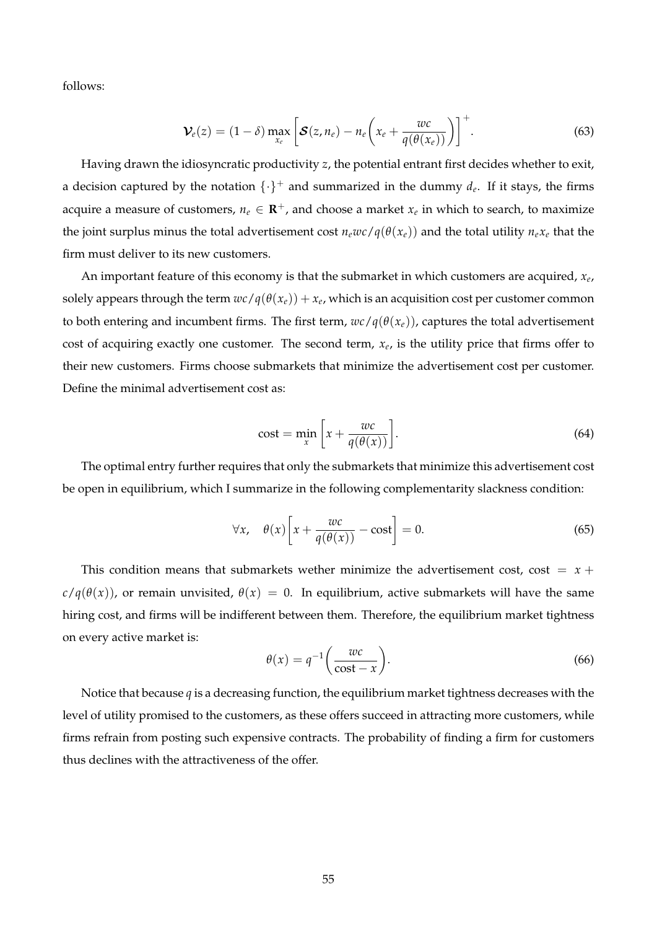follows:

$$
\mathcal{V}_e(z) = (1-\delta) \max_{x_e} \left[ \mathcal{S}(z, n_e) - n_e \left( x_e + \frac{wc}{q(\theta(x_e))} \right) \right]^+.
$$
 (63)

Having drawn the idiosyncratic productivity *z*, the potential entrant first decides whether to exit, a decision captured by the notation  $\{\cdot\}^+$  and summarized in the dummy  $d_e$ . If it stays, the firms acquire a measure of customers,  $n_e \in \mathbf{R}^+$ , and choose a market  $x_e$  in which to search, to maximize the joint surplus minus the total advertisement cost  $n_ewc/q(\theta(x_e))$  and the total utility  $n_ex_e$  that the firm must deliver to its new customers.

An important feature of this economy is that the submarket in which customers are acquired, *x<sup>e</sup>* , solely appears through the term  $wc$  /  $q(\theta(x_e))+x_e$ , which is an acquisition cost per customer common to both entering and incumbent firms. The first term,  $wc/q(\theta(x_e))$ , captures the total advertisement cost of acquiring exactly one customer. The second term, *x<sup>e</sup>* , is the utility price that firms offer to their new customers. Firms choose submarkets that minimize the advertisement cost per customer. Define the minimal advertisement cost as:

$$
cost = \min_{x} \left[ x + \frac{wc}{q(\theta(x))} \right]. \tag{64}
$$

The optimal entry further requires that only the submarkets that minimize this advertisement cost be open in equilibrium, which I summarize in the following complementarity slackness condition:

$$
\forall x, \quad \theta(x) \left[ x + \frac{wc}{q(\theta(x))} - \text{cost} \right] = 0. \tag{65}
$$

This condition means that submarkets wether minimize the advertisement cost, cost  $= x +$  $c/q(\theta(x))$ , or remain unvisited,  $\theta(x) = 0$ . In equilibrium, active submarkets will have the same hiring cost, and firms will be indifferent between them. Therefore, the equilibrium market tightness on every active market is:

$$
\theta(x) = q^{-1} \left( \frac{wc}{\cos t - x} \right). \tag{66}
$$

Notice that because *q* is a decreasing function, the equilibrium market tightness decreases with the level of utility promised to the customers, as these offers succeed in attracting more customers, while firms refrain from posting such expensive contracts. The probability of finding a firm for customers thus declines with the attractiveness of the offer.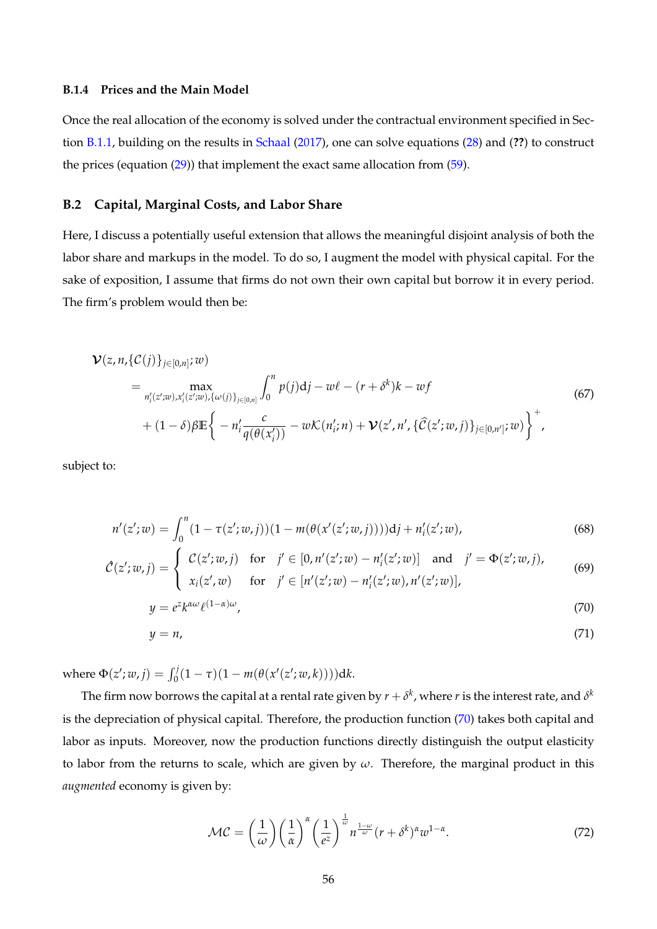# **B.1.4 Prices and the Main Model**

Once the real allocation of the economy is solved under the contractual environment specified in Section [B.1.1,](#page-53-1) building on the results in [Schaal](#page-67-14) [\(2017\)](#page-67-14), one can solve equations [\(28\)](#page-21-2) and (**??**) to construct the prices (equation  $(29)$ ) that implement the exact same allocation from  $(59)$ .

# <span id="page-56-0"></span>**B.2 Capital, Marginal Costs, and Labor Share**

Here, I discuss a potentially useful extension that allows the meaningful disjoint analysis of both the labor share and markups in the model. To do so, I augment the model with physical capital. For the sake of exposition, I assume that firms do not own their own capital but borrow it in every period. The firm's problem would then be:

$$
\mathcal{V}(z, n, \{\mathcal{C}(j)\}_{j \in [0,n]}; w)
$$
\n
$$
= \max_{n'_{i}(z';w), x'_{i}(z';w), \{\omega(j)\}_{j \in [0,n]} } \int_{0}^{n} p(j) \mathrm{d}j - w\ell - (r + \delta^{k})k - wf
$$
\n
$$
+ (1 - \delta)\beta \mathbb{E} \left\{ -n'_{i} \frac{c}{q(\theta(x'_{i}))} - w\mathcal{K}(n'_{i}; n) + \mathcal{V}(z', n', \{\hat{\mathcal{C}}(z';w, j)\}_{j \in [0,n']}; w) \right\}^{+},
$$
\n(67)

subject to:

$$
n'(z';w) = \int_0^n (1 - \tau(z';w, j))(1 - m(\theta(x'(z';w, j))))\mathrm{d}j + n'_i(z';w),\tag{68}
$$

$$
\hat{\mathcal{C}}(z'; w, j) = \begin{cases} \mathcal{C}(z'; w, j) & \text{for } j' \in [0, n'(z'; w) - n'_i(z'; w)] \text{ and } j' = \Phi(z'; w, j), \\ x_i(z', w) & \text{for } j' \in [n'(z'; w) - n'_i(z'; w), n'(z'; w)], \end{cases}
$$
(69)

$$
y = e^{z} k^{\alpha \omega} \ell^{(1-\alpha)\omega},\tag{70}
$$

<span id="page-56-1"></span>
$$
y = n,\tag{71}
$$

 ${\rm where} \ \Phi(z';w,j) = \int_0^j (1-\tau)(1-m(\theta(x'(z';w,k)))) {\rm d}k.$ 

The firm now borrows the capital at a rental rate given by  $r+\delta^k$ , where  $r$  is the interest rate, and  $\delta^k$ is the depreciation of physical capital. Therefore, the production function [\(70\)](#page-56-1) takes both capital and labor as inputs. Moreover, now the production functions directly distinguish the output elasticity to labor from the returns to scale, which are given by *ω*. Therefore, the marginal product in this *augmented* economy is given by:

$$
\mathcal{MC} = \left(\frac{1}{\omega}\right) \left(\frac{1}{\alpha}\right)^{\alpha} \left(\frac{1}{e^z}\right)^{\frac{1}{\omega}} n^{\frac{1-\omega}{\omega}} (r + \delta^k)^{\alpha} w^{1-\alpha}.
$$
 (72)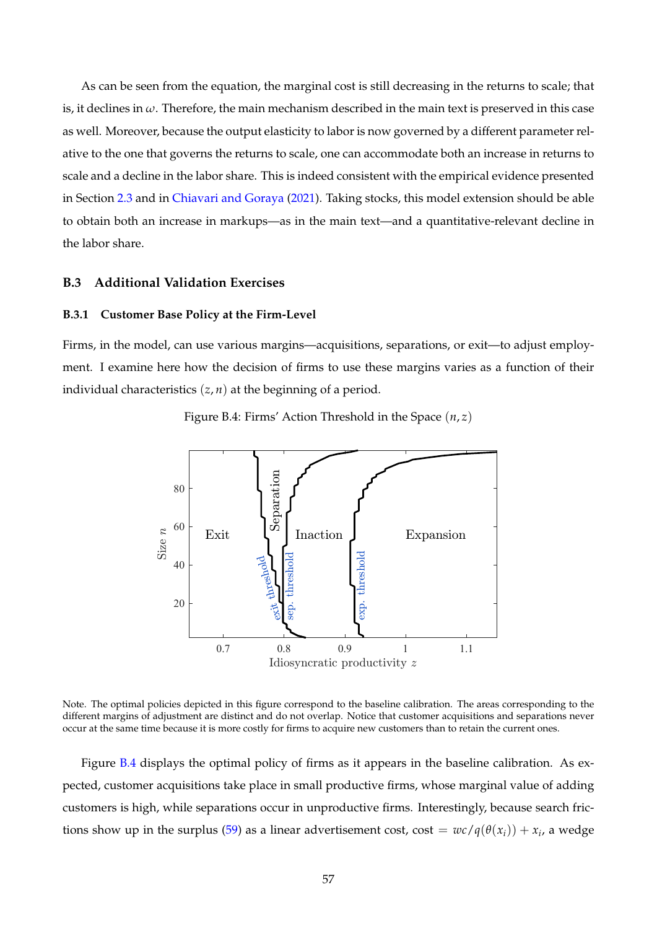As can be seen from the equation, the marginal cost is still decreasing in the returns to scale; that is, it declines in *ω*. Therefore, the main mechanism described in the main text is preserved in this case as well. Moreover, because the output elasticity to labor is now governed by a different parameter relative to the one that governs the returns to scale, one can accommodate both an increase in returns to scale and a decline in the labor share. This is indeed consistent with the empirical evidence presented in Section [2.3](#page-10-1) and in [Chiavari and Goraya](#page-65-14) [\(2021\)](#page-65-14). Taking stocks, this model extension should be able to obtain both an increase in markups—as in the main text—and a quantitative-relevant decline in the labor share.

# <span id="page-57-0"></span>**B.3 Additional Validation Exercises**

#### **B.3.1 Customer Base Policy at the Firm-Level**

<span id="page-57-1"></span>Firms, in the model, can use various margins—acquisitions, separations, or exit—to adjust employment. I examine here how the decision of firms to use these margins varies as a function of their individual characteristics (*z*, *n*) at the beginning of a period.



Figure B.4: Firms' Action Threshold in the Space (*n*, *z*)

Note. The optimal policies depicted in this figure correspond to the baseline calibration. The areas corresponding to the different margins of adjustment are distinct and do not overlap. Notice that customer acquisitions and separations never occur at the same time because it is more costly for firms to acquire new customers than to retain the current ones.

Figure [B.4](#page-57-1) displays the optimal policy of firms as it appears in the baseline calibration. As expected, customer acquisitions take place in small productive firms, whose marginal value of adding customers is high, while separations occur in unproductive firms. Interestingly, because search fric-tions show up in the surplus [\(59\)](#page-54-0) as a linear advertisement cost, cost =  $wc/q(\theta(x_i)) + x_i$ , a wedge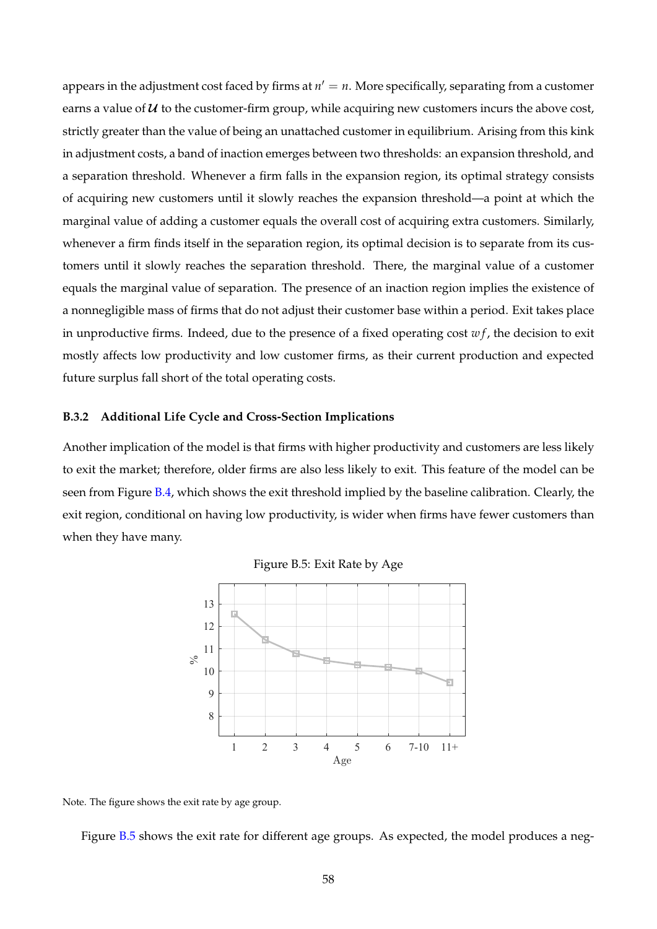appears in the adjustment cost faced by firms at  $n' = n$ . More specifically, separating from a customer earns a value of  $U$  to the customer-firm group, while acquiring new customers incurs the above cost, strictly greater than the value of being an unattached customer in equilibrium. Arising from this kink in adjustment costs, a band of inaction emerges between two thresholds: an expansion threshold, and a separation threshold. Whenever a firm falls in the expansion region, its optimal strategy consists of acquiring new customers until it slowly reaches the expansion threshold—a point at which the marginal value of adding a customer equals the overall cost of acquiring extra customers. Similarly, whenever a firm finds itself in the separation region, its optimal decision is to separate from its customers until it slowly reaches the separation threshold. There, the marginal value of a customer equals the marginal value of separation. The presence of an inaction region implies the existence of a nonnegligible mass of firms that do not adjust their customer base within a period. Exit takes place in unproductive firms. Indeed, due to the presence of a fixed operating cost  $wf$ , the decision to exit mostly affects low productivity and low customer firms, as their current production and expected future surplus fall short of the total operating costs.

#### **B.3.2 Additional Life Cycle and Cross-Section Implications**

<span id="page-58-0"></span>Another implication of the model is that firms with higher productivity and customers are less likely to exit the market; therefore, older firms are also less likely to exit. This feature of the model can be seen from Figure [B.4,](#page-57-1) which shows the exit threshold implied by the baseline calibration. Clearly, the exit region, conditional on having low productivity, is wider when firms have fewer customers than when they have many.





Note. The figure shows the exit rate by age group.

Figure [B.5](#page-58-0) shows the exit rate for different age groups. As expected, the model produces a neg-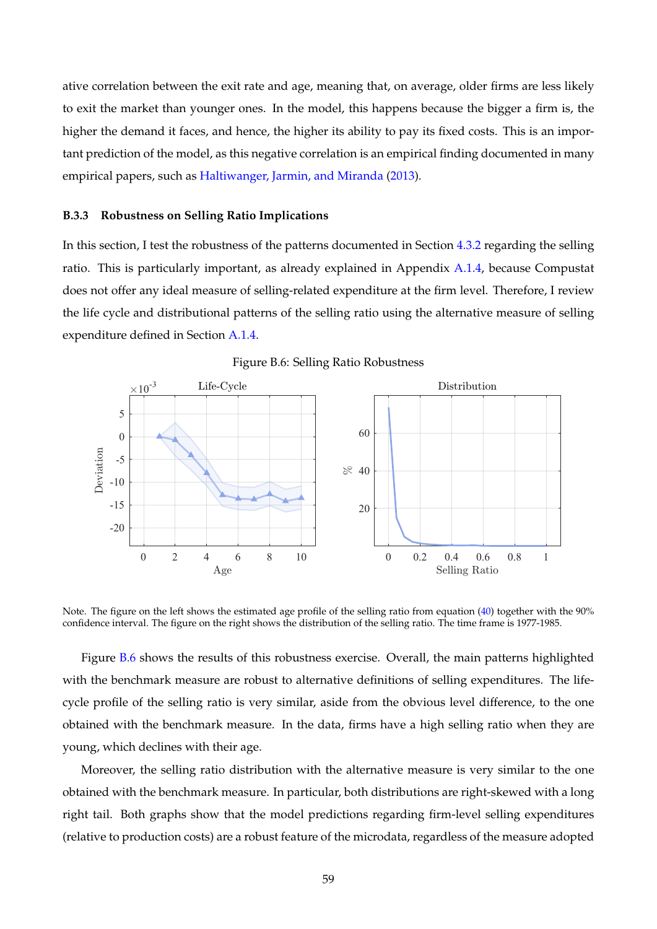ative correlation between the exit rate and age, meaning that, on average, older firms are less likely to exit the market than younger ones. In the model, this happens because the bigger a firm is, the higher the demand it faces, and hence, the higher its ability to pay its fixed costs. This is an important prediction of the model, as this negative correlation is an empirical finding documented in many empirical papers, such as [Haltiwanger, Jarmin, and Miranda](#page-66-25) [\(2013\)](#page-66-25).

#### <span id="page-59-0"></span>**B.3.3 Robustness on Selling Ratio Implications**

In this section, I test the robustness of the patterns documented in Section [4.3.2](#page-29-3) regarding the selling ratio. This is particularly important, as already explained in Appendix [A.1.4,](#page-45-0) because Compustat does not offer any ideal measure of selling-related expenditure at the firm level. Therefore, I review the life cycle and distributional patterns of the selling ratio using the alternative measure of selling expenditure defined in Section [A.1.4.](#page-45-0)

<span id="page-59-1"></span>

Figure B.6: Selling Ratio Robustness

Note. The figure on the left shows the estimated age profile of the selling ratio from equation [\(40\)](#page-29-4) together with the 90% confidence interval. The figure on the right shows the distribution of the selling ratio. The time frame is 1977-1985.

Figure [B.6](#page-59-1) shows the results of this robustness exercise. Overall, the main patterns highlighted with the benchmark measure are robust to alternative definitions of selling expenditures. The lifecycle profile of the selling ratio is very similar, aside from the obvious level difference, to the one obtained with the benchmark measure. In the data, firms have a high selling ratio when they are young, which declines with their age.

Moreover, the selling ratio distribution with the alternative measure is very similar to the one obtained with the benchmark measure. In particular, both distributions are right-skewed with a long right tail. Both graphs show that the model predictions regarding firm-level selling expenditures (relative to production costs) are a robust feature of the microdata, regardless of the measure adopted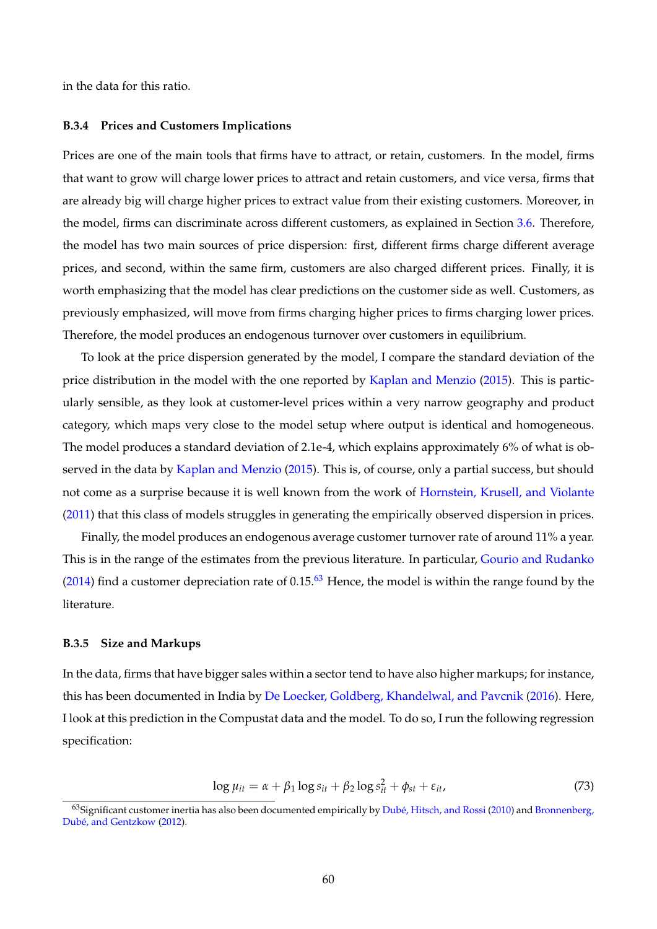in the data for this ratio.

#### **B.3.4 Prices and Customers Implications**

Prices are one of the main tools that firms have to attract, or retain, customers. In the model, firms that want to grow will charge lower prices to attract and retain customers, and vice versa, firms that are already big will charge higher prices to extract value from their existing customers. Moreover, in the model, firms can discriminate across different customers, as explained in Section [3.6.](#page-21-3) Therefore, the model has two main sources of price dispersion: first, different firms charge different average prices, and second, within the same firm, customers are also charged different prices. Finally, it is worth emphasizing that the model has clear predictions on the customer side as well. Customers, as previously emphasized, will move from firms charging higher prices to firms charging lower prices. Therefore, the model produces an endogenous turnover over customers in equilibrium.

To look at the price dispersion generated by the model, I compare the standard deviation of the price distribution in the model with the one reported by [Kaplan and Menzio](#page-66-26) [\(2015\)](#page-66-26). This is particularly sensible, as they look at customer-level prices within a very narrow geography and product category, which maps very close to the model setup where output is identical and homogeneous. The model produces a standard deviation of 2.1e-4, which explains approximately 6% of what is observed in the data by [Kaplan and Menzio](#page-66-26) [\(2015\)](#page-66-26). This is, of course, only a partial success, but should not come as a surprise because it is well known from the work of [Hornstein, Krusell, and Violante](#page-66-27) [\(2011\)](#page-66-27) that this class of models struggles in generating the empirically observed dispersion in prices.

Finally, the model produces an endogenous average customer turnover rate of around 11% a year. This is in the range of the estimates from the previous literature. In particular, [Gourio and Rudanko](#page-66-3) [\(2014\)](#page-66-3) find a customer depreciation rate of  $0.15<sup>63</sup>$  $0.15<sup>63</sup>$  $0.15<sup>63</sup>$  Hence, the model is within the range found by the literature.

## **B.3.5 Size and Markups**

In the data, firms that have bigger sales within a sector tend to have also higher markups; for instance, this has been documented in India by [De Loecker, Goldberg, Khandelwal, and Pavcnik](#page-65-23) [\(2016\)](#page-65-23). Here, I look at this prediction in the Compustat data and the model. To do so, I run the following regression specification:

$$
\log \mu_{it} = \alpha + \beta_1 \log s_{it} + \beta_2 \log s_{it}^2 + \phi_{st} + \varepsilon_{it},\tag{73}
$$

<span id="page-60-0"></span> $^{63}$ Significant customer inertia has also been documented empirically by [Dubé, Hitsch, and Rossi](#page-66-9) [\(2010\)](#page-66-9) and [Bronnenberg,](#page-65-8) [Dubé, and Gentzkow](#page-65-8) [\(2012\)](#page-65-8).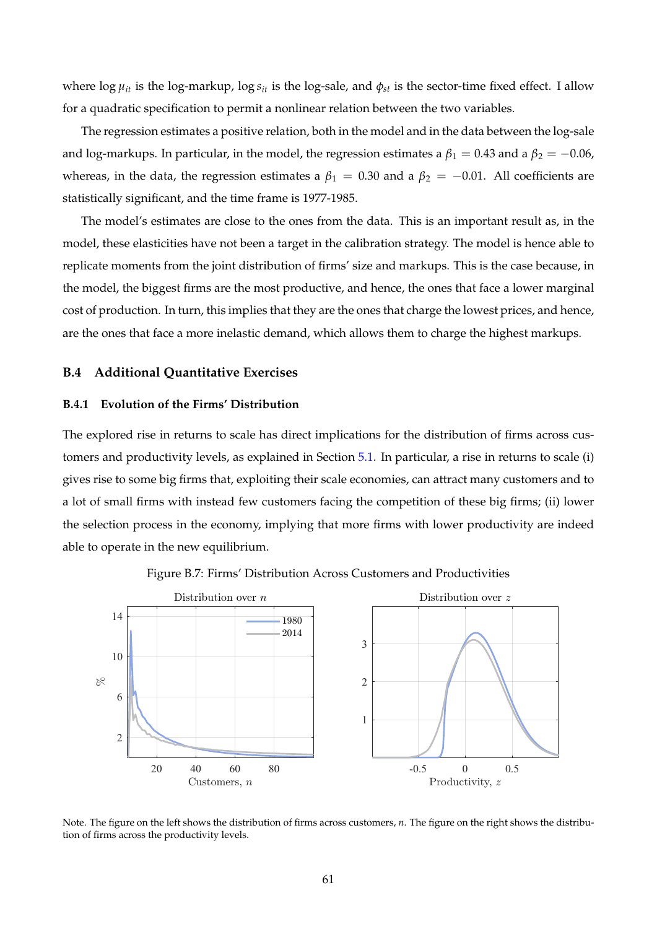where  $\log \mu_{it}$  is the  $\log$ -markup,  $\log s_{it}$  is the log-sale, and  $\phi_{st}$  is the sector-time fixed effect. I allow for a quadratic specification to permit a nonlinear relation between the two variables.

The regression estimates a positive relation, both in the model and in the data between the log-sale and log-markups. In particular, in the model, the regression estimates a  $\beta_1 = 0.43$  and a  $\beta_2 = -0.06$ , whereas, in the data, the regression estimates a  $\beta_1 = 0.30$  and a  $\beta_2 = -0.01$ . All coefficients are statistically significant, and the time frame is 1977-1985.

The model's estimates are close to the ones from the data. This is an important result as, in the model, these elasticities have not been a target in the calibration strategy. The model is hence able to replicate moments from the joint distribution of firms' size and markups. This is the case because, in the model, the biggest firms are the most productive, and hence, the ones that face a lower marginal cost of production. In turn, this implies that they are the ones that charge the lowest prices, and hence, are the ones that face a more inelastic demand, which allows them to charge the highest markups.

# <span id="page-61-0"></span>**B.4 Additional Quantitative Exercises**

# **B.4.1 Evolution of the Firms' Distribution**

The explored rise in returns to scale has direct implications for the distribution of firms across customers and productivity levels, as explained in Section [5.1.](#page-31-2) In particular, a rise in returns to scale (i) gives rise to some big firms that, exploiting their scale economies, can attract many customers and to a lot of small firms with instead few customers facing the competition of these big firms; (ii) lower the selection process in the economy, implying that more firms with lower productivity are indeed able to operate in the new equilibrium.

<span id="page-61-1"></span>

Figure B.7: Firms' Distribution Across Customers and Productivities

Note. The figure on the left shows the distribution of firms across customers, *n*. The figure on the right shows the distribution of firms across the productivity levels.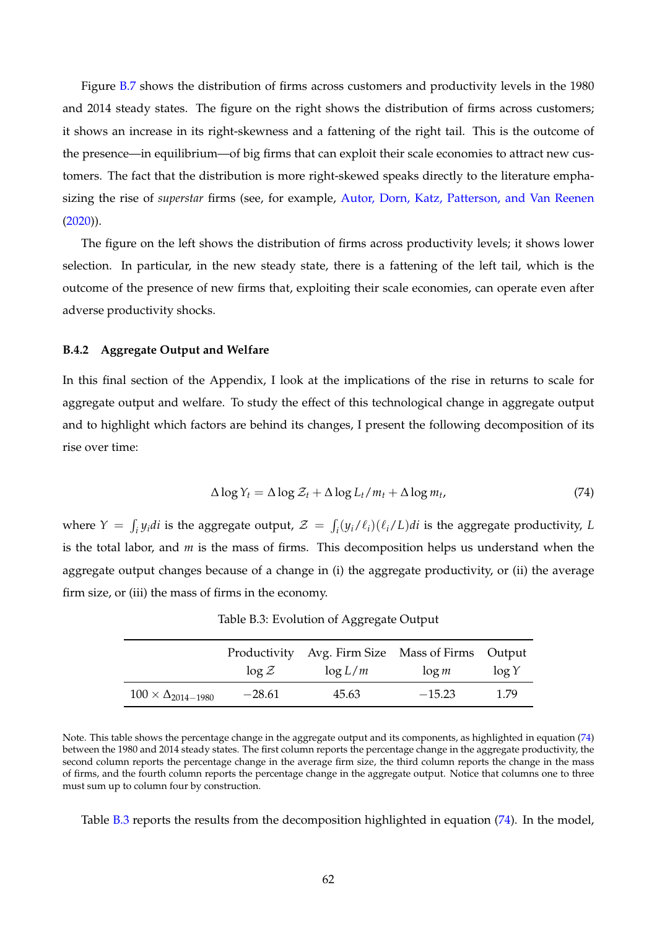Figure [B.7](#page-61-1) shows the distribution of firms across customers and productivity levels in the 1980 and 2014 steady states. The figure on the right shows the distribution of firms across customers; it shows an increase in its right-skewness and a fattening of the right tail. This is the outcome of the presence—in equilibrium—of big firms that can exploit their scale economies to attract new customers. The fact that the distribution is more right-skewed speaks directly to the literature emphasizing the rise of *superstar* firms (see, for example, [Autor, Dorn, Katz, Patterson, and Van Reenen](#page-65-10)  $(2020)$ ).

The figure on the left shows the distribution of firms across productivity levels; it shows lower selection. In particular, in the new steady state, there is a fattening of the left tail, which is the outcome of the presence of new firms that, exploiting their scale economies, can operate even after adverse productivity shocks.

## **B.4.2 Aggregate Output and Welfare**

In this final section of the Appendix, I look at the implications of the rise in returns to scale for aggregate output and welfare. To study the effect of this technological change in aggregate output and to highlight which factors are behind its changes, I present the following decomposition of its rise over time:

<span id="page-62-0"></span>
$$
\Delta \log Y_t = \Delta \log \mathcal{Z}_t + \Delta \log L_t / m_t + \Delta \log m_t, \tag{74}
$$

where  $Y = \int_i y_i di$  is the aggregate output,  $\mathcal{Z} = \int_i (y_i/\ell_i)(\ell_i/L) di$  is the aggregate productivity, *L* is the total labor, and *m* is the mass of firms. This decomposition helps us understand when the aggregate output changes because of a change in (i) the aggregate productivity, or (ii) the average firm size, or (iii) the mass of firms in the economy.

<span id="page-62-1"></span>

|                                 |          | Productivity Avg. Firm Size Mass of Firms Output |          |          |
|---------------------------------|----------|--------------------------------------------------|----------|----------|
|                                 | $\log Z$ | $\log L/m$                                       | $\log m$ | $\log Y$ |
| $100 \times \Delta_{2014-1980}$ | $-28.61$ | 45.63                                            | $-15.23$ | 1.79     |

Table B.3: Evolution of Aggregate Output

Note. This table shows the percentage change in the aggregate output and its components, as highlighted in equation [\(74\)](#page-62-0) between the 1980 and 2014 steady states. The first column reports the percentage change in the aggregate productivity, the second column reports the percentage change in the average firm size, the third column reports the change in the mass of firms, and the fourth column reports the percentage change in the aggregate output. Notice that columns one to three must sum up to column four by construction.

Table [B.3](#page-62-1) reports the results from the decomposition highlighted in equation [\(74\)](#page-62-0). In the model,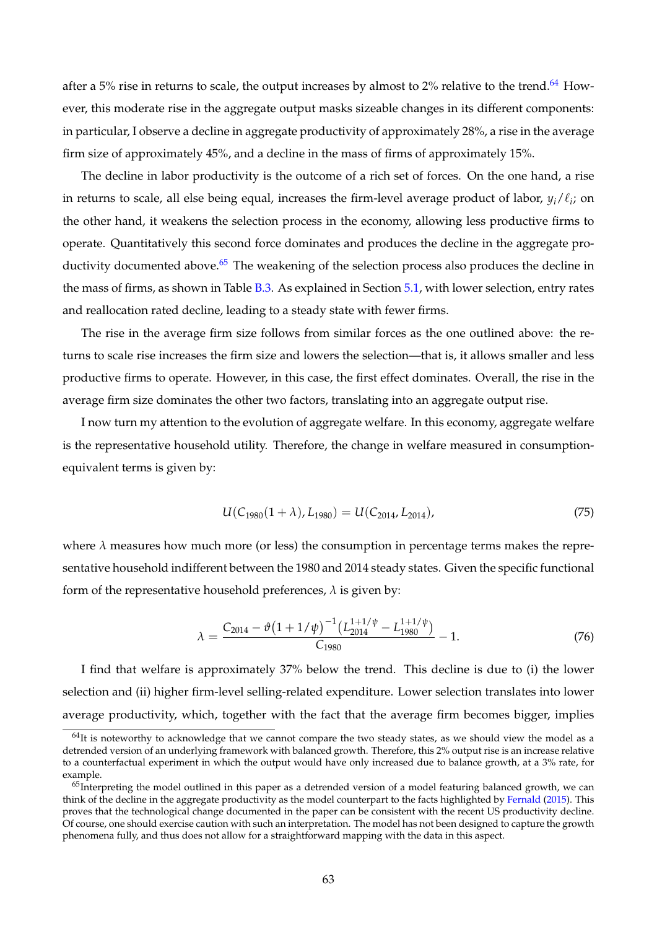after a 5% rise in returns to scale, the output increases by almost to 2% relative to the trend.<sup>[64](#page-63-0)</sup> However, this moderate rise in the aggregate output masks sizeable changes in its different components: in particular, I observe a decline in aggregate productivity of approximately 28%, a rise in the average firm size of approximately 45%, and a decline in the mass of firms of approximately 15%.

The decline in labor productivity is the outcome of a rich set of forces. On the one hand, a rise in returns to scale, all else being equal, increases the firm-level average product of labor,  $y_i/\ell_i$ ; on the other hand, it weakens the selection process in the economy, allowing less productive firms to operate. Quantitatively this second force dominates and produces the decline in the aggregate productivity documented above. $65$  The weakening of the selection process also produces the decline in the mass of firms, as shown in Table [B.3.](#page-62-1) As explained in Section [5.1,](#page-31-2) with lower selection, entry rates and reallocation rated decline, leading to a steady state with fewer firms.

The rise in the average firm size follows from similar forces as the one outlined above: the returns to scale rise increases the firm size and lowers the selection—that is, it allows smaller and less productive firms to operate. However, in this case, the first effect dominates. Overall, the rise in the average firm size dominates the other two factors, translating into an aggregate output rise.

I now turn my attention to the evolution of aggregate welfare. In this economy, aggregate welfare is the representative household utility. Therefore, the change in welfare measured in consumptionequivalent terms is given by:

$$
U(C_{1980}(1+\lambda), L_{1980}) = U(C_{2014}, L_{2014}), \qquad (75)
$$

where  $\lambda$  measures how much more (or less) the consumption in percentage terms makes the representative household indifferent between the 1980 and 2014 steady states. Given the specific functional form of the representative household preferences,  $\lambda$  is given by:

$$
\lambda = \frac{C_{2014} - \vartheta \left(1 + 1/\psi\right)^{-1} \left(L_{2014}^{1+1/\psi} - L_{1980}^{1+1/\psi}\right)}{C_{1980}} - 1. \tag{76}
$$

I find that welfare is approximately 37% below the trend. This decline is due to (i) the lower selection and (ii) higher firm-level selling-related expenditure. Lower selection translates into lower average productivity, which, together with the fact that the average firm becomes bigger, implies

<span id="page-63-0"></span> $64$ It is noteworthy to acknowledge that we cannot compare the two steady states, as we should view the model as a detrended version of an underlying framework with balanced growth. Therefore, this 2% output rise is an increase relative to a counterfactual experiment in which the output would have only increased due to balance growth, at a 3% rate, for example.

<span id="page-63-1"></span> $65$ Interpreting the model outlined in this paper as a detrended version of a model featuring balanced growth, we can think of the decline in the aggregate productivity as the model counterpart to the facts highlighted by [Fernald](#page-66-28) [\(2015\)](#page-66-28). This proves that the technological change documented in the paper can be consistent with the recent US productivity decline. Of course, one should exercise caution with such an interpretation. The model has not been designed to capture the growth phenomena fully, and thus does not allow for a straightforward mapping with the data in this aspect.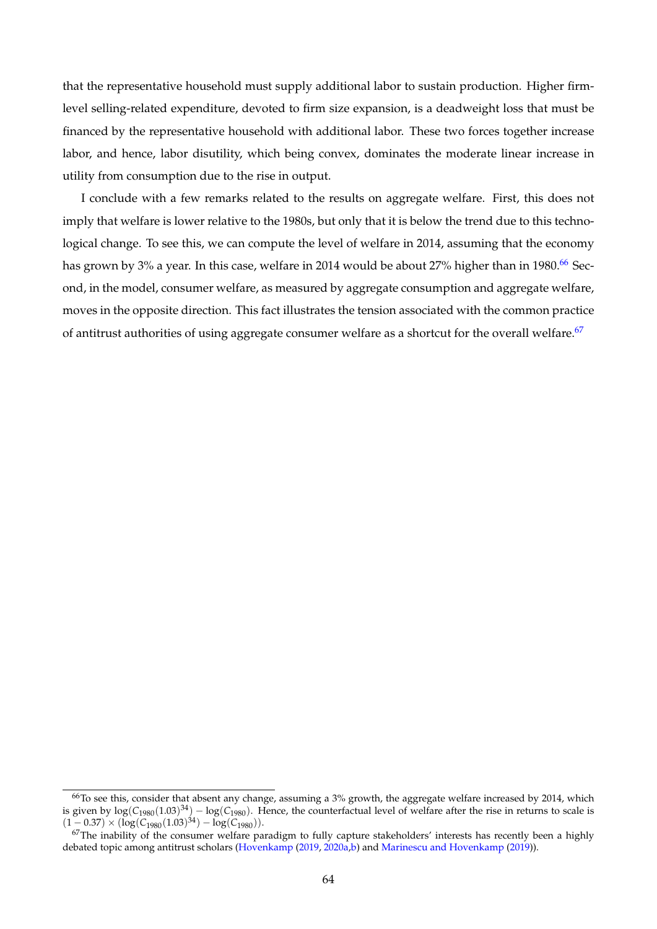that the representative household must supply additional labor to sustain production. Higher firmlevel selling-related expenditure, devoted to firm size expansion, is a deadweight loss that must be financed by the representative household with additional labor. These two forces together increase labor, and hence, labor disutility, which being convex, dominates the moderate linear increase in utility from consumption due to the rise in output.

I conclude with a few remarks related to the results on aggregate welfare. First, this does not imply that welfare is lower relative to the 1980s, but only that it is below the trend due to this technological change. To see this, we can compute the level of welfare in 2014, assuming that the economy has grown by  $3\%$  a year. In this case, welfare in 2014 would be about  $27\%$  higher than in 1980.<sup>[66](#page-64-0)</sup> Second, in the model, consumer welfare, as measured by aggregate consumption and aggregate welfare, moves in the opposite direction. This fact illustrates the tension associated with the common practice of antitrust authorities of using aggregate consumer welfare as a shortcut for the overall welfare.<sup>[67](#page-64-1)</sup>

<span id="page-64-0"></span> $66$ To see this, consider that absent any change, assuming a  $3%$  growth, the aggregate welfare increased by 2014, which is given by  $\log(C_{1980}(1.03)^{34}) - \log(C_{1980})$ . Hence, the counterfactual level of welfare after the rise in returns to scale is  $(1 - 0.37) \times (\log(C_{1980}(1.03)^{34}) - \log(C_{1980})).$ 

<span id="page-64-1"></span><sup>&</sup>lt;sup>67</sup>The inability of the consumer welfare paradigm to fully capture stakeholders' interests has recently been a highly debated topic among antitrust scholars [\(Hovenkamp](#page-66-29) [\(2019,](#page-66-29) [2020a](#page-66-30)[,b\)](#page-66-31) and [Marinescu and Hovenkamp](#page-67-31) [\(2019\)](#page-67-31)).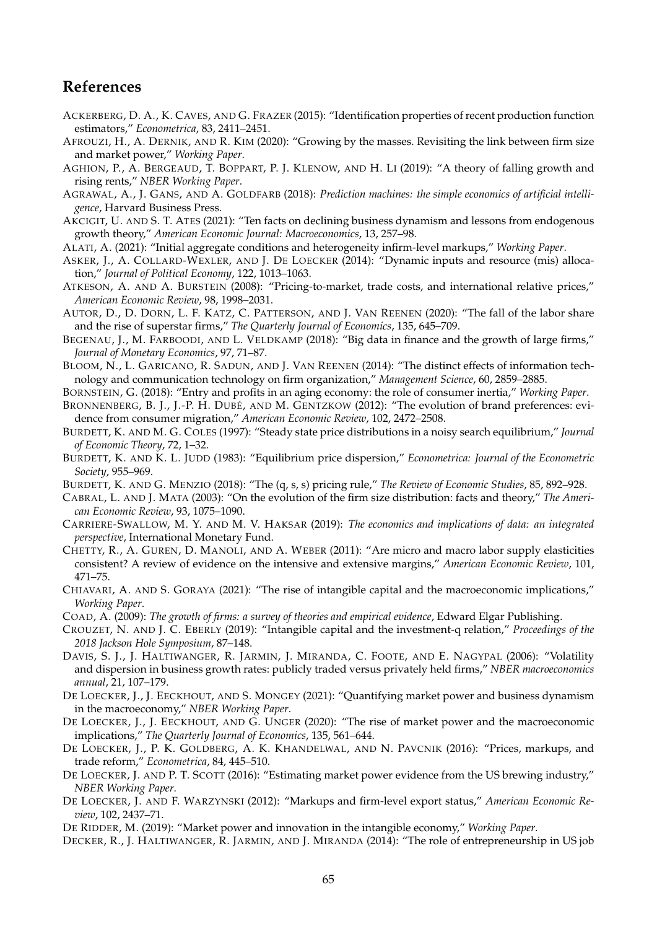# **References**

- <span id="page-65-3"></span>ACKERBERG, D. A., K. CAVES, AND G. FRAZER (2015): "Identification properties of recent production function estimators," *Econometrica*, 83, 2411–2451.
- <span id="page-65-7"></span>AFROUZI, H., A. DERNIK, AND R. KIM (2020): "Growing by the masses. Revisiting the link between firm size and market power," *Working Paper*.
- <span id="page-65-20"></span>AGHION, P., A. BERGEAUD, T. BOPPART, P. J. KLENOW, AND H. LI (2019): "A theory of falling growth and rising rents," *NBER Working Paper*.
- <span id="page-65-4"></span>AGRAWAL, A., J. GANS, AND A. GOLDFARB (2018): *Prediction machines: the simple economics of artificial intelligence*, Harvard Business Press.
- <span id="page-65-16"></span>AKCIGIT, U. AND S. T. ATES (2021): "Ten facts on declining business dynamism and lessons from endogenous growth theory," *American Economic Journal: Macroeconomics*, 13, 257–98.
- <span id="page-65-28"></span>ALATI, A. (2021): "Initial aggregate conditions and heterogeneity infirm-level markups," *Working Paper*.
- <span id="page-65-25"></span>ASKER, J., A. COLLARD-WEXLER, AND J. DE LOECKER (2014): "Dynamic inputs and resource (mis) allocation," *Journal of Political Economy*, 122, 1013–1063.
- <span id="page-65-9"></span>ATKESON, A. AND A. BURSTEIN (2008): "Pricing-to-market, trade costs, and international relative prices," *American Economic Review*, 98, 1998–2031.
- <span id="page-65-10"></span>AUTOR, D., D. DORN, L. F. KATZ, C. PATTERSON, AND J. VAN REENEN (2020): "The fall of the labor share and the rise of superstar firms," *The Quarterly Journal of Economics*, 135, 645–709.
- <span id="page-65-5"></span>BEGENAU, J., M. FARBOODI, AND L. VELDKAMP (2018): "Big data in finance and the growth of large firms," *Journal of Monetary Economics*, 97, 71–87.
- <span id="page-65-0"></span>BLOOM, N., L. GARICANO, R. SADUN, AND J. VAN REENEN (2014): "The distinct effects of information technology and communication technology on firm organization," *Management Science*, 60, 2859–2885.
- <span id="page-65-15"></span>BORNSTEIN, G. (2018): "Entry and profits in an aging economy: the role of consumer inertia," *Working Paper*.
- <span id="page-65-8"></span>BRONNENBERG, B. J., J.-P. H. DUBÉ, AND M. GENTZKOW (2012): "The evolution of brand preferences: evidence from consumer migration," *American Economic Review*, 102, 2472–2508.
- <span id="page-65-11"></span>BURDETT, K. AND M. G. COLES (1997): "Steady state price distributions in a noisy search equilibrium," *Journal of Economic Theory*, 72, 1–32.
- <span id="page-65-12"></span>BURDETT, K. AND K. L. JUDD (1983): "Equilibrium price dispersion," *Econometrica: Journal of the Econometric Society*, 955–969.
- <span id="page-65-13"></span>BURDETT, K. AND G. MENZIO (2018): "The (q, s, s) pricing rule," *The Review of Economic Studies*, 85, 892–928.
- <span id="page-65-27"></span>CABRAL, L. AND J. MATA (2003): "On the evolution of the firm size distribution: facts and theory," *The American Economic Review*, 93, 1075–1090.
- <span id="page-65-6"></span>CARRIERE-SWALLOW, M. Y. AND M. V. HAKSAR (2019): *The economics and implications of data: an integrated perspective*, International Monetary Fund.
- <span id="page-65-24"></span>CHETTY, R., A. GUREN, D. MANOLI, AND A. WEBER (2011): "Are micro and macro labor supply elasticities consistent? A review of evidence on the intensive and extensive margins," *American Economic Review*, 101, 471–75.
- <span id="page-65-14"></span>CHIAVARI, A. AND S. GORAYA (2021): "The rise of intangible capital and the macroeconomic implications," *Working Paper*.
- <span id="page-65-26"></span>COAD, A. (2009): *The growth of firms: a survey of theories and empirical evidence*, Edward Elgar Publishing.
- <span id="page-65-19"></span>CROUZET, N. AND J. C. EBERLY (2019): "Intangible capital and the investment-q relation," *Proceedings of the 2018 Jackson Hole Symposium*, 87–148.
- <span id="page-65-21"></span>DAVIS, S. J., J. HALTIWANGER, R. JARMIN, J. MIRANDA, C. FOOTE, AND E. NAGYPAL (2006): "Volatility and dispersion in business growth rates: publicly traded versus privately held firms," *NBER macroeconomics annual*, 21, 107–179.
- <span id="page-65-18"></span>DE LOECKER, J., J. EECKHOUT, AND S. MONGEY (2021): "Quantifying market power and business dynamism in the macroeconomy," *NBER Working Paper*.
- <span id="page-65-1"></span>DE LOECKER, J., J. EECKHOUT, AND G. UNGER (2020): "The rise of market power and the macroeconomic implications," *The Quarterly Journal of Economics*, 135, 561–644.
- <span id="page-65-23"></span>DE LOECKER, J., P. K. GOLDBERG, A. K. KHANDELWAL, AND N. PAVCNIK (2016): "Prices, markups, and trade reform," *Econometrica*, 84, 445–510.
- <span id="page-65-22"></span>DE LOECKER, J. AND P. T. SCOTT (2016): "Estimating market power evidence from the US brewing industry," *NBER Working Paper*.
- <span id="page-65-29"></span>DE LOECKER, J. AND F. WARZYNSKI (2012): "Markups and firm-level export status," *American Economic Review*, 102, 2437–71.
- <span id="page-65-17"></span>DE RIDDER, M. (2019): "Market power and innovation in the intangible economy," *Working Paper*.
- <span id="page-65-2"></span>DECKER, R., J. HALTIWANGER, R. JARMIN, AND J. MIRANDA (2014): "The role of entrepreneurship in US job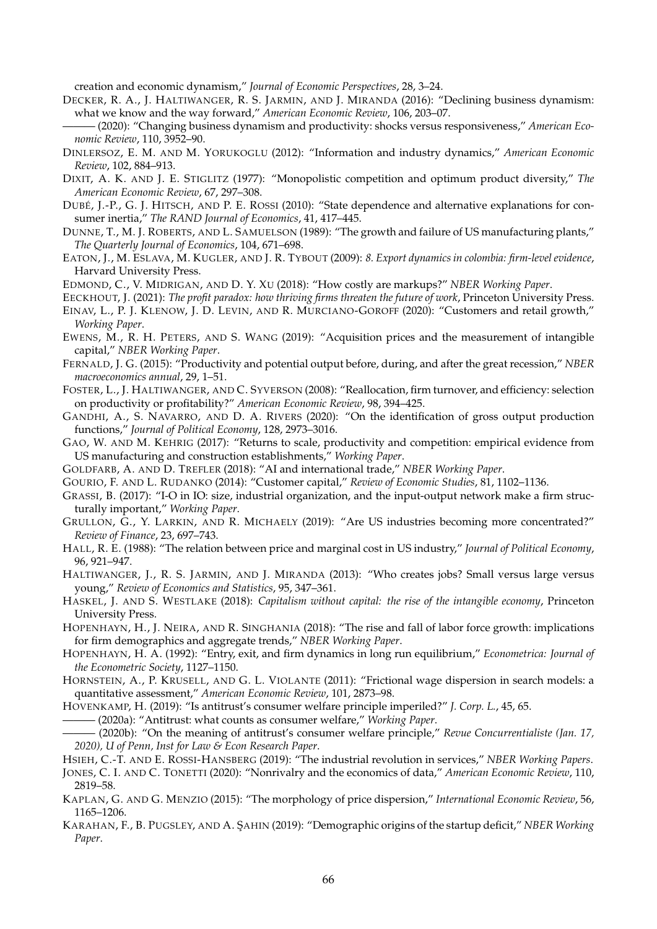creation and economic dynamism," *Journal of Economic Perspectives*, 28, 3–24.

<span id="page-66-0"></span>DECKER, R. A., J. HALTIWANGER, R. S. JARMIN, AND J. MIRANDA (2016): "Declining business dynamism: what we know and the way forward," *American Economic Review*, 106, 203–07.

<span id="page-66-13"></span>——— (2020): "Changing business dynamism and productivity: shocks versus responsiveness," *American Economic Review*, 110, 3952–90.

- <span id="page-66-14"></span>DINLERSOZ, E. M. AND M. YORUKOGLU (2012): "Information and industry dynamics," *American Economic Review*, 102, 884–913.
- <span id="page-66-11"></span>DIXIT, A. K. AND J. E. STIGLITZ (1977): "Monopolistic competition and optimum product diversity," *The American Economic Review*, 67, 297–308.
- <span id="page-66-9"></span>DUBÉ, J.-P., G. J. HITSCH, AND P. E. ROSSI (2010): "State dependence and alternative explanations for consumer inertia," *The RAND Journal of Economics*, 41, 417–445.
- <span id="page-66-19"></span>DUNNE, T., M. J. ROBERTS, AND L. SAMUELSON (1989): "The growth and failure of US manufacturing plants," *The Quarterly Journal of Economics*, 104, 671–698.
- <span id="page-66-10"></span>EATON, J., M. ESLAVA, M. KUGLER, AND J. R. TYBOUT (2009): *8. Export dynamics in colombia: firm-level evidence*, Harvard University Press.
- <span id="page-66-23"></span>EDMOND, C., V. MIDRIGAN, AND D. Y. XU (2018): "How costly are markups?" *NBER Working Paper*.
- <span id="page-66-1"></span>EECKHOUT, J. (2021): *The profit paradox: how thriving firms threaten the future of work*, Princeton University Press.
- <span id="page-66-8"></span>EINAV, L., P. J. KLENOW, J. D. LEVIN, AND R. MURCIANO-GOROFF (2020): "Customers and retail growth," *Working Paper*.
- <span id="page-66-24"></span>EWENS, M., R. H. PETERS, AND S. WANG (2019): "Acquisition prices and the measurement of intangible capital," *NBER Working Paper*.
- <span id="page-66-28"></span>FERNALD, J. G. (2015): "Productivity and potential output before, during, and after the great recession," *NBER macroeconomics annual*, 29, 1–51.
- <span id="page-66-2"></span>FOSTER, L., J. HALTIWANGER, AND C. SYVERSON (2008): "Reallocation, firm turnover, and efficiency: selection on productivity or profitability?" *American Economic Review*, 98, 394–425.
- <span id="page-66-17"></span>GANDHI, A., S. NAVARRO, AND D. A. RIVERS (2020): "On the identification of gross output production functions," *Journal of Political Economy*, 128, 2973–3016.
- <span id="page-66-18"></span>GAO, W. AND M. KEHRIG (2017): "Returns to scale, productivity and competition: empirical evidence from US manufacturing and construction establishments," *Working Paper*.
- <span id="page-66-5"></span>GOLDFARB, A. AND D. TREFLER (2018): "AI and international trade," *NBER Working Paper*.
- <span id="page-66-3"></span>GOURIO, F. AND L. RUDANKO (2014): "Customer capital," *Review of Economic Studies*, 81, 1102–1136.
- <span id="page-66-22"></span>GRASSI, B. (2017): "I-O in IO: size, industrial organization, and the input-output network make a firm structurally important," *Working Paper*.
- <span id="page-66-21"></span>GRULLON, G., Y. LARKIN, AND R. MICHAELY (2019): "Are US industries becoming more concentrated?" *Review of Finance*, 23, 697–743.
- <span id="page-66-20"></span>HALL, R. E. (1988): "The relation between price and marginal cost in US industry," *Journal of Political Economy*, 96, 921–947.
- <span id="page-66-25"></span>HALTIWANGER, J., R. S. JARMIN, AND J. MIRANDA (2013): "Who creates jobs? Small versus large versus young," *Review of Economics and Statistics*, 95, 347–361.
- <span id="page-66-4"></span>HASKEL, J. AND S. WESTLAKE (2018): *Capitalism without capital: the rise of the intangible economy*, Princeton University Press.
- <span id="page-66-12"></span>HOPENHAYN, H., J. NEIRA, AND R. SINGHANIA (2018): "The rise and fall of labor force growth: implications for firm demographics and aggregate trends," *NBER Working Paper*.
- <span id="page-66-7"></span>HOPENHAYN, H. A. (1992): "Entry, exit, and firm dynamics in long run equilibrium," *Econometrica: Journal of the Econometric Society*, 1127–1150.
- <span id="page-66-27"></span>HORNSTEIN, A., P. KRUSELL, AND G. L. VIOLANTE (2011): "Frictional wage dispersion in search models: a quantitative assessment," *American Economic Review*, 101, 2873–98.

<span id="page-66-30"></span><span id="page-66-29"></span>HOVENKAMP, H. (2019): "Is antitrust's consumer welfare principle imperiled?" *J. Corp. L.*, 45, 65.

——— (2020a): "Antitrust: what counts as consumer welfare," *Working Paper*.

- <span id="page-66-31"></span>——— (2020b): "On the meaning of antitrust's consumer welfare principle," *Revue Concurrentialiste (Jan. 17, 2020), U of Penn, Inst for Law & Econ Research Paper*.
- <span id="page-66-16"></span>HSIEH, C.-T. AND E. ROSSI-HANSBERG (2019): "The industrial revolution in services," *NBER Working Papers*.

<span id="page-66-6"></span>JONES, C. I. AND C. TONETTI (2020): "Nonrivalry and the economics of data," *American Economic Review*, 110, 2819–58.

- <span id="page-66-26"></span>KAPLAN, G. AND G. MENZIO (2015): "The morphology of price dispersion," *International Economic Review*, 56, 1165–1206.
- <span id="page-66-15"></span>KARAHAN, F., B. PUGSLEY, AND A. ¸SAHIN (2019): "Demographic origins of the startup deficit," *NBER Working Paper*.